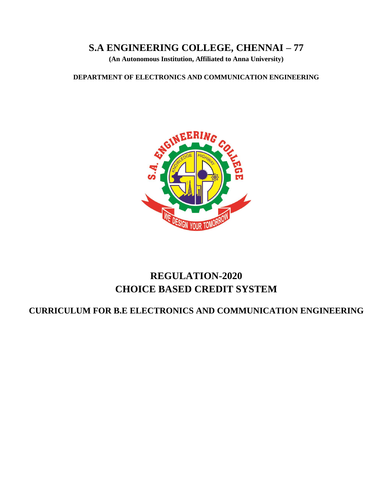# **S.A ENGINEERING COLLEGE, CHENNAI – 77**

**(An Autonomous Institution, Affiliated to Anna University)**

**DEPARTMENT OF ELECTRONICS AND COMMUNICATION ENGINEERING**



# **REGULATION-2020 CHOICE BASED CREDIT SYSTEM**

# **CURRICULUM FOR B.E ELECTRONICS AND COMMUNICATION ENGINEERING**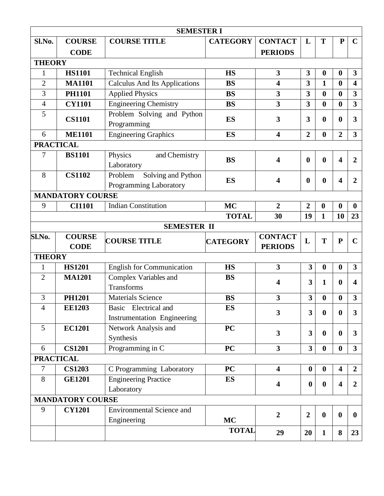| <b>SEMESTER I</b>      |                              |                                                            |                 |                                  |                         |                  |                         |                         |  |
|------------------------|------------------------------|------------------------------------------------------------|-----------------|----------------------------------|-------------------------|------------------|-------------------------|-------------------------|--|
| Sl.No.                 | <b>COURSE</b>                | <b>COURSE TITLE</b>                                        | <b>CATEGORY</b> | <b>CONTACT</b>                   | L                       | T                | ${\bf P}$               | $\mathbf C$             |  |
|                        | <b>CODE</b>                  |                                                            |                 | <b>PERIODS</b>                   |                         |                  |                         |                         |  |
| <b>THEORY</b>          |                              |                                                            |                 |                                  |                         |                  |                         |                         |  |
| 1                      | <b>HS1101</b>                | <b>Technical English</b>                                   | <b>HS</b>       | $\mathbf{3}$                     | 3                       | $\boldsymbol{0}$ | $\bf{0}$                | 3                       |  |
| $\overline{2}$         | <b>MA1101</b>                | <b>Calculus And Its Applications</b>                       | <b>BS</b>       | $\overline{\mathbf{4}}$          | 3                       | $\mathbf{1}$     | $\boldsymbol{0}$        | $\overline{\mathbf{4}}$ |  |
| 3                      | <b>PH1101</b>                | <b>Applied Physics</b>                                     | <b>BS</b>       | $\overline{\mathbf{3}}$          | $\overline{\mathbf{3}}$ | $\boldsymbol{0}$ | $\bf{0}$                | 3                       |  |
| $\overline{4}$         | <b>CY1101</b>                | <b>Engineering Chemistry</b>                               | <b>BS</b>       | $\overline{\mathbf{3}}$          | $\overline{\mathbf{3}}$ | $\boldsymbol{0}$ | $\boldsymbol{0}$        | 3                       |  |
| 5                      | <b>CS1101</b>                | Problem Solving and Python<br>Programming                  | <b>ES</b>       | 3                                | 3                       | $\boldsymbol{0}$ | $\boldsymbol{0}$        | 3                       |  |
| 6                      | <b>ME1101</b>                | <b>Engineering Graphics</b>                                | <b>ES</b>       | $\overline{\mathbf{4}}$          | $\overline{2}$          | $\boldsymbol{0}$ | $\overline{2}$          | 3                       |  |
|                        | <b>PRACTICAL</b>             |                                                            |                 |                                  |                         |                  |                         |                         |  |
| 7                      | <b>BS1101</b>                | Physics<br>and Chemistry<br>Laboratory                     | <b>BS</b>       | 4                                | $\boldsymbol{0}$        | $\boldsymbol{0}$ | $\overline{\mathbf{4}}$ | $\overline{2}$          |  |
| 8                      | <b>CS1102</b>                | Problem<br>Solving and Python<br>Programming Laboratory    | <b>ES</b>       | 4                                | $\boldsymbol{0}$        | $\boldsymbol{0}$ | $\overline{\mathbf{4}}$ | $\overline{2}$          |  |
|                        | <b>MANDATORY COURSE</b>      |                                                            |                 |                                  |                         |                  |                         |                         |  |
| 9                      | <b>CI1101</b>                | <b>Indian Constitution</b>                                 | <b>MC</b>       | $\overline{2}$                   | $\overline{2}$          | $\boldsymbol{0}$ | $\boldsymbol{0}$        | $\boldsymbol{0}$        |  |
|                        |                              |                                                            | <b>TOTAL</b>    | 30                               | 19                      | $\mathbf{1}$     | 10                      | 23                      |  |
|                        |                              | <b>SEMESTER II</b>                                         |                 |                                  |                         |                  |                         |                         |  |
|                        |                              |                                                            |                 |                                  |                         |                  |                         |                         |  |
|                        | <b>COURSE</b><br><b>CODE</b> | <b>COURSE TITLE</b>                                        | <b>CATEGORY</b> | <b>CONTACT</b><br><b>PERIODS</b> | L                       | T                | ${\bf P}$               | $\mathbf C$             |  |
| <b>THEORY</b>          |                              |                                                            |                 |                                  |                         |                  |                         |                         |  |
| Sl.No.<br>$\mathbf{1}$ | <b>HS1201</b>                | <b>English for Communication</b>                           | <b>HS</b>       | $\overline{\mathbf{3}}$          | $\overline{\mathbf{3}}$ | $\boldsymbol{0}$ | $\boldsymbol{0}$        | 3                       |  |
| $\overline{2}$         | <b>MA1201</b>                | Complex Variables and<br>Transforms                        | <b>BS</b>       | 4                                | $\overline{\mathbf{3}}$ | 1                | $\bf{0}$                | 4                       |  |
| 3                      | <b>PH1201</b>                | <b>Materials Science</b>                                   | <b>BS</b>       | 3                                | 3                       | $\boldsymbol{0}$ | $\boldsymbol{0}$        | 3                       |  |
| $\boldsymbol{\Lambda}$ | <b>EE1203</b>                | Basic Electrical and<br><b>Instrumentation Engineering</b> | ES              | $\overline{\mathbf{3}}$          | $\overline{\mathbf{3}}$ | $\boldsymbol{0}$ | $\bf{0}$                | 3                       |  |
| 5                      | <b>EC1201</b>                | Network Analysis and<br>Synthesis                          | <b>PC</b>       | $\overline{\mathbf{3}}$          | $\overline{\mathbf{3}}$ | $\bf{0}$         | $\bf{0}$                | 3                       |  |
| 6                      | <b>CS1201</b>                | Programming in C                                           | <b>PC</b>       | $\overline{\mathbf{3}}$          | 3 <sup>1</sup>          | $\bf{0}$         | $\bf{0}$                | $\mathbf{3}$            |  |
|                        | <b>PRACTICAL</b>             |                                                            |                 |                                  |                         |                  |                         |                         |  |
| $\overline{7}$         | <b>CS1203</b>                | C Programming Laboratory                                   | <b>PC</b>       | $\overline{\mathbf{4}}$          | $\boldsymbol{0}$        | $\boldsymbol{0}$ | $\overline{\mathbf{4}}$ | $\overline{2}$          |  |
| 8                      | <b>GE1201</b>                | <b>Engineering Practice</b><br>Laboratory                  | <b>ES</b>       | $\overline{\mathbf{4}}$          | $\boldsymbol{0}$        | $\boldsymbol{0}$ | $\overline{\mathbf{4}}$ | $\boldsymbol{2}$        |  |
|                        | <b>MANDATORY COURSE</b>      |                                                            |                 |                                  |                         |                  |                         |                         |  |
| 9                      | <b>CY1201</b>                | <b>Environmental Science and</b><br>Engineering            | <b>MC</b>       | $\overline{2}$                   | $\overline{2}$          | $\boldsymbol{0}$ | $\boldsymbol{0}$        | $\bf{0}$                |  |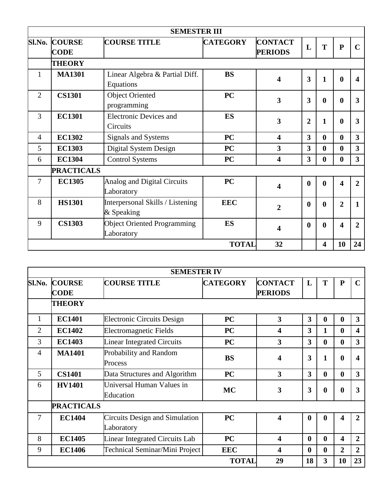|                |                                     | <b>SEMESTER III</b>                              |                 |                                  |                  |              |                  |             |
|----------------|-------------------------------------|--------------------------------------------------|-----------------|----------------------------------|------------------|--------------|------------------|-------------|
|                | <b>SI.No. COURSE</b><br><b>CODE</b> | <b>COURSE TITLE</b>                              | <b>CATEGORY</b> | <b>CONTACT</b><br><b>PERIODS</b> | L                | T            | ${\bf P}$        | $\mathbf C$ |
|                | <b>THEORY</b>                       |                                                  |                 |                                  |                  |              |                  |             |
| 1              | <b>MA1301</b>                       | Linear Algebra & Partial Diff.<br>Equations      | <b>BS</b>       | 4                                | 3                | $\mathbf{1}$ | $\boldsymbol{0}$ | 4           |
| $\overline{2}$ | <b>CS1301</b>                       | <b>Object Oriented</b><br>programming            | <b>PC</b>       | $\overline{\mathbf{3}}$          | 3                | $\mathbf{0}$ | $\boldsymbol{0}$ | 3           |
| 3              | <b>EC1301</b>                       | <b>Electronic Devices and</b><br>Circuits        | <b>ES</b>       | $\overline{\mathbf{3}}$          | $\overline{2}$   | $\mathbf{1}$ | $\mathbf{0}$     | 3           |
| $\overline{4}$ | <b>EC1302</b>                       | Signals and Systems                              | <b>PC</b>       | $\overline{\mathbf{4}}$          | 3                | $\mathbf{0}$ | $\bf{0}$         | 3           |
| 5              | <b>EC1303</b>                       | Digital System Design                            | PC              | 3                                | 3                | $\mathbf{0}$ | $\bf{0}$         | 3           |
| 6              | <b>EC1304</b>                       | <b>Control Systems</b>                           | <b>PC</b>       | $\overline{\mathbf{4}}$          | 3                | $\mathbf{0}$ | $\mathbf{0}$     | 3           |
|                | <b>PRACTICALS</b>                   |                                                  |                 |                                  |                  |              |                  |             |
| 7              | <b>EC1305</b>                       | <b>Analog and Digital Circuits</b><br>Laboratory | <b>PC</b>       | 4                                | $\boldsymbol{0}$ | $\mathbf{0}$ | 4                | 2           |
| 8              | <b>HS1301</b>                       | Interpersonal Skills / Listening<br>& Speaking   | <b>EEC</b>      | $\overline{2}$                   | $\boldsymbol{0}$ | $\mathbf{0}$ | $\overline{2}$   | 1           |
| 9              | <b>CS1303</b>                       | <b>Object Oriented Programming</b><br>Laboratory | <b>ES</b>       | 4                                | $\boldsymbol{0}$ | $\mathbf{0}$ | 4                | 2           |
|                |                                     |                                                  | <b>TOTAL</b>    | 32                               |                  | 4            | 10               | 24          |

|                |                              | <b>SEMESTER IV</b>                                  |                 |                                  |                         |                  |                         |                         |
|----------------|------------------------------|-----------------------------------------------------|-----------------|----------------------------------|-------------------------|------------------|-------------------------|-------------------------|
| Sl.No.         | <b>COURSE</b><br><b>CODE</b> | <b>COURSE TITLE</b>                                 | <b>CATEGORY</b> | <b>CONTACT</b><br><b>PERIODS</b> | L                       | T                | ${\bf P}$               |                         |
|                | <b>THEORY</b>                |                                                     |                 |                                  |                         |                  |                         |                         |
| $\mathbf{1}$   | <b>EC1401</b>                | <b>Electronic Circuits Design</b>                   | <b>PC</b>       | $\overline{\mathbf{3}}$          | 3                       | $\mathbf 0$      | $\mathbf 0$             | $\overline{\mathbf{3}}$ |
| $\overline{2}$ | <b>EC1402</b>                | <b>Electromagnetic Fields</b>                       | <b>PC</b>       | $\overline{\mathbf{4}}$          | 3                       | 1                | $\bf{0}$                | 4                       |
| 3              | <b>EC1403</b>                | <b>Linear Integrated Circuits</b>                   | PC              | $\overline{\mathbf{3}}$          | $\overline{\mathbf{3}}$ | $\bf{0}$         | $\bf{0}$                | $\overline{\mathbf{3}}$ |
| $\overline{4}$ | <b>MA1401</b>                | Probability and Random<br>Process                   | <b>BS</b>       | $\overline{\mathbf{4}}$          | 3                       | 1                | $\boldsymbol{0}$        | 4                       |
| 5              | <b>CS1401</b>                | Data Structures and Algorithm                       | <b>PC</b>       | $\overline{\mathbf{3}}$          | $\overline{\mathbf{3}}$ | $\bf{0}$         | $\boldsymbol{0}$        | $\overline{\mathbf{3}}$ |
| 6              | <b>HV1401</b>                | Universal Human Values in<br>Education              | <b>MC</b>       | 3                                | 3                       | $\boldsymbol{0}$ | $\boldsymbol{0}$        | 3                       |
|                | <b>PRACTICALS</b>            |                                                     |                 |                                  |                         |                  |                         |                         |
| 7              | <b>EC1404</b>                | <b>Circuits Design and Simulation</b><br>Laboratory | <b>PC</b>       | $\overline{\mathbf{4}}$          | $\boldsymbol{0}$        | $\bf{0}$         | 4                       | 2                       |
| 8              | <b>EC1405</b>                | Linear Integrated Circuits Lab                      | PC              | $\overline{\mathbf{4}}$          | $\boldsymbol{0}$        | $\bf{0}$         | $\overline{\mathbf{4}}$ | $\overline{2}$          |
| 9              | <b>EC1406</b>                | Technical Seminar/Mini Project                      | <b>EEC</b>      | $\overline{\mathbf{4}}$          | $\boldsymbol{0}$        | $\bf{0}$         | $\overline{2}$          | $\overline{2}$          |
|                |                              |                                                     | <b>TOTAL</b>    | 29                               | 18                      | $\overline{3}$   | 10                      | 23                      |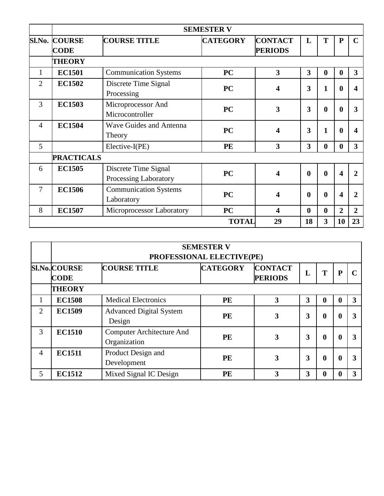|                |                                     |                                               | <b>SEMESTER V</b> |                                  |                  |                  |                  |                |
|----------------|-------------------------------------|-----------------------------------------------|-------------------|----------------------------------|------------------|------------------|------------------|----------------|
|                | <b>Sl.No. COURSE</b><br><b>CODE</b> | <b>COURSE TITLE</b>                           | <b>CATEGORY</b>   | <b>CONTACT</b><br><b>PERIODS</b> | L                | T                | $\mathbf{P}$     | $\mathbf C$    |
|                | <b>THEORY</b>                       |                                               |                   |                                  |                  |                  |                  |                |
| 1              | <b>EC1501</b>                       | <b>Communication Systems</b>                  | <b>PC</b>         | 3                                | 3                | $\boldsymbol{0}$ | $\bf{0}$         | $\overline{3}$ |
| $\overline{2}$ | <b>EC1502</b>                       | Discrete Time Signal<br>Processing            | <b>PC</b>         | 4                                | 3                | $\mathbf{1}$     | $\boldsymbol{0}$ | 4              |
| 3              | <b>EC1503</b>                       | Microprocessor And<br>Microcontroller         | <b>PC</b>         | 3                                | 3                | $\boldsymbol{0}$ | $\boldsymbol{0}$ | 3              |
| $\overline{4}$ | <b>EC1504</b>                       | <b>Wave Guides and Antenna</b><br>Theory      | <b>PC</b>         | 4                                | 3                | $\mathbf{1}$     | 0                | 4              |
| 5              |                                     | Elective-I(PE)                                | PE                | $\overline{\mathbf{3}}$          | 3                | $\bf{0}$         | $\bf{0}$         | $\overline{3}$ |
|                | <b>PRACTICALS</b>                   |                                               |                   |                                  |                  |                  |                  |                |
| 6              | <b>EC1505</b>                       | Discrete Time Signal<br>Processing Laboratory | <b>PC</b>         | $\boldsymbol{\Delta}$            | $\boldsymbol{0}$ | $\bf{0}$         | 4                | 2              |
| 7              | <b>EC1506</b>                       | <b>Communication Systems</b><br>Laboratory    | <b>PC</b>         | 4                                | $\bf{0}$         | $\bf{0}$         | 4                | 2              |
| 8              | <b>EC1507</b>                       | Microprocessor Laboratory                     | <b>PC</b>         | 4                                | $\boldsymbol{0}$ | $\bf{0}$         | $\overline{2}$   | $\overline{2}$ |
|                |                                     |                                               | <b>TOTAL</b>      | 29                               | 18               | 3                | 10               | 23             |

|                | <b>SEMESTER V</b><br>PROFESSIONAL ELECTIVE(PE) |                                                  |                 |                                  |   |                  |             |                         |
|----------------|------------------------------------------------|--------------------------------------------------|-----------------|----------------------------------|---|------------------|-------------|-------------------------|
|                | <b>SI.No. COURSE</b><br><b>CODE</b>            | <b>COURSE TITLE</b>                              | <b>CATEGORY</b> | <b>CONTACT</b><br><b>PERIODS</b> | L | T                | P           |                         |
|                | <b>THEORY</b>                                  |                                                  |                 |                                  |   |                  |             |                         |
|                | <b>EC1508</b>                                  | <b>Medical Electronics</b>                       | <b>PE</b>       | 3                                | 3 | $\bf{0}$         | $\mathbf 0$ | $\overline{\mathbf{3}}$ |
| $\overline{2}$ | <b>EC1509</b>                                  | <b>Advanced Digital System</b><br>Design         | <b>PE</b>       | 3                                | 3 | $\boldsymbol{0}$ | $\bf{0}$    | 3                       |
| 3              | <b>EC1510</b>                                  | <b>Computer Architecture And</b><br>Organization | <b>PE</b>       | 3                                | 3 | $\bf{0}$         | $\bf{0}$    | 3                       |
| 4              | <b>EC1511</b>                                  | Product Design and<br>Development                | <b>PE</b>       | 3                                | 3 | $\bf{0}$         | 0           | 3                       |
| 5              | <b>EC1512</b>                                  | Mixed Signal IC Design                           | PE              | 3                                | 3 | 0                | $\mathbf 0$ | 3                       |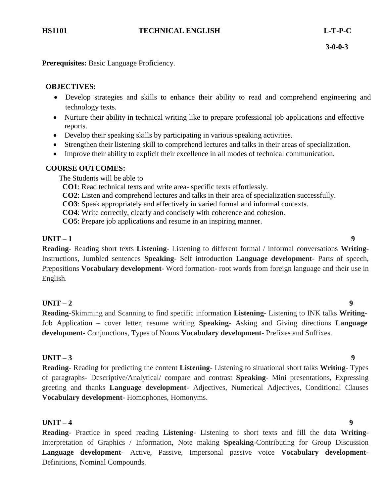**Prerequisites:** Basic Language Proficiency.

# **OBJECTIVES:**

- Develop strategies and skills to enhance their ability to read and comprehend engineering and technology texts.
- Nurture their ability in technical writing like to prepare professional job applications and effective reports.
- Develop their speaking skills by participating in various speaking activities.
- Strengthen their listening skill to comprehend lectures and talks in their areas of specialization.
- Improve their ability to explicit their excellence in all modes of technical communication.

# **COURSE OUTCOMES:**

The Students will be able to

- **CO1**: Read technical texts and write area- specific texts effortlessly.
- **CO2**: Listen and comprehend lectures and talks in their area of specialization successfully.
- **CO3**: Speak appropriately and effectively in varied formal and informal contexts.
- **CO4**: Write correctly, clearly and concisely with coherence and cohesion.
- **CO5**: Prepare job applications and resume in an inspiring manner.

# **UNIT – 1 9**

**Reading**- Reading short texts **Listening**- Listening to different formal / informal conversations **Writing-**Instructions, Jumbled sentences **Speaking**- Self introduction **Language development**- Parts of speech, Prepositions **Vocabulary development-** Word formation- root words from foreign language and their use in English.

# **UNIT – 2 9**

**Reading**-Skimming and Scanning to find specific information **Listening**- Listening to INK talks **Writing**-Job Application **–** cover letter, resume writing **Speaking**- Asking and Giving directions **Language development**- Conjunctions, Types of Nouns **Vocabulary development-** Prefixes and Suffixes.

# **UNIT – 3 9**

**Reading**- Reading for predicting the content **Listening**- Listening to situational short talks **Writing**- Types of paragraphs- Descriptive/Analytical/ compare and contrast **Speaking**- Mini presentations, Expressing greeting and thanks **Language development**- Adjectives, Numerical Adjectives, Conditional Clauses **Vocabulary development-** Homophones, Homonyms.

# **UNIT – 4 9**

**Reading**- Practice in speed reading **Listening**- Listening to short texts and fill the data **Writing**-Interpretation of Graphics / Information, Note making **Speaking**-Contributing for Group Discussion **Language development**- Active, Passive, Impersonal passive voice **Vocabulary development-**Definitions, Nominal Compounds.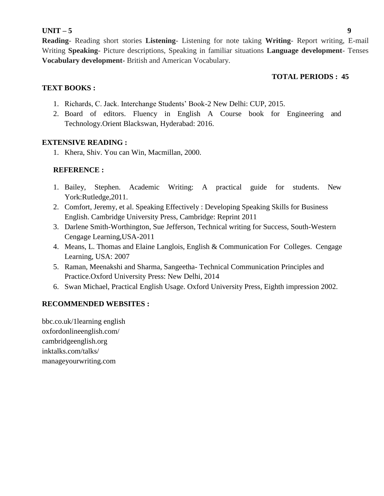# **UNIT – 5 9**

**Reading**- Reading short stories **Listening**- Listening for note taking **Writing**- Report writing, E-mail Writing **Speaking**- Picture descriptions, Speaking in familiar situations **Language development**- Tenses **Vocabulary development-** British and American Vocabulary.

# **TOTAL PERIODS : 45**

# **TEXT BOOKS :**

- 1. Richards, C. Jack. Interchange Students" Book-2 New Delhi: CUP, 2015.
- 2. Board of editors. Fluency in English A Course book for Engineering and Technology.Orient Blackswan, Hyderabad: 2016.

# **EXTENSIVE READING :**

1. Khera, Shiv. You can Win, Macmillan, 2000.

# **REFERENCE :**

- 1. Bailey, Stephen. Academic Writing: A practical guide for students. New York:Rutledge,2011.
- 2. Comfort, Jeremy, et al. Speaking Effectively : Developing Speaking Skills for Business English. Cambridge University Press, Cambridge: Reprint 2011
- 3. [Darlene Smith-Worthington,](https://www.amazon.in/s/ref%3Drdr_ext_aut?_encoding=UTF8&index=books&field-author=Darlene%20Smith-Worthington) [Sue Jefferson,](https://www.amazon.in/s/ref%3Drdr_ext_aut?_encoding=UTF8&index=books&field-author=Sue%20Jefferson) Technical writing for Success, South-Western Cengage Learning,USA-2011
- 4. Means, L. Thomas and Elaine Langlois, English & Communication For Colleges. Cengage Learning, USA: 2007
- 5. Raman, Meenakshi and Sharma, Sangeetha- Technical Communication Principles and Practice.Oxford University Press: New Delhi, 2014
- 6. Swan Michael, Practical English Usage. Oxford University Press, Eighth impression 2002.

# **RECOMMENDED WEBSITES :**

bbc.co.uk/1learning english oxfordonlineenglish.com/ cambridgeenglish.org inktalks.com/talks/ manageyourwriting.com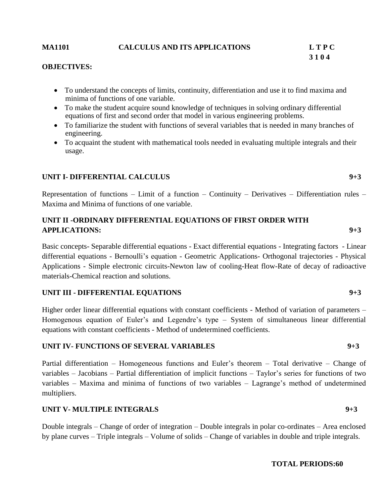# **MA1101 CALCULUS AND ITS APPLICATIONS L T P C**

# **3 1 0 4**

### **OBJECTIVES:**

- To understand the concepts of limits, continuity, differentiation and use it to find maxima and minima of functions of one variable.
- To make the student acquire sound knowledge of techniques in solving ordinary differential equations of first and second order that model in various engineering problems.
- To familiarize the student with functions of several variables that is needed in many branches of engineering.
- To acquaint the student with mathematical tools needed in evaluating multiple integrals and their usage.

# **UNIT I- DIFFERENTIAL CALCULUS 9+3**

Representation of functions – Limit of a function – Continuity – Derivatives – Differentiation rules – Maxima and Minima of functions of one variable.

# **UNIT II -ORDINARY DIFFERENTIAL EQUATIONS OF FIRST ORDER WITH APPLICATIONS: 9+3**

Basic concepts- Separable differential equations - Exact differential equations - Integrating factors - Linear differential equations - Bernoulli"s equation - Geometric Applications- Orthogonal trajectories - Physical Applications - Simple electronic circuits-Newton law of cooling-Heat flow-Rate of decay of radioactive materials-Chemical reaction and solutions.

# **UNIT III - DIFFERENTIAL EQUATIONS 9+3**

Higher order linear differential equations with constant coefficients - Method of variation of parameters – Homogenous equation of Euler's and Legendre's type – System of simultaneous linear differential equations with constant coefficients - Method of undetermined coefficients.

# **UNIT IV- FUNCTIONS OF SEVERAL VARIABLES 9+3**

Partial differentiation – Homogeneous functions and Euler's theorem – Total derivative – Change of variables – Jacobians – Partial differentiation of implicit functions – Taylor"s series for functions of two variables – Maxima and minima of functions of two variables – Lagrange"s method of undetermined multipliers.

# **UNIT V- MULTIPLE INTEGRALS 9+3**

Double integrals – Change of order of integration – Double integrals in polar co-ordinates – Area enclosed by plane curves – Triple integrals – Volume of solids – Change of variables in double and triple integrals.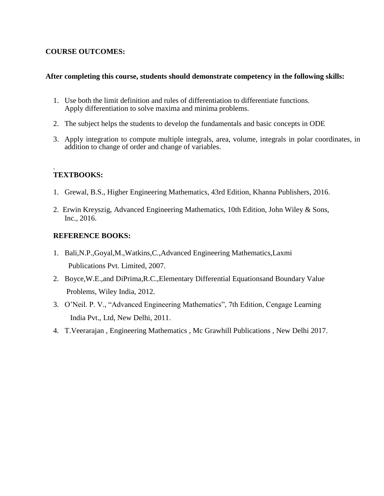# **COURSE OUTCOMES:**

# **After completing this course, students should demonstrate competency in the following skills:**

- 1. Use both the limit definition and rules of differentiation to differentiate functions. Apply differentiation to solve maxima and minima problems.
- 2. The subject helps the students to develop the fundamentals and basic concepts in ODE
- 3. Apply integration to compute multiple integrals, area, volume, integrals in polar coordinates, in addition to change of order and change of variables.

### . **TEXTBOOKS:**

- 1. Grewal, B.S., Higher Engineering Mathematics, 43rd Edition, Khanna Publishers, 2016.
- 2. Erwin Kreyszig, Advanced Engineering Mathematics, 10th Edition, John Wiley & Sons, Inc., 2016.

# **REFERENCE BOOKS:**

- 1. Bali,N.P.,Goyal,M.,Watkins,C.,Advanced Engineering Mathematics,Laxmi Publications Pvt. Limited, 2007.
- 2. Boyce,W.E.,and DiPrima,R.C.,Elementary Differential Equationsand Boundary Value Problems, Wiley India, 2012.
- 3. O"Neil. P. V., "Advanced Engineering Mathematics", 7th Edition, Cengage Learning India Pvt., Ltd, New Delhi, 2011.
- 4. T.Veerarajan , Engineering Mathematics , Mc Grawhill Publications , New Delhi 2017.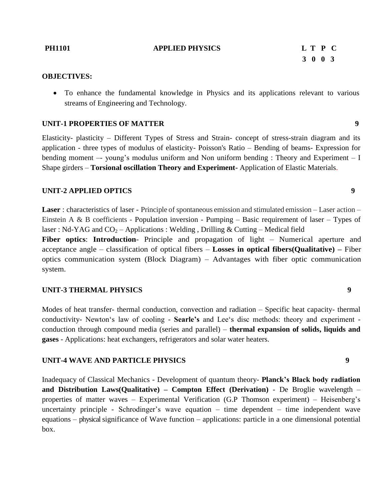### **PH1101 APPLIED PHYSICS L T P C**

# **3 0 0 3**

### **OBJECTIVES:**

 To enhance the fundamental knowledge in Physics and its applications relevant to various streams of Engineering and Technology.

# **UNIT-1 PROPERTIES OF MATTER 9**

Elasticity- plasticity – Different Types of Stress and Strain- concept of stress-strain diagram and its application - three types of modulus of elasticity- Poisson's Ratio – Bending of beams- Expression for bending moment  $-$  young's modulus uniform and Non uniform bending : Theory and Experiment  $-$  I Shape girders – **Torsional oscillation Theory and Experiment-** Application of Elastic Materials.

### **UNIT-2 APPLIED OPTICS 9**

**Laser** : characteristics of laser - Principle of spontaneous emission and stimulated emission – Laser action – Einstein A & B coefficients - Population inversion - Pumping – Basic requirement of laser – Types of laser : Nd-YAG and  $CO_2$  – Applications : Welding, Drilling & Cutting – Medical field

**Fiber optics**: **Introduction**- Principle and propagation of light – Numerical aperture and acceptance angle – classification of optical fibers – **Losses in optical fibers(Qualitative) –** Fiber optics communication system (Block Diagram) – Advantages with fiber optic communication system.

### **UNIT-3 THERMAL PHYSICS 9**

Modes of heat transfer- thermal conduction, convection and radiation – Specific heat capacity- thermal conductivity- Newton"s law of cooling - **Searle's** and Lee"s disc methods: theory and experiment conduction through compound media (series and parallel) – **thermal expansion of solids, liquids and gases** - Applications: heat exchangers, refrigerators and solar water heaters.

# **UNIT-4 WAVE AND PARTICLE PHYSICS 9**

Inadequacy of Classical Mechanics - Development of quantum theory- **Planck's Black body radiation and Distribution Laws(Qualitative) – Compton Effect (Derivation)** - De Broglie wavelength – properties of matter waves – Experimental Verification (G.P Thomson experiment) – Heisenberg"s uncertainty principle - Schrodinger's wave equation  $-$  time dependent  $-$  time independent wave equations – physical significance of Wave function – applications: particle in a one dimensional potential box.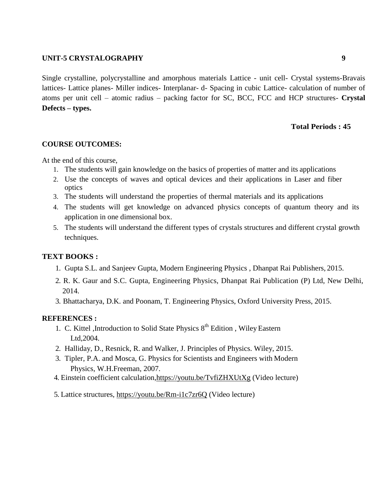# **UNIT-5 CRYSTALOGRAPHY 9**

Single crystalline, polycrystalline and amorphous materials Lattice - unit cell- Crystal systems-Bravais lattices- Lattice planes- Miller indices- Interplanar- d- Spacing in cubic Lattice- calculation of number of atoms per unit cell – atomic radius – packing factor for SC, BCC, FCC and HCP structures- **Crystal Defects – types.**

# **Total Periods : 45**

# **COURSE OUTCOMES:**

At the end of this course,

- 1. The students will gain knowledge on the basics of properties of matter and its applications
- 2. Use the concepts of waves and optical devices and their applications in Laser and fiber optics
- 3. The students will understand the properties of thermal materials and its applications
- 4. The students will get knowledge on advanced physics concepts of quantum theory and its application in one dimensional box.
- 5. The students will understand the different types of crystals structures and different crystal growth techniques.

# **TEXT BOOKS :**

- 1. Gupta S.L. and Sanjeev Gupta, Modern Engineering Physics , Dhanpat Rai Publishers, 2015.
- 2. R. K. Gaur and S.C. Gupta, Engineering Physics, Dhanpat Rai Publication (P) Ltd, New Delhi, 2014.
- 3. Bhattacharya, D.K. and Poonam, T. Engineering Physics, Oxford University Press, 2015.

# **REFERENCES :**

- 1. C. Kittel ,Introduction to Solid State Physics 8<sup>th</sup> Edition, Wiley Eastern Ltd,2004.
- 2. Halliday, D., Resnick, R. and Walker, J. Principles of Physics. Wiley, 2015.
- 3. Tipler, P.A. and Mosca, G. Physics for Scientists and Engineers with Modern Physics, W.H.Freeman, 2007.
- 4. Einstein coefficient calculation[,https://youtu.be/TvfiZHXUtXg](https://youtu.be/TvfiZHXUtXg) (Video lecture)
- 5. Lattice structures,<https://youtu.be/Rm-i1c7zr6Q> (Video lecture)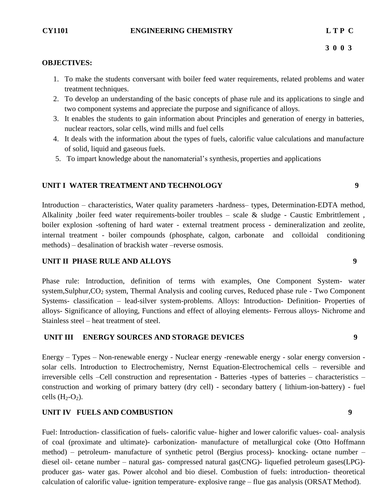# **CY1101 ENGINEERING CHEMISTRY L T P C**

# **OBJECTIVES:**

- 1. To make the students conversant with boiler feed water requirements, related problems and water treatment techniques.
- 2. To develop an understanding of the basic concepts of phase rule and its applications to single and two component systems and appreciate the purpose and significance of alloys.
- 3. It enables the students to gain information about Principles and generation of energy in batteries, nuclear reactors, solar cells, wind mills and fuel cells
- 4. It deals with the information about the types of fuels, calorific value calculations and manufacture of solid, liquid and gaseous fuels.
- 5. To impart knowledge about the nanomaterial"s synthesis, properties and applications

# **UNIT I WATER TREATMENT AND TECHNOLOGY 9**

Introduction – characteristics, Water quality parameters -hardness– types, Determination-EDTA method, Alkalinity ,boiler feed water requirements-boiler troubles – scale & sludge - Caustic Embrittlement , boiler explosion -softening of hard water - external treatment process - demineralization and zeolite, internal treatment - boiler compounds (phosphate, calgon, carbonate and colloidal conditioning methods) – desalination of brackish water –reverse osmosis.

# **UNIT II PHASE RULE AND ALLOYS 9**

Phase rule: Introduction, definition of terms with examples, One Component System- water system, Sulphur, CO<sub>2</sub> system, Thermal Analysis and cooling curves, Reduced phase rule - Two Component Systems- classification – lead-silver system-problems. Alloys: Introduction- Definition- Properties of alloys- Significance of alloying, Functions and effect of alloying elements- Ferrous alloys- Nichrome and Stainless steel – heat treatment of steel.

# **UNIT III ENERGY SOURCES AND STORAGE DEVICES 9**

Energy – Types – Non-renewable energy - Nuclear energy -renewable energy - solar energy conversion solar cells. Introduction to Electrochemistry, Nernst Equation-Electrochemical cells – reversible and irreversible cells –Cell construction and representation - Batteries -types of batteries – characteristics – construction and working of primary battery (dry cell) - secondary battery ( lithium-ion-battery) - fuel cells  $(H_2-O_2)$ .

# **UNIT IV FUELS AND COMBUSTION 9**

Fuel: Introduction- classification of fuels- calorific value- higher and lower calorific values- coal- analysis of coal (proximate and ultimate)- carbonization- manufacture of metallurgical coke (Otto Hoffmann method) – petroleum- manufacture of synthetic petrol (Bergius process)- knocking- octane number – diesel oil- cetane number – natural gas- compressed natural gas(CNG)- liquefied petroleum gases(LPG) producer gas- water gas. Power alcohol and bio diesel. Combustion of fuels: introduction- theoretical calculation of calorific value- ignition temperature- explosive range – flue gas analysis (ORSAT Method).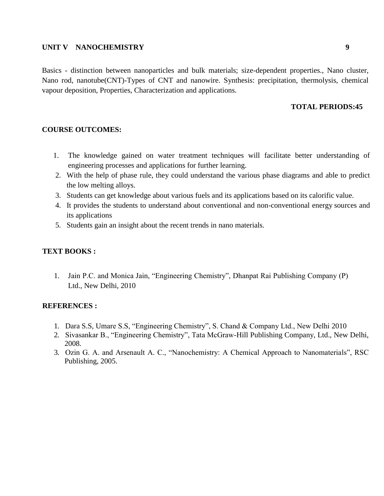# **UNIT V NANOCHEMISTRY 9**

Basics - distinction between nanoparticles and bulk materials; size-dependent properties., Nano cluster, Nano rod, nanotube(CNT)-Types of CNT and nanowire. Synthesis: precipitation, thermolysis, chemical vapour deposition, Properties, Characterization and applications.

# **TOTAL PERIODS:45**

### **COURSE OUTCOMES:**

- 1. The knowledge gained on water treatment techniques will facilitate better understanding of engineering processes and applications for further learning.
- 2. With the help of phase rule, they could understand the various phase diagrams and able to predict the low melting alloys.
- 3. Students can get knowledge about various fuels and its applications based on its calorific value.
- 4. It provides the students to understand about conventional and non-conventional energy sources and its applications
- 5. Students gain an insight about the recent trends in nano materials.

### **TEXT BOOKS :**

1. Jain P.C. and Monica Jain, "Engineering Chemistry", Dhanpat Rai Publishing Company (P) Ltd., New Delhi, 2010

### **REFERENCES :**

- 1. Dara S.S, Umare S.S, "Engineering Chemistry", S. Chand & Company Ltd., New Delhi 2010
- 2. Sivasankar B., "Engineering Chemistry", Tata McGraw-Hill Publishing Company, Ltd., New Delhi, 2008.
- 3. Ozin G. A. and Arsenault A. C., "Nanochemistry: A Chemical Approach to Nanomaterials", RSC Publishing, 2005.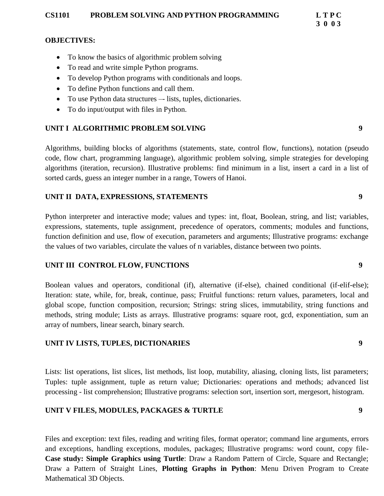# **CS1101 PROBLEM SOLVING AND PYTHON PROGRAMMING L T P C**

# **OBJECTIVES:**

- To know the basics of algorithmic problem solving
- To read and write simple Python programs.
- To develop Python programs with conditionals and loops.
- To define Python functions and call them.
- To use Python data structures –- lists, tuples, dictionaries.
- To do input/output with files in Python.

# **UNIT I ALGORITHMIC PROBLEM SOLVING 9**

Algorithms, building blocks of algorithms (statements, state, control flow, functions), notation (pseudo code, flow chart, programming language), algorithmic problem solving, simple strategies for developing algorithms (iteration, recursion). Illustrative problems: find minimum in a list, insert a card in a list of sorted cards, guess an integer number in a range, Towers of Hanoi.

# **UNIT II DATA, EXPRESSIONS, STATEMENTS 9**

Python interpreter and interactive mode; values and types: int, float, Boolean, string, and list; variables, expressions, statements, tuple assignment, precedence of operators, comments; modules and functions, function definition and use, flow of execution, parameters and arguments; Illustrative programs: exchange the values of two variables, circulate the values of n variables, distance between two points.

# **UNIT III CONTROL FLOW, FUNCTIONS 9**

Boolean values and operators, conditional (if), alternative (if-else), chained conditional (if-elif-else); Iteration: state, while, for, break, continue, pass; Fruitful functions: return values, parameters, local and global scope, function composition, recursion; Strings: string slices, immutability, string functions and methods, string module; Lists as arrays. Illustrative programs: square root, gcd, exponentiation, sum an array of numbers, linear search, binary search.

# **UNIT IV LISTS, TUPLES, DICTIONARIES 9**

Lists: list operations, list slices, list methods, list loop, mutability, aliasing, cloning lists, list parameters; Tuples: tuple assignment, tuple as return value; Dictionaries: operations and methods; advanced list processing - list comprehension; Illustrative programs: selection sort, insertion sort, mergesort, histogram.

# **UNIT V FILES, MODULES, PACKAGES & TURTLE 9**

Files and exception: text files, reading and writing files, format operator; command line arguments, errors and exceptions, handling exceptions, modules, packages; Illustrative programs: word count, copy file-**Case study: Simple Graphics using Turtle**: Draw a Random Pattern of Circle, Square and Rectangle; Draw a Pattern of Straight Lines, **Plotting Graphs in Python**: Menu Driven Program to Create Mathematical 3D Objects.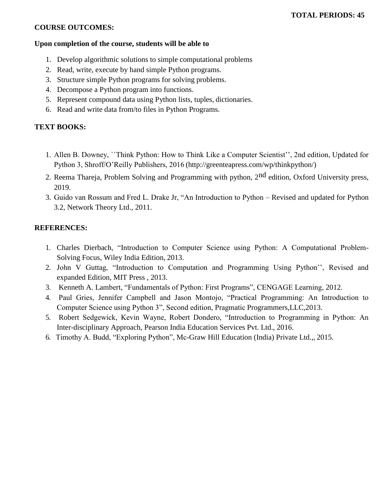# **COURSE OUTCOMES:**

### **Upon completion of the course, students will be able to**

- 1. Develop algorithmic solutions to simple computational problems
- 2. Read, write, execute by hand simple Python programs.
- 3. Structure simple Python programs for solving problems.
- 4. Decompose a Python program into functions.
- 5. Represent compound data using Python lists, tuples, dictionaries.
- 6. Read and write data from/to files in Python Programs.

# **TEXT BOOKS:**

- 1. Allen B. Downey, ``Think Python: How to Think Like a Computer Scientist"", 2nd edition, Updated for Python 3, Shroff/O"Reilly Publishers, 2016 [\(http://greenteapress.com/wp/thinkpython/\)](http://greenteapress.com/wp/thinkpython/)
- 2. Reema Thareja, Problem Solving and Programming with python, 2<sup>nd</sup> edition, Oxford University press, 2019.
- 3. Guido van Rossum and Fred L. Drake Jr, "An Introduction to Python Revised and updated for Python 3.2, Network Theory Ltd., 2011.

# **REFERENCES:**

- 1. Charles Dierbach, "Introduction to Computer Science using Python: A Computational Problem-Solving Focus, Wiley India Edition, 2013.
- 2. John V Guttag, "Introduction to Computation and Programming Using Python"", Revised and expanded Edition, MIT Press , 2013.
- 3. Kenneth A. Lambert, "Fundamentals of Python: First Programs", CENGAGE Learning, 2012.
- 4. Paul Gries, Jennifer Campbell and Jason Montojo, "Practical Programming: An Introduction to Computer Science using Python 3", Second edition, Pragmatic Programmers,LLC,2013.
- 5. Robert Sedgewick, Kevin Wayne, Robert Dondero, "Introduction to Programming in Python: An Inter-disciplinary Approach, Pearson India Education Services Pvt. Ltd., 2016.
- 6. Timothy A. Budd, "Exploring Python", Mc-Graw Hill Education (India) Private Ltd.,, 2015.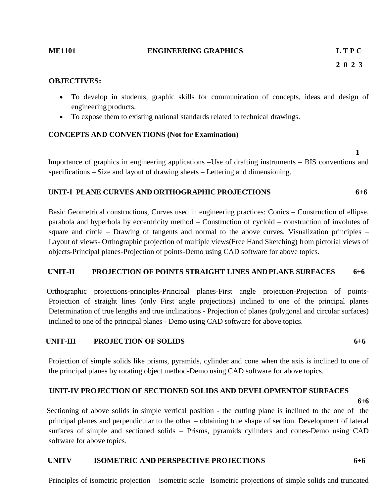### **ME1101 ENGINEERING GRAPHICS L T P C**

**2 0 2 3**

### **OBJECTIVES:**

- To develop in students, graphic skills for communication of concepts, ideas and design of engineering products.
- To expose them to existing national standards related to technical drawings.

# **CONCEPTS AND CONVENTIONS (Not for Examination)**

 **1**

Importance of graphics in engineering applications –Use of drafting instruments – BIS conventions and specifications – Size and layout of drawing sheets – Lettering and dimensioning.

### **UNIT-I PLANE CURVES AND ORTHOGRAPHIC PROJECTIONS 6+6**

 Basic Geometrical constructions, Curves used in engineering practices: Conics – Construction of ellipse, parabola and hyperbola by eccentricity method – Construction of cycloid – construction of involutes of square and circle – Drawing of tangents and normal to the above curves. Visualization principles – Layout of views- Orthographic projection of multiple views(Free Hand Sketching) from pictorial views of objects-Principal planes-Projection of points-Demo using CAD software for above topics.

# **UNIT-II PROJECTION OF POINTS STRAIGHT LINES ANDPLANE SURFACES 6+6**

 Orthographic projections-principles-Principal planes-First angle projection-Projection of points-Projection of straight lines (only First angle projections) inclined to one of the principal planes Determination of true lengths and true inclinations - Projection of planes (polygonal and circular surfaces) inclined to one of the principal planes - Demo using CAD software for above topics.

# **UNIT-III PROJECTION OF SOLIDS 6+6**

 Projection of simple solids like prisms, pyramids, cylinder and cone when the axis is inclined to one of the principal planes by rotating object method-Demo using CAD software for above topics.

# **UNIT-IV PROJECTION OF SECTIONED SOLIDS AND DEVELOPMENTOF SURFACES**

**6+6**

 Sectioning of above solids in simple vertical position - the cutting plane is inclined to the one of the principal planes and perpendicular to the other – obtaining true shape of section. Development of lateral surfaces of simple and sectioned solids – Prisms, pyramids cylinders and cones-Demo using CAD software for above topics.

# **UNITV ISOMETRIC AND PERSPECTIVE PROJECTIONS 6+6**

Principles of isometric projection – isometric scale –Isometric projections of simple solids and truncated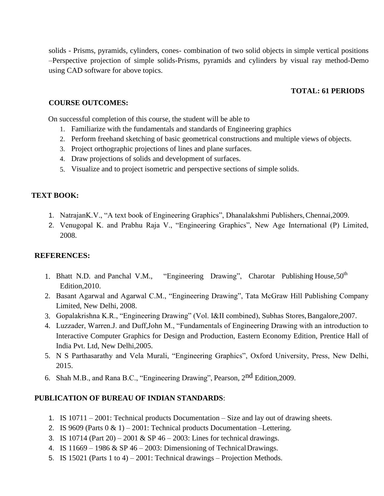solids - Prisms, pyramids, cylinders, cones- combination of two solid objects in simple vertical positions –Perspective projection of simple solids-Prisms, pyramids and cylinders by visual ray method-Demo using CAD software for above topics.

# **TOTAL: 61 PERIODS**

### **COURSE OUTCOMES:**

On successful completion of this course, the student will be able to

- 1. Familiarize with the fundamentals and standards of Engineering graphics
- 2. Perform freehand sketching of basic geometrical constructions and multiple views of objects.
- 3. Project orthographic projections of lines and plane surfaces.
- 4. Draw projections of solids and development of surfaces.
- 5. Visualize and to project isometric and perspective sections of simple solids.

### **TEXT BOOK:**

- 1. NatrajanK.V., "A text book of Engineering Graphics", Dhanalakshmi Publishers,Chennai,2009.
- 2. Venugopal K. and Prabhu Raja V., "Engineering Graphics", New Age International (P) Limited, 2008.

### **REFERENCES:**

- 1. Bhatt N.D. and Panchal V.M., "Engineering Drawing", Charotar Publishing House,  $50<sup>th</sup>$ Edition,2010.
- 2. Basant Agarwal and Agarwal C.M., "Engineering Drawing", Tata McGraw Hill Publishing Company Limited, New Delhi, 2008.
- 3. Gopalakrishna K.R., "Engineering Drawing" (Vol. I&II combined), Subhas Stores,Bangalore,2007.
- 4. Luzzader, Warren.J. and Duff,John M., "Fundamentals of Engineering Drawing with an introduction to Interactive Computer Graphics for Design and Production, Eastern Economy Edition, Prentice Hall of India Pvt. Ltd, New Delhi,2005.
- 5. N S Parthasarathy and Vela Murali, "Engineering Graphics", Oxford University, Press, New Delhi, 2015.
- 6. Shah M.B., and Rana B.C., "Engineering Drawing", Pearson, 2nd Edition,2009.

### **PUBLICATION OF BUREAU OF INDIAN STANDARDS**:

- 1. IS 10711 2001: Technical products Documentation Size and lay out of drawing sheets.
- 2. IS 9609 (Parts  $0 \& 1$ ) 2001: Technical products Documentation –Lettering.
- 3. IS 10714 (Part 20) 2001 & SP 46 2003: Lines for technical drawings.
- 4. IS  $11669 1986 \& SP 46 2003$ : Dimensioning of Technical Drawings.
- 5. IS 15021 (Parts 1 to 4) 2001: Technical drawings Projection Methods.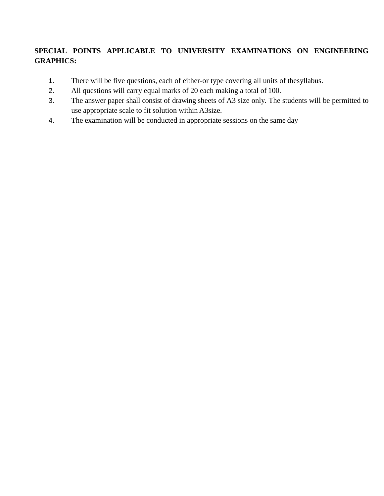# **SPECIAL POINTS APPLICABLE TO UNIVERSITY EXAMINATIONS ON ENGINEERING GRAPHICS:**

- 1. There will be five questions, each of either-or type covering all units of thesyllabus.
- 2. All questions will carry equal marks of 20 each making a total of 100.
- 3. The answer paper shall consist of drawing sheets of A3 size only. The students will be permitted to use appropriate scale to fit solution within A3size.
- 4. The examination will be conducted in appropriate sessions on the same day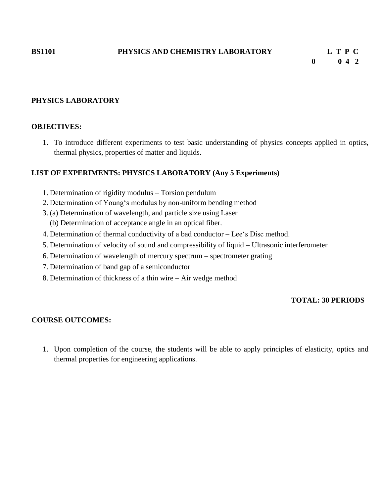### **PHYSICS LABORATORY**

### **OBJECTIVES:**

1. To introduce different experiments to test basic understanding of physics concepts applied in optics, thermal physics, properties of matter and liquids.

# **LIST OF EXPERIMENTS: PHYSICS LABORATORY (Any 5 Experiments)**

- 1. Determination of rigidity modulus Torsion pendulum
- 2. Determination of Young"s modulus by non-uniform bending method
- 3. (a) Determination of wavelength, and particle size using Laser
	- (b) Determination of acceptance angle in an optical fiber.
- 4. Determination of thermal conductivity of a bad conductor Lee"s Disc method.
- 5. Determination of velocity of sound and compressibility of liquid Ultrasonic interferometer
- 6. Determination of wavelength of mercury spectrum spectrometer grating
- 7. Determination of band gap of a semiconductor
- 8. Determination of thickness of a thin wire Air wedge method

# **TOTAL: 30 PERIODS**

### **COURSE OUTCOMES:**

1. Upon completion of the course, the students will be able to apply principles of elasticity, optics and thermal properties for engineering applications.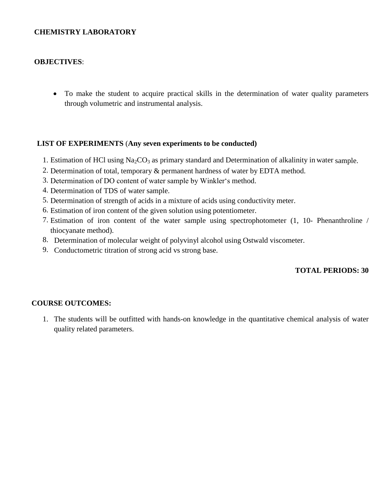# **CHEMISTRY LABORATORY**

# **OBJECTIVES**:

 To make the student to acquire practical skills in the determination of water quality parameters through volumetric and instrumental analysis.

# **LIST OF EXPERIMENTS** (**Any seven experiments to be conducted)**

- 1. Estimation of HCl using  $Na<sub>2</sub>CO<sub>3</sub>$  as primary standard and Determination of alkalinity in water sample.
- 2. Determination of total, temporary & permanent hardness of water by EDTA method.
- 3. Determination of DO content of water sample by Winkler"s method.
- 4. Determination of TDS of water sample.
- 5. Determination of strength of acids in a mixture of acids using conductivity meter.
- 6. Estimation of iron content of the given solution using potentiometer.
- 7. Estimation of iron content of the water sample using spectrophotometer (1, 10- Phenanthroline / thiocyanate method).
- 8. Determination of molecular weight of polyvinyl alcohol using Ostwald viscometer.
- 9. Conductometric titration of strong acid vs strong base.

# **TOTAL PERIODS: 30**

# **COURSE OUTCOMES:**

1. The students will be outfitted with hands-on knowledge in the quantitative chemical analysis of water quality related parameters.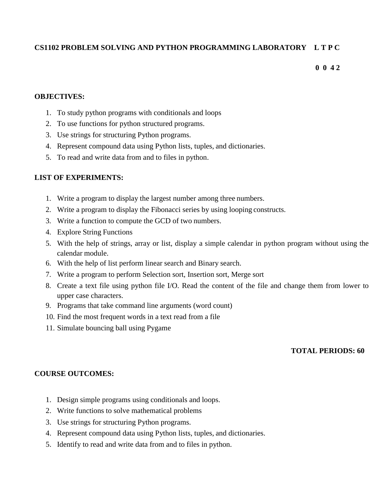# **CS1102 PROBLEM SOLVING AND PYTHON PROGRAMMING LABORATORY L T P C**

**0 0 4 2**

# **OBJECTIVES:**

- 1. To study python programs with conditionals and loops
- 2. To use functions for python structured programs.
- 3. Use strings for structuring Python programs.
- 4. Represent compound data using Python lists, tuples, and dictionaries.
- 5. To read and write data from and to files in python.

# **LIST OF EXPERIMENTS:**

- 1. Write a program to display the largest number among three numbers.
- 2. Write a program to display the Fibonacci series by using looping constructs.
- 3. Write a function to compute the GCD of two numbers.
- 4. Explore String Functions
- 5. With the help of strings, array or list, display a simple calendar in python program without using the calendar module.
- 6. With the help of list perform linear search and Binary search.
- 7. Write a program to perform Selection sort, Insertion sort, Merge sort
- 8. Create a text file using python file I/O. Read the content of the file and change them from lower to upper case characters.
- 9. Programs that take command line arguments (word count)
- 10. Find the most frequent words in a text read from a file
- 11. Simulate bouncing ball using Pygame

# **TOTAL PERIODS: 60**

# **COURSE OUTCOMES:**

- 1. Design simple programs using conditionals and loops.
- 2. Write functions to solve mathematical problems
- 3. Use strings for structuring Python programs.
- 4. Represent compound data using Python lists, tuples, and dictionaries.
- 5. Identify to read and write data from and to files in python.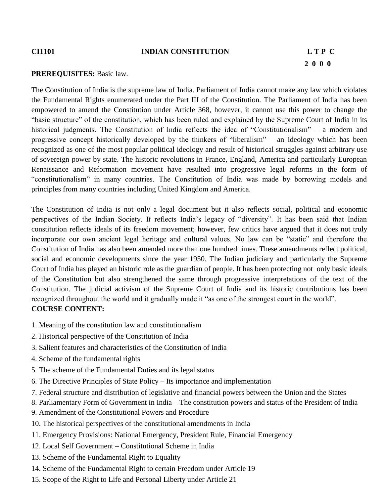# **2 0 0 0**

### **PREREQUISITES:** Basic law.

The Constitution of India is the supreme law of India. Parliament of India cannot make any law which violates the Fundamental Rights enumerated under the Part III of the Constitution. The Parliament of India has been empowered to amend the Constitution under Article 368, however, it cannot use this power to change the "basic structure" of the constitution, which has been ruled and explained by the Supreme Court of India in its historical judgments. The Constitution of India reflects the idea of "Constitutionalism" – a modern and progressive concept historically developed by the thinkers of "liberalism" – an ideology which has been recognized as one of the most popular political ideology and result of historical struggles against arbitrary use of sovereign power by state. The historic revolutions in France, England, America and particularly European Renaissance and Reformation movement have resulted into progressive legal reforms in the form of "constitutionalism" in many countries. The Constitution of India was made by borrowing models and principles from many countries including United Kingdom and America.

The Constitution of India is not only a legal document but it also reflects social, political and economic perspectives of the Indian Society. It reflects India"s legacy of "diversity". It has been said that Indian constitution reflects ideals of its freedom movement; however, few critics have argued that it does not truly incorporate our own ancient legal heritage and cultural values. No law can be "static" and therefore the Constitution of India has also been amended more than one hundred times. These amendments reflect political, social and economic developments since the year 1950. The Indian judiciary and particularly the Supreme Court of India has played an historic role as the guardian of people. It has been protecting not only basic ideals of the Constitution but also strengthened the same through progressive interpretations of the text of the Constitution. The judicial activism of the Supreme Court of India and its historic contributions has been recognized throughout the world and it gradually made it "as one of the strongest court in the world". **COURSE CONTENT:**

- 1. Meaning of the constitution law and constitutionalism
- 2. Historical perspective of the Constitution of India
- 3. Salient features and characteristics of the Constitution of India
- 4. Scheme of the fundamental rights
- 5. The scheme of the Fundamental Duties and its legal status
- 6. The Directive Principles of State Policy Its importance and implementation
- 7. Federal structure and distribution of legislative and financial powers between the Union and the States
- 8. Parliamentary Form of Government in India The constitution powers and status of the President of India
- 9. Amendment of the Constitutional Powers and Procedure
- 10. The historical perspectives of the constitutional amendments in India
- 11. Emergency Provisions: National Emergency, President Rule, Financial Emergency
- 12. Local Self Government Constitutional Scheme in India
- 13. Scheme of the Fundamental Right to Equality
- 14. Scheme of the Fundamental Right to certain Freedom under Article 19
- 15. Scope of the Right to Life and Personal Liberty under Article 21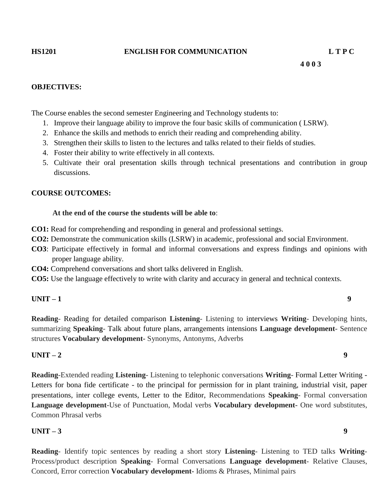### **OBJECTIVES:**

The Course enables the second semester Engineering and Technology students to:

- 1. Improve their language ability to improve the four basic skills of communication ( LSRW).
- 2. Enhance the skills and methods to enrich their reading and comprehending ability.
- 3. Strengthen their skills to listen to the lectures and talks related to their fields of studies.
- 4. Foster their ability to write effectively in all contexts.
- 5. Cultivate their oral presentation skills through technical presentations and contribution in group discussions.

### **COURSE OUTCOMES:**

### **At the end of the course the students will be able to**:

- **CO1:** Read for comprehending and responding in general and professional settings.
- **CO2:** Demonstrate the communication skills (LSRW) in academic, professional and social Environment.
- **CO3**: Participate effectively in formal and informal conversations and express findings and opinions with proper language ability.
- **CO4:** Comprehend conversations and short talks delivered in English.
- **CO5:** Use the language effectively to write with clarity and accuracy in general and technical contexts.

# **UNIT – 1 9**

**Reading**- Reading for detailed comparison **Listening**- Listening to interviews **Writing**- Developing hints, summarizing **Speaking**- Talk about future plans, arrangements intensions **Language development**- Sentence structures **Vocabulary development-** Synonyms, Antonyms, Adverbs

# **UNIT – 2 9**

**Reading**-Extended reading **Listening**- Listening to telephonic conversations **Writing**- Formal Letter Writing - Letters for bona fide certificate - to the principal for permission for in plant training, industrial visit, paper presentations, inter college events, Letter to the Editor, Recommendations **Speaking**- Formal conversation **Language development**-Use of Punctuation, Modal verbs **Vocabulary development-** One word substitutes, Common Phrasal verbs

# **UNIT – 3 9**

**Reading**- Identify topic sentences by reading a short story **Listening**- Listening to TED talks **Writing**-Process/product description **Speaking**- Formal Conversations **Language development**- Relative Clauses, Concord, Error correction **Vocabulary development-** Idioms & Phrases, Minimal pairs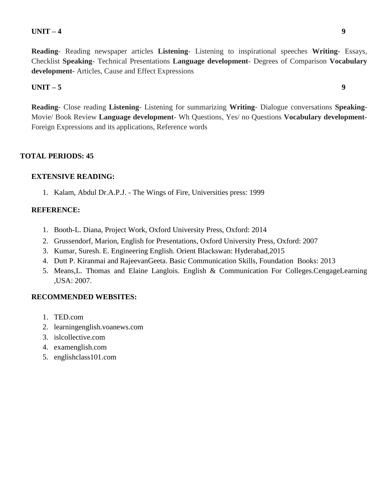# **UNIT – 4 9**

**Reading**- Reading newspaper articles **Listening**- Listening to inspirational speeches **Writing**- Essays, Checklist **Speaking**- Technical Presentations **Language development**- Degrees of Comparison **Vocabulary development-** Articles, Cause and Effect Expressions

# **UNIT – 5 9**

**Reading**- Close reading **Listening**- Listening for summarizing **Writing**- Dialogue conversations **Speaking**-Movie/ Book Review **Language development**- Wh Questions, Yes/ no Questions **Vocabulary development-**Foreign Expressions and its applications, Reference words

# **TOTAL PERIODS: 45**

# **EXTENSIVE READING:**

1. Kalam, Abdul Dr.A.P.J. - The Wings of Fire, Universities press: 1999

# **REFERENCE:**

- 1. Booth-L. Diana, Project Work, Oxford University Press, Oxford: 2014
- 2. Grussendorf, Marion, English for Presentations, Oxford University Press, Oxford: 2007
- 3. Kumar, Suresh. E. Engineering English. Orient Blackswan: Hyderabad,2015
- 4. Dutt P. Kiranmai and RajeevanGeeta. Basic Communication Skills, Foundation Books: 2013
- 5. Means,L. Thomas and Elaine Langlois. English & Communication For Colleges.CengageLearning ,USA: 2007.

# **RECOMMENDED WEBSITES:**

- 1. TED.com
- 2. learningenglish.voanews.com
- 3. [islcollective.com](http://www.islcollective.com/)
- 4. examenglish.com
- 5. englishclass101.com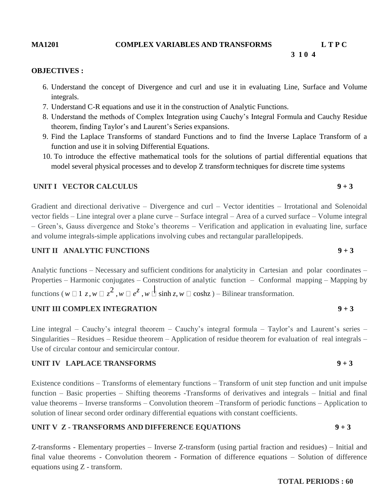# **MA1201 COMPLEX VARIABLES AND TRANSFORMS L T P C**

# **OBJECTIVES :**

- 6. Understand the concept of Divergence and curl and use it in evaluating Line, Surface and Volume integrals.
- 7. Understand C-R equations and use it in the construction of Analytic Functions.

 **3 1 0 4**

- 8. Understand the methods of Complex Integration using Cauchy"s Integral Formula and Cauchy Residue theorem, finding Taylor"s and Laurent"s Series expansions.
- 9. Find the Laplace Transforms of standard Functions and to find the Inverse Laplace Transform of a function and use it in solving Differential Equations.
- 10. To introduce the effective mathematical tools for the solutions of partial differential equations that model several physical processes and to develop Z transform techniques for discrete time systems

# **UNIT I** VECTOR CALCULUS 9 + 3

Gradient and directional derivative – Divergence and curl – Vector identities – Irrotational and Solenoidal vector fields – Line integral over a plane curve – Surface integral – Area of a curved surface – Volume integral – Green"s, Gauss divergence and Stoke"s theorems – Verification and application in evaluating line, surface and volume integrals-simple applications involving cubes and rectangular parallelopipeds.

# **UNIT II ANALYTIC FUNCTIONS 9 + 3**

Analytic functions – Necessary and sufficient conditions for analyticity in Cartesian and polar coordinates – Properties – Harmonic conjugates – Construction of analytic function – Conformal mapping – Mapping by functions ( $w \Box 1$  *z*,  $w \Box z^2$ ,  $w \Box e^z$ ,  $w \Box \sinh z$ ,  $w \Box \cosh z$ ) – Bilinear transformation.

# **UNIT III COMPLEX INTEGRATION 9 + 3**

Line integral – Cauchy's integral theorem – Cauchy's integral formula – Taylor's and Laurent's series – Singularities – Residues – Residue theorem – Application of residue theorem for evaluation of real integrals – Use of circular contour and semicircular contour.

# **UNIT IV LAPLACE TRANSFORMS** 9 + 3

Existence conditions – Transforms of elementary functions – Transform of unit step function and unit impulse function – Basic properties – Shifting theorems -Transforms of derivatives and integrals – Initial and final value theorems – Inverse transforms – Convolution theorem –Transform of periodic functions – Application to solution of linear second order ordinary differential equations with constant coefficients.

# **UNIT V Z - TRANSFORMS AND DIFFERENCE EQUATIONS 9 + 3**

Z-transforms - Elementary properties – Inverse Z-transform (using partial fraction and residues) – Initial and final value theorems - Convolution theorem - Formation of difference equations – Solution of difference equations using Z - transform.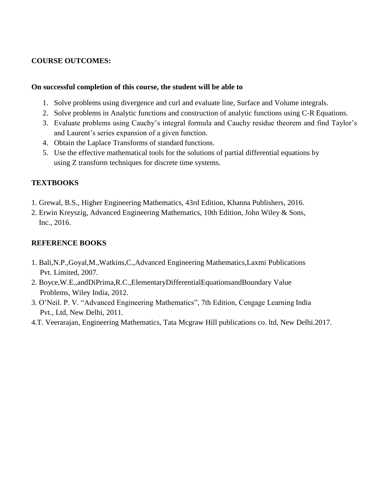# **COURSE OUTCOMES:**

# **On successful completion of this course, the student will be able to**

- 1. Solve problems using divergence and curl and evaluate line, Surface and Volume integrals.
- 2. Solve problems in Analytic functions and construction of analytic functions using C-R Equations.
- 3. Evaluate problems using Cauchy"s integral formula and Cauchy residue theorem and find Taylor"s and Laurent's series expansion of a given function.
- 4. Obtain the Laplace Transforms of standard functions.
- 5. Use the effective mathematical tools for the solutions of partial differential equations by using Z transform techniques for discrete time systems.

# **TEXTBOOKS**

- 1. Grewal, B.S., Higher Engineering Mathematics, 43rd Edition, Khanna Publishers, 2016.
- 2. Erwin Kreyszig, Advanced Engineering Mathematics, 10th Edition, John Wiley & Sons, Inc., 2016.

# **REFERENCE BOOKS**

- 1. Bali,N.P.,Goyal,M.,Watkins,C.,Advanced Engineering Mathematics,Laxmi Publications Pvt. Limited, 2007.
- 2. Boyce,W.E.,andDiPrima,R.C.,ElementaryDifferentialEquationsandBoundary Value Problems, Wiley India, 2012.
- 3. O"Neil. P. V. "Advanced Engineering Mathematics", 7th Edition, Cengage Learning India Pvt., Ltd, New Delhi, 2011.
- 4.T. Veerarajan, Engineering Mathematics, Tata Mcgraw Hill publications co. ltd, New Delhi.2017.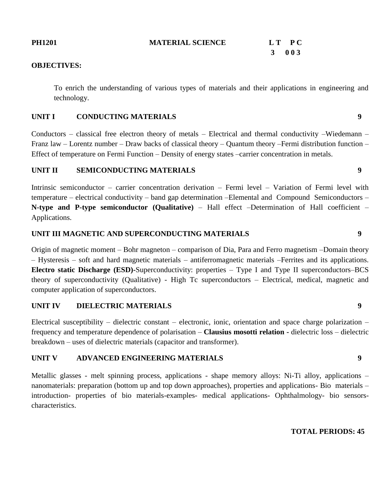# **PH1201 MATERIAL SCIENCE L T P** C

# **3 0 0 3 0**

# **OBJECTIVES:**

To enrich the understanding of various types of materials and their applications in engineering and technology.

# **UNIT I CONDUCTING MATERIALS 9**

Conductors – classical free electron theory of metals – Electrical and thermal conductivity –Wiedemann – Franz law – Lorentz number – Draw backs of classical theory – Quantum theory –Fermi distribution function – Effect of temperature on Fermi Function – Density of energy states –carrier concentration in metals.

# **UNIT II SEMICONDUCTING MATERIALS 9**

Intrinsic semiconductor – carrier concentration derivation – Fermi level – Variation of Fermi level with temperature – electrical conductivity – band gap determination –Elemental and Compound Semiconductors – **N-type and P-type semiconductor (Qualitative)** – Hall effect –Determination of Hall coefficient – Applications.

# **UNIT III MAGNETIC AND SUPERCONDUCTING MATERIALS 9**

Origin of magnetic moment – Bohr magneton – comparison of Dia, Para and Ferro magnetism –Domain theory – Hysteresis – soft and hard magnetic materials – antiferromagnetic materials –Ferrites and its applications. **Electro static Discharge (ESD)-**Superconductivity: properties – Type I and Type II superconductors–BCS theory of superconductivity (Qualitative) - High Tc superconductors – Electrical, medical, magnetic and computer application of superconductors.

# **UNIT IV DIELECTRIC MATERIALS 9**

Electrical susceptibility – dielectric constant – electronic, ionic, orientation and space charge polarization – frequency and temperature dependence of polarisation – **Clausius mosotti relation -** dielectric loss – dielectric breakdown – uses of dielectric materials (capacitor and transformer).

# **UNIT V ADVANCED ENGINEERING MATERIALS 9**

Metallic glasses - melt spinning process, applications - shape memory alloys: Ni-Ti alloy, applications – nanomaterials: preparation (bottom up and top down approaches), properties and applications- Bio materials – introduction- properties of bio materials-examples- medical applications- Ophthalmology- bio sensorscharacteristics.

# **TOTAL PERIODS: 45**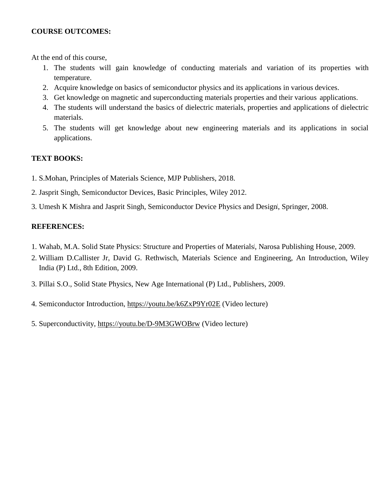# **COURSE OUTCOMES:**

At the end of this course,

- 1. The students will gain knowledge of conducting materials and variation of its properties with temperature.
- 2. Acquire knowledge on basics of semiconductor physics and its applications in various devices.
- 3. Get knowledge on magnetic and superconducting materials properties and their various applications.
- 4. The students will understand the basics of dielectric materials, properties and applications of dielectric materials.
- 5. The students will get knowledge about new engineering materials and its applications in social applications.

# **TEXT BOOKS:**

- 1. S.Mohan, Principles of Materials Science, MJP Publishers, 2018.
- 2. Jasprit Singh, Semiconductor Devices, Basic Principles, Wiley 2012.
- 3. Umesh K Mishra and Jasprit Singh, Semiconductor Device Physics and Design, Springer, 2008.

# **REFERENCES:**

- 1. Wahab, M.A. Solid State Physics: Structure and Properties of Materials, Narosa Publishing House, 2009.
- 2. William D.Callister Jr, David G. Rethwisch, Materials Science and Engineering, An Introduction, Wiley India (P) Ltd., 8th Edition, 2009.
- 3. Pillai S.O., Solid State Physics, New Age International (P) Ltd., Publishers, 2009.
- 4. Semiconductor Introduction,<https://youtu.be/k6ZxP9Yr02E> (Video lecture)
- 5. Superconductivity,<https://youtu.be/D-9M3GWOBrw> (Video lecture)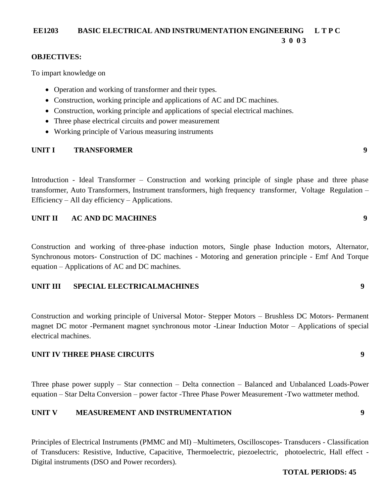# **EE1203 BASIC ELECTRICAL AND INSTRUMENTATION ENGINEERING L T P C 3 0 0 3**

# **OBJECTIVES:**

To impart knowledge on

- Operation and working of transformer and their types.
- Construction, working principle and applications of AC and DC machines.
- Construction, working principle and applications of special electrical machines.
- Three phase electrical circuits and power measurement
- Working principle of Various measuring instruments

# **UNIT I TRANSFORMER 9**

Introduction - Ideal Transformer – Construction and working principle of single phase and three phase transformer, Auto Transformers, Instrument transformers, high frequency transformer, Voltage Regulation – Efficiency – All day efficiency – Applications.

# **UNIT II AC AND DC MACHINES 9**

Construction and working of three-phase induction motors, Single phase Induction motors, Alternator, Synchronous motors- Construction of DC machines - Motoring and generation principle - Emf And Torque equation – Applications of AC and DC machines.

# **UNIT III SPECIAL ELECTRICALMACHINES 9**

Construction and working principle of Universal Motor- Stepper Motors – Brushless DC Motors- Permanent magnet DC motor -Permanent magnet synchronous motor -Linear Induction Motor – Applications of special electrical machines.

# **UNIT IV THREE PHASE CIRCUITS 9**

Three phase power supply – Star connection – Delta connection – Balanced and Unbalanced Loads-Power equation – Star Delta Conversion – power factor -Three Phase Power Measurement -Two wattmeter method.

# **UNIT V MEASUREMENT AND INSTRUMENTATION 9**

Principles of Electrical Instruments (PMMC and MI) –Multimeters, Oscilloscopes- Transducers - Classification of Transducers: Resistive, Inductive, Capacitive, Thermoelectric, piezoelectric, photoelectric, Hall effect - Digital instruments (DSO and Power recorders).

# **TOTAL PERIODS: 45**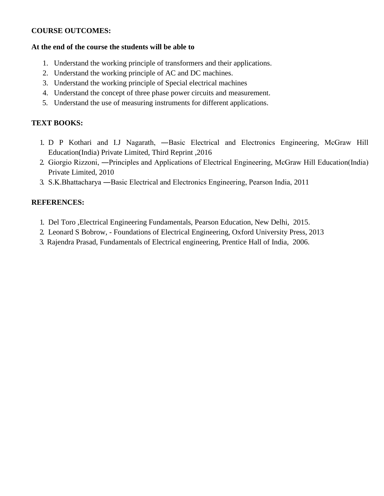# **COURSE OUTCOMES:**

# **At the end of the course the students will be able to**

- 1. Understand the working principle of transformers and their applications.
- 2. Understand the working principle of AC and DC machines.
- 3. Understand the working principle of Special electrical machines
- 4. Understand the concept of three phase power circuits and measurement.
- 5. Understand the use of measuring instruments for different applications.

# **TEXT BOOKS:**

- 1. D P Kothari and I.J Nagarath, ―Basic Electrical and Electronics Engineering, McGraw Hill Education(India) Private Limited, Third Reprint ,2016
- 2. Giorgio Rizzoni, ―Principles and Applications of Electrical Engineering, McGraw Hill Education(India) Private Limited, 2010
- 3. S.K.Bhattacharya ―Basic Electrical and Electronics Engineering, Pearson India, 2011

# **REFERENCES:**

- 1. Del Toro ,Electrical Engineering Fundamentals, Pearson Education, New Delhi, 2015.
- 2. Leonard S Bobrow, Foundations of Electrical Engineering, Oxford University Press, 2013
- 3. Rajendra Prasad, Fundamentals of Electrical engineering, Prentice Hall of India, 2006.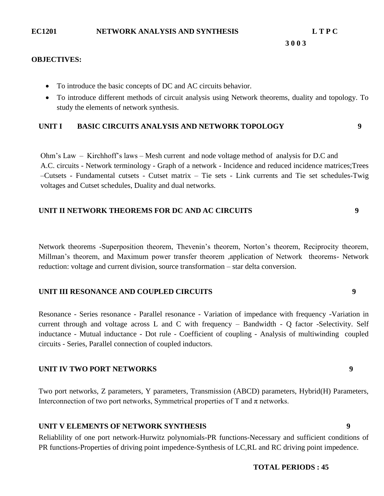### **3 0 0 3**

### **OBJECTIVES:**

- To introduce the basic concepts of DC and AC circuits behavior.
- To introduce different methods of circuit analysis using Network theorems, duality and topology. To study the elements of network synthesis.

# **UNIT I BASIC CIRCUITS ANALYSIS AND NETWORK TOPOLOGY 9**

Ohm"s Law – Kirchhoff"s laws – Mesh current and node voltage method of analysis for D.C and A.C. circuits - Network terminology - Graph of a network - Incidence and reduced incidence matrices;Trees –Cutsets - Fundamental cutsets - Cutset matrix – Tie sets - Link currents and Tie set schedules-Twig voltages and Cutset schedules, Duality and dual networks.

# **UNIT II NETWORK THEOREMS FOR DC AND AC CIRCUITS 9**

Network theorems -Superposition theorem, Thevenin"s theorem, Norton"s theorem, Reciprocity theorem, Millman"s theorem, and Maximum power transfer theorem ,application of Network theorems- Network reduction: voltage and current division, source transformation – star delta conversion.

# **UNIT III RESONANCE AND COUPLED CIRCUITS 9**

Resonance - Series resonance - Parallel resonance - Variation of impedance with frequency -Variation in current through and voltage across L and C with frequency – Bandwidth - Q factor -Selectivity. Self inductance - Mutual inductance - Dot rule - Coefficient of coupling - Analysis of multiwinding coupled circuits - Series, Parallel connection of coupled inductors.

# **UNIT IV TWO PORT NETWORKS 9**

Two port networks, Z parameters, Y parameters, Transmission (ABCD) parameters, Hybrid(H) Parameters, Interconnection of two port networks, Symmetrical properties of T and  $\pi$  networks.

# **UNIT V ELEMENTS OF NETWORK SYNTHESIS 9**

Reliablility of one port network-Hurwitz polynomials-PR functions-Necessary and sufficient conditions of PR functions-Properties of driving point impedence-Synthesis of LC,RL and RC driving point impedence.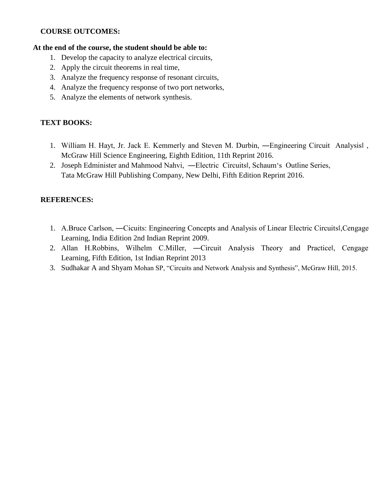# **COURSE OUTCOMES:**

# **At the end of the course, the student should be able to:**

- 1. Develop the capacity to analyze electrical circuits,
- 2. Apply the circuit theorems in real time,
- 3. Analyze the frequency response of resonant circuits,
- 4. Analyze the frequency response of two port networks,
- 5. Analyze the elements of network synthesis.

# **TEXT BOOKS:**

- 1. William H. Hayt, Jr. Jack E. Kemmerly and Steven M. Durbin, ―Engineering Circuit Analysis‖ , McGraw Hill Science Engineering, Eighth Edition, 11th Reprint 2016.
- 2. Joseph Edminister and Mahmood Nahvi, ―Electric Circuits‖, Schaum"s Outline Series, Tata McGraw Hill Publishing Company, New Delhi, Fifth Edition Reprint 2016.

# **REFERENCES:**

- 1. A.Bruce Carlson, ―Cicuits: Engineering Concepts and Analysis of Linear Electric Circuits‖,Cengage Learning, India Edition 2nd Indian Reprint 2009.
- 2. Allan H.Robbins, Wilhelm C.Miller, ―Circuit Analysis Theory and Practice‖, Cengage Learning, Fifth Edition, 1st Indian Reprint 2013
- 3. Sudhakar A and Shyam Mohan SP, "Circuits and Network Analysis and Synthesis", McGraw Hill, 2015.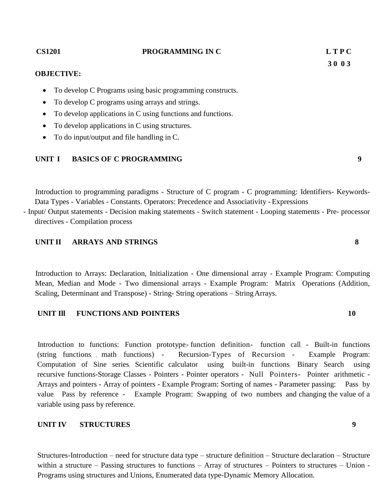Structures-Introduction – need for structure data type – structure definition – Structure declaration – Structure within a structure – Passing structures to functions – Array of structures – Pointers to structures – Union -Programs using structures and Unions, Enumerated data type-Dynamic Memory Allocation.

### **OBJECTIVE:**

- To develop C Programs using basic programming constructs.
- To develop C programs using arrays and strings.
- To develop applications in C using functions and functions.
- To develop applications in C using structures.
- To do input/output and file handling in C.

# **UNIT I BASICS OF C PROGRAMMING 9**

Introduction to programming paradigms - Structure of C program - C programming: Identifiers- Keywords-Data Types - Variables - Constants. Operators: Precedence and Associativity - Expressions - Input/ Output statements - Decision making statements - Switch statement - Looping statements - Pre- processor

directives - Compilation process

# **UNIT II ARRAYS AND STRINGS 8**

Introduction to Arrays: Declaration, Initialization - One dimensional array - Example Program: Computing Mean, Median and Mode - Two dimensional arrays - Example Program: Matrix Operations (Addition, Scaling, Determinant and Transpose) - String- String operations – StringArrays.

# **UNIT Ill FUNCTIONS AND POINTERS 10**

Introduction to functions: Function prototype,- function definition,- function call, - Built-in functions (string functions, , math functions) - Recursion-Types of Recursion - Example Program: Computation of Sine series, Scientific calculator using built-in functions, Binary Search using recursive functions-Storage Classes - Pointers - Pointer operators - Null Pointers- Pointer arithmetic - Arrays and pointers - Array of pointers - Example Program: Sorting of names - Parameter passing: Pass by value, Pass by reference - Example Program: Swapping of two numbers and changing the value of a variable using pass by reference.

# **UNIT IV STRUCTURES 9**

# **CS1201 PROGRAMMING IN C L T P C**

**3 0 0 3**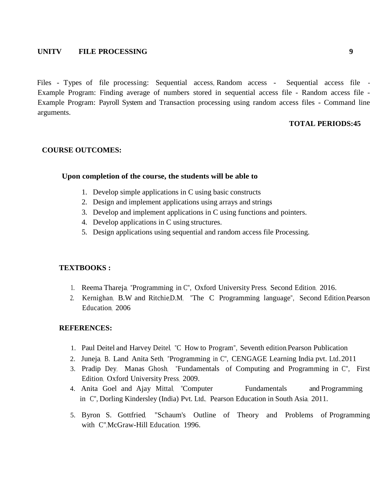# **UNITV FILE PROCESSING 9**

Files - Types of file processing: Sequential access, Random access - Sequential access file -Example Program: Finding average of numbers stored in sequential access file - Random access file - Example Program: Payroll System and Transaction processing using random access files - Command line arguments.

# **TOTAL PERIODS:45**

### **COURSE OUTCOMES:**

### **Upon completion of the course, the students will be able to**

- 1. Develop simple applications in C using basic constructs
- 2. Design and implement applications using arrays and strings
- 3. Develop and implement applications in C using functions and pointers.
- 4. Develop applications in C using structures.
- 5. Design applications using sequential and random access file Processing.

### **TEXTBOOKS :**

- 1. Reema Thareja, "Programming in C", Oxford University Press, Second Edition, 2016.
- 2. Kernighan, B.W and Ritchie,D.M, "The C Programming language", Second Edition,Pearson Education, 2006

### **REFERENCES:**

- 1. Paul Deitel and Harvey Deitel, "C How to Program", Seventh edition, Pearson Publication
- 2. Juneja, B. Land Anita Seth, "Programming in C", CENGAGE Learning India pvt. Ltd.,2011
- 3. Pradip Dey, Manas Ghosh, "Fundamentals of Computing and Programming in C", First Edition, Oxford University Press, 2009.
- 4. Anita Goel and Ajay Mittal, "Computer Fundamentals and Programming in C", Dorling Kindersley (India) Pvt. Ltd., Pearson Education in South Asia, 2011.
- 5. Byron S. Gottfried, "Schaum's Outline of Theory and Problems of Programming with C"<sub>McGraw-Hill</sub> Education, 1996.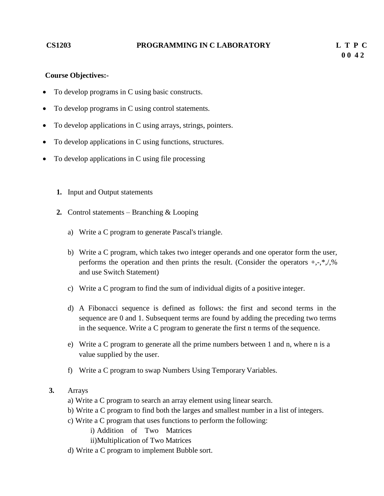### **CS1203 PROGRAMMING IN C LABORATORY L T P C**

# **Course Objectives:-**

- To develop programs in C using basic constructs.
- To develop programs in C using control statements.
- To develop applications in C using arrays, strings, pointers.
- To develop applications in C using functions, structures.
- To develop applications in C using file processing
	- **1.** Input and Output statements
	- **2.** Control statements Branching & Looping
		- a) Write a C program to generate Pascal's triangle.
		- b) Write a C program, which takes two integer operands and one operator form the user, performs the operation and then prints the result. (Consider the operators  $+, \cdot, *, \cdot \rangle$ % and use Switch Statement)
		- c) Write a C program to find the sum of individual digits of a positive integer.
		- d) A Fibonacci sequence is defined as follows: the first and second terms in the sequence are 0 and 1. Subsequent terms are found by adding the preceding two terms in the sequence. Write a C program to generate the first n terms of the sequence.
		- e) Write a C program to generate all the prime numbers between 1 and n, where n is a value supplied by the user.
		- f) Write a C program to swap Numbers Using Temporary Variables.

# **3.** Arrays

- a) Write a C program to search an array element using linear search.
- b) Write a C program to find both the larges and smallest number in a list of integers.
- c) Write a C program that uses functions to perform the following:
	- i) Addition of Two Matrices
	- ii)Multiplication of Two Matrices
- d) Write a C program to implement Bubble sort.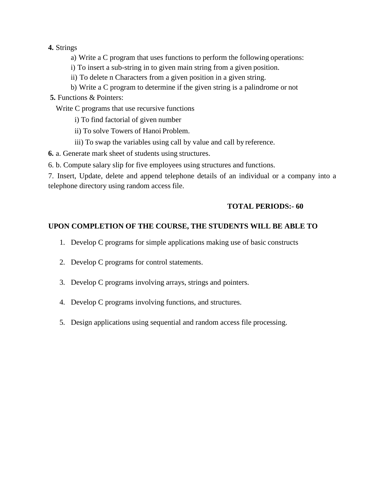# **4.** Strings

- a) Write a C program that uses functions to perform the following operations:
- i) To insert a sub-string in to given main string from a given position.
- ii) To delete n Characters from a given position in a given string.
- b) Write a C program to determine if the given string is a palindrome or not
- **5.** Functions & Pointers:

Write C programs that use recursive functions

- i) To find factorial of given number
- ii) To solve Towers of Hanoi Problem.
- iii) To swap the variables using call by value and call by reference.
- **6.** a. Generate mark sheet of students using structures.

6. b. Compute salary slip for five employees using structures and functions.

7. Insert, Update, delete and append telephone details of an individual or a company into a telephone directory using random access file.

# **TOTAL PERIODS:- 60**

# **UPON COMPLETION OF THE COURSE, THE STUDENTS WILL BE ABLE TO**

- 1. Develop C programs for simple applications making use of basic constructs
- 2. Develop C programs for control statements.
- 3. Develop C programs involving arrays, strings and pointers.
- 4. Develop C programs involving functions, and structures.
- 5. Design applications using sequential and random access file processing.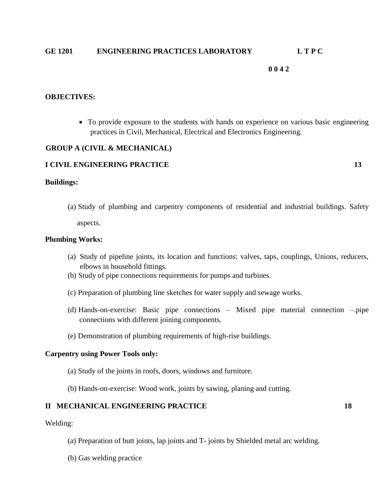# **GE 1201 ENGINEERING PRACTICES LABORATORY L T P C**

# **0 0 4 2**

### **OBJECTIVES:**

 To provide exposure to the students with hands on experience on various basic engineering practices in Civil, Mechanical, Electrical and Electronics Engineering.

### **GROUP A (CIVIL & MECHANICAL)**

### **I CIVIL ENGINEERING PRACTICE 13**

### **Buildings:**

(a) Study of plumbing and carpentry components of residential and industrial buildings. Safety aspects.

### **Plumbing Works:**

- (a) Study of pipeline joints, its location and functions: valves, taps, couplings, Unions, reducers, elbows in household fittings.
- (b) Study of pipe connections requirements for pumps and turbines.
- (c) Preparation of plumbing line sketches for water supply and sewage works.
- (d) Hands-on-exercise: Basic pipe connections Mixed pipe material connection –.pipe connections with different joining components.
- (e) Demonstration of plumbing requirements of high-rise buildings.

### **Carpentry using Power Tools only:**

- (a) Study of the joints in roofs, doors, windows and furniture.
- (b) Hands-on-exercise: Wood work, joints by sawing, planing and cutting.

### **II MECHANICAL ENGINEERING PRACTICE 18**

Welding:

- (a) Preparation of butt joints, lap joints and T- joints by Shielded metal arc welding.
- (b) Gas welding practice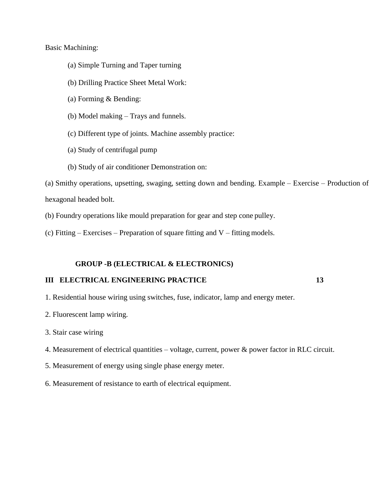Basic Machining:

- (a) Simple Turning and Taper turning
- (b) Drilling Practice Sheet Metal Work:
- (a) Forming & Bending:
- (b) Model making Trays and funnels.
- (c) Different type of joints. Machine assembly practice:
- (a) Study of centrifugal pump
- (b) Study of air conditioner Demonstration on:

(a) Smithy operations, upsetting, swaging, setting down and bending. Example – Exercise – Production of hexagonal headed bolt.

(b) Foundry operations like mould preparation for gear and step cone pulley.

(c) Fitting – Exercises – Preparation of square fitting and V – fitting models.

#### **GROUP -B (ELECTRICAL & ELECTRONICS)**

#### **III ELECTRICAL ENGINEERING PRACTICE 13**

- 1. Residential house wiring using switches, fuse, indicator, lamp and energy meter.
- 2. Fluorescent lamp wiring.
- 3. Stair case wiring
- 4. Measurement of electrical quantities voltage, current, power & power factor in RLC circuit.
- 5. Measurement of energy using single phase energy meter.
- 6. Measurement of resistance to earth of electrical equipment.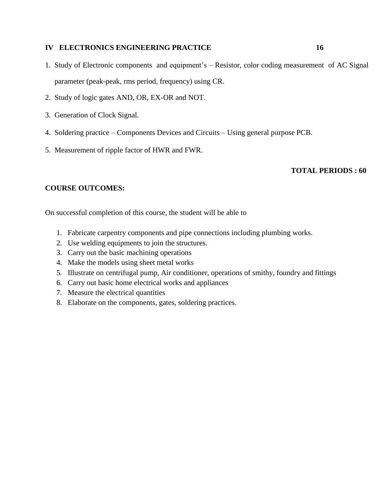#### **IV ELECTRONICS ENGINEERING PRACTICE 16**

- 1. Study of Electronic components and equipment"s Resistor, color coding measurement of AC Signal parameter (peak-peak, rms period, frequency) using CR.
- 2. Study of logic gates AND, OR, EX-OR and NOT.
- 3. Generation of Clock Signal.
- 4. Soldering practice Components Devices and Circuits Using general purpose PCB.
- 5. Measurement of ripple factor of HWR and FWR.

#### **TOTAL PERIODS : 60**

### **COURSE OUTCOMES:**

On successful completion of this course, the student will be able to

- 1. Fabricate carpentry components and pipe connections including plumbing works.
- 2. Use welding equipments to join the structures.
- 3. Carry out the basic machining operations
- 4. Make the models using sheet metal works
- 5. Illustrate on centrifugal pump, Air conditioner, operations of smithy, foundry and fittings
- 6. Carry out basic home electrical works and appliances
- 7. Measure the electrical quantities
- 8. Elaborate on the components, gates, soldering practices.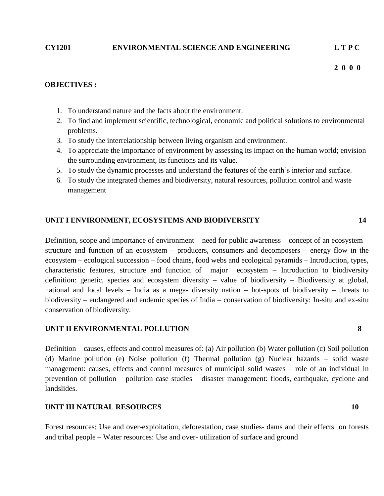#### **CY1201 ENVIRONMENTAL SCIENCE AND ENGINEERING L T P C**

 **2 0 0 0**

#### **OBJECTIVES :**

- 1. To understand nature and the facts about the environment.
- 2. To find and implement scientific, technological, economic and political solutions to environmental problems.
- 3. To study the interrelationship between living organism and environment.
- 4. To appreciate the importance of environment by assessing its impact on the human world; envision the surrounding environment, its functions and its value.
- 5. To study the dynamic processes and understand the features of the earth"s interior and surface.
- 6. To study the integrated themes and biodiversity, natural resources, pollution control and waste management

#### **UNIT I ENVIRONMENT, ECOSYSTEMS AND BIODIVERSITY 14**

Definition, scope and importance of environment – need for public awareness – concept of an ecosystem – structure and function of an ecosystem – producers, consumers and decomposers – energy flow in the ecosystem – ecological succession – food chains, food webs and ecological pyramids – Introduction, types, characteristic features, structure and function of major ecosystem – Introduction to biodiversity definition: genetic, species and ecosystem diversity – value of biodiversity – Biodiversity at global, national and local levels – India as a mega- diversity nation – hot-spots of biodiversity – threats to biodiversity – endangered and endemic species of India – conservation of biodiversity: In-situ and ex-situ conservation of biodiversity.

#### **UNIT II ENVIRONMENTAL POLLUTION 8**

Definition – causes, effects and control measures of: (a) Air pollution (b) Water pollution (c) Soil pollution (d) Marine pollution (e) Noise pollution (f) Thermal pollution (g) Nuclear hazards – solid waste management: causes, effects and control measures of municipal solid wastes – role of an individual in prevention of pollution – pollution case studies – disaster management: floods, earthquake, cyclone and landslides.

#### **UNIT III NATURAL RESOURCES 10**

Forest resources: Use and over-exploitation, deforestation, case studies- dams and their effects on forests and tribal people – Water resources: Use and over- utilization of surface and ground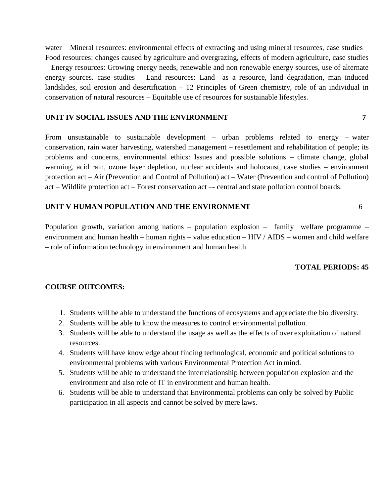water – Mineral resources: environmental effects of extracting and using mineral resources, case studies – Food resources: changes caused by agriculture and overgrazing, effects of modern agriculture, case studies – Energy resources: Growing energy needs, renewable and non renewable energy sources, use of alternate energy sources. case studies – Land resources: Land as a resource, land degradation, man induced landslides, soil erosion and desertification – 12 Principles of Green chemistry, role of an individual in conservation of natural resources – Equitable use of resources for sustainable lifestyles.

#### **UNIT IV SOCIAL ISSUES AND THE ENVIRONMENT 7**

From unsustainable to sustainable development – urban problems related to energy – water conservation, rain water harvesting, watershed management – resettlement and rehabilitation of people; its problems and concerns, environmental ethics: Issues and possible solutions – climate change, global warming, acid rain, ozone layer depletion, nuclear accidents and holocaust, case studies – environment protection act – Air (Prevention and Control of Pollution) act – Water (Prevention and control of Pollution) act – Wildlife protection act – Forest conservation act –- central and state pollution control boards.

#### **UNIT V HUMAN POPULATION AND THE ENVIRONMENT** 6

Population growth, variation among nations – population explosion – family welfare programme – environment and human health – human rights – value education – HIV / AIDS – women and child welfare – role of information technology in environment and human health.

### **TOTAL PERIODS: 45**

### **COURSE OUTCOMES:**

- 1. Students will be able to understand the functions of ecosystems and appreciate the bio diversity.
- 2. Students will be able to know the measures to control environmental pollution.
- 3. Students will be able to understand the usage as well as the effects of over exploitation of natural resources.
- 4. Students will have knowledge about finding technological, economic and political solutions to environmental problems with various Environmental Protection Act in mind.
- 5. Students will be able to understand the interrelationship between population explosion and the environment and also role of IT in environment and human health.
- 6. Students will be able to understand that Environmental problems can only be solved by Public participation in all aspects and cannot be solved by mere laws.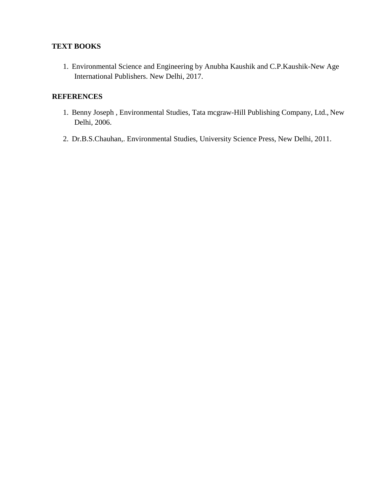# **TEXT BOOKS**

1. Environmental Science and Engineering by Anubha Kaushik and C.P.Kaushik-New Age International Publishers. New Delhi, 2017.

- 1. Benny Joseph , Environmental Studies, Tata mcgraw-Hill Publishing Company, Ltd., New Delhi, 2006.
- 2. Dr.B.S.Chauhan,. Environmental Studies, University Science Press, New Delhi, 2011.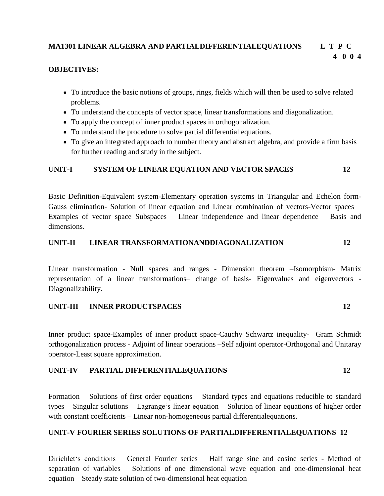#### **MA1301 LINEAR ALGEBRA AND PARTIALDIFFERENTIALEQUATIONS L T P C 4 0 0 4**

#### **OBJECTIVES:**

- To introduce the basic notions of groups, rings, fields which will then be used to solve related problems.
- To understand the concepts of vector space, linear transformations and diagonalization.
- To apply the concept of inner product spaces in orthogonalization.
- To understand the procedure to solve partial differential equations.
- To give an integrated approach to number theory and abstract algebra, and provide a firm basis for further reading and study in the subject.

#### **UNIT-I SYSTEM OF LINEAR EQUATION AND VECTOR SPACES 12**

Basic Definition-Equivalent system-Elementary operation systems in Triangular and Echelon form-Gauss elimination- Solution of linear equation and Linear combination of vectors-Vector spaces – Examples of vector space Subspaces – Linear independence and linear dependence – Basis and dimensions.

# **UNIT-II LINEAR TRANSFORMATIONANDDIAGONALIZATION 12**

Linear transformation - Null spaces and ranges - Dimension theorem –Isomorphism- Matrix representation of a linear transformations– change of basis- Eigenvalues and eigenvectors - Diagonalizability.

# **UNIT-III INNER PRODUCTSPACES 12**

Inner product space-Examples of inner product space-Cauchy Schwartz inequality- Gram Schmidt orthogonalization process - Adjoint of linear operations –Self adjoint operator-Orthogonal and Unitaray operator-Least square approximation.

#### **UNIT-IV PARTIAL DIFFERENTIALEQUATIONS 12**

Formation – Solutions of first order equations – Standard types and equations reducible to standard types – Singular solutions – Lagrange"s linear equation – Solution of linear equations of higher order with constant coefficients – Linear non-homogeneous partial differentialequations.

#### **UNIT-V FOURIER SERIES SOLUTIONS OF PARTIALDIFFERENTIALEQUATIONS 12**

Dirichlet's conditions – General Fourier series – Half range sine and cosine series - Method of separation of variables – Solutions of one dimensional wave equation and one-dimensional heat equation – Steady state solution of two-dimensional heat equation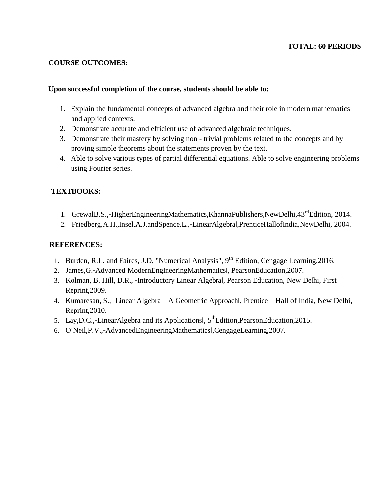#### **TOTAL: 60 PERIODS**

#### **COURSE OUTCOMES:**

#### **Upon successful completion of the course, students should be able to:**

- 1. Explain the fundamental concepts of advanced algebra and their role in modern mathematics and applied contexts.
- 2. Demonstrate accurate and efficient use of advanced algebraic techniques.
- 3. Demonstrate their mastery by solving non trivial problems related to the concepts and by proving simple theorems about the statements proven by the text.
- 4. Able to solve various types of partial differential equations. Able to solve engineering problems using Fourier series.

#### **TEXTBOOKS:**

- 1. GrewalB.S.,-HigherEngineeringMathematics,KhannaPublishers,NewDelhi,43<sup>rd</sup>Edition, 2014.
- 2. Friedberg,A.H.,Insel,A.J.andSpence,L.,―LinearAlgebra‖,PrenticeHallofIndia,NewDelhi, 2004.

- 1. Burden, R.L. and Faires, J.D, "Numerical Analysis",  $9<sup>th</sup>$  Edition, Cengage Learning, 2016.
- 2. James, G.-Advanced ModernEngineeringMathematicsl, PearsonEducation, 2007.
- 3. Kolman, B. Hill, D.R., ―Introductory Linear Algebra‖, Pearson Education, New Delhi, First Reprint,2009.
- 4. Kumaresan, S., ―Linear Algebra A Geometric Approach‖, Prentice Hall of India, New Delhi, Reprint,2010.
- 5. Lay, D.C.,-Linear Algebra and its Applicationsl,  $5^{th}$ Edition, Pearson Education, 2015.
- 6. O"Neil,P.V.,―AdvancedEngineeringMathematics‖,CengageLearning,2007.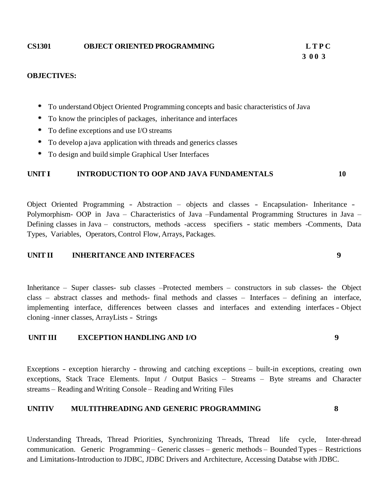#### **CS1301 OBJECT ORIENTED PROGRAMMING L T P C**

# **3 0 0 3**

#### **OBJECTIVES:**

- To understand Object Oriented Programming concepts and basic characteristics of Java
- To know the principles of packages, inheritance and interfaces
- To define exceptions and use I/O streams
- To develop ajava application with threads and generics classes
- To design and build simple Graphical User Interfaces

#### **UNIT I INTRODUCTION TO OOP AND JAVA FUNDAMENTALS 10**

Object Oriented Programming - Abstraction – objects and classes - Encapsulation- Inheritance - Polymorphism- OOP in Java – Characteristics of Java –Fundamental Programming Structures in Java – Defining classes in Java – constructors, methods -access specifiers - static members -Comments, Data Types, Variables, Operators, Control Flow, Arrays, Packages.

#### **UNIT II INHERITANCE AND INTERFACES 9**

Inheritance – Super classes- sub classes –Protected members – constructors in sub classes- the Object class – abstract classes and methods- final methods and classes – Interfaces – defining an interface, implementing interface, differences between classes and interfaces and extending interfaces - Object cloning -inner classes, ArrayLists - Strings

#### **UNIT III EXCEPTION HANDLING AND I/O 9**

Exceptions - exception hierarchy - throwing and catching exceptions – built-in exceptions, creating own exceptions, Stack Trace Elements. Input / Output Basics – Streams – Byte streams and Character streams – Reading and Writing Console – Reading and Writing Files

#### **UNITIV MULTITHREADING AND GENERIC PROGRAMMING 8**

Understanding Threads, Thread Priorities, Synchronizing Threads, Thread life cycle, Inter-thread communication. Generic Programming – Generic classes – generic methods – Bounded Types – Restrictions and Limitations-Introduction to JDBC, JDBC Drivers and Architecture, Accessing Databse with JDBC.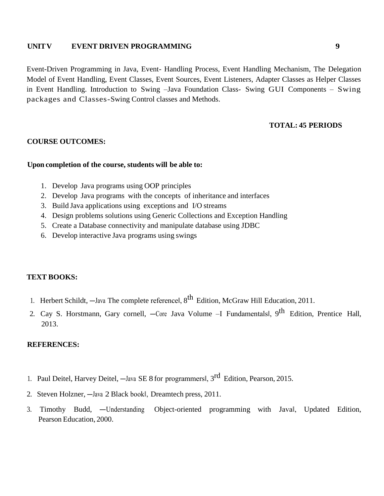#### **UNITV EVENT DRIVEN PROGRAMMING 9**

Event-Driven Programming in Java, Event- Handling Process, Event Handling Mechanism, The Delegation Model of Event Handling, Event Classes, Event Sources, Event Listeners, Adapter Classes as Helper Classes in Event Handling. Introduction to Swing –Java Foundation Class- Swing GUI Components – Swing packages and Classes-Swing Control classes and Methods.

#### **TOTAL: 45 PERIODS**

#### **COURSE OUTCOMES:**

#### **Upon completion of the course, students will be able to:**

- 1. Develop Java programs using OOP principles
- 2. Develop Java programs with the concepts of inheritance and interfaces
- 3. Build Java applications using exceptions and I/O streams
- 4. Design problems solutions using Generic Collections and Exception Handling
- 5. Create a Database connectivity and manipulate database using JDBC
- 6. Develop interactive Java programs using swings

#### **TEXT BOOKS:**

- 1. Herbert Schildt, —Java The complete referencel, 8<sup>th</sup> Edition, McGraw Hill Education, 2011.
- 2. Cay S. Horstmann, Gary cornell, —Core Java Volume –I Fundamentals|, 9<sup>th</sup> Edition, Prentice Hall, 2013.

- 1. Paul Deitel, Harvey Deitel, —Java SE 8 for programmersl, 3<sup>rd</sup> Edition, Pearson, 2015.
- 2. Steven Holzner, ―Java 2 Black book‖, Dreamtech press, 2011.
- 3. Timothy Budd, —Understanding Object-oriented programming with Javal, Updated Edition, Pearson Education, 2000.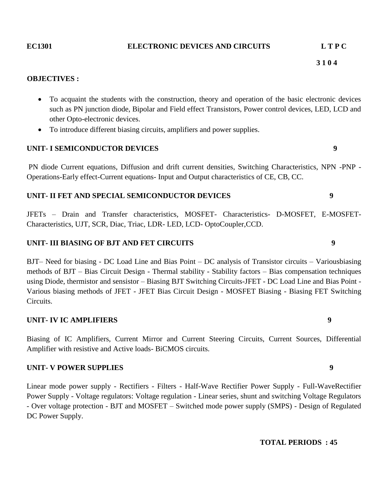#### **EC1301 ELECTRONIC DEVICES AND CIRCUITS L T P C**

 **3 1 0 4**

#### **OBJECTIVES :**

- To acquaint the students with the construction, theory and operation of the basic electronic devices such as PN junction diode, Bipolar and Field effect Transistors, Power control devices, LED, LCD and other Opto-electronic devices.
- To introduce different biasing circuits, amplifiers and power supplies.

#### **UNIT- I SEMICONDUCTOR DEVICES 9**

PN diode Current equations, Diffusion and drift current densities, Switching Characteristics, NPN -PNP - Operations-Early effect-Current equations- Input and Output characteristics of CE, CB, CC.

#### **UNIT- II FET AND SPECIAL SEMICONDUCTOR DEVICES 9**

JFETs – Drain and Transfer characteristics, MOSFET- Characteristics- D-MOSFET, E-MOSFET-Characteristics, UJT, SCR, Diac, Triac, LDR- LED, LCD- OptoCoupler,CCD.

#### **UNIT- III BIASING OF BJT AND FET CIRCUITS 9**

BJT– Need for biasing - DC Load Line and Bias Point – DC analysis of Transistor circuits – Variousbiasing methods of BJT – Bias Circuit Design - Thermal stability - Stability factors – Bias compensation techniques using Diode, thermistor and sensistor – Biasing BJT Switching Circuits-JFET - DC Load Line and Bias Point - Various biasing methods of JFET - JFET Bias Circuit Design - MOSFET Biasing - Biasing FET Switching Circuits.

#### **UNIT- IV IC AMPLIFIERS 9**

Biasing of IC Amplifiers, Current Mirror and Current Steering Circuits, Current Sources, Differential Amplifier with resistive and Active loads- BiCMOS circuits.

#### **UNIT- V POWER SUPPLIES 9**

Linear mode power supply - Rectifiers - Filters - Half-Wave Rectifier Power Supply - Full-WaveRectifier Power Supply - Voltage regulators: Voltage regulation - Linear series, shunt and switching Voltage Regulators - Over voltage protection - BJT and MOSFET – Switched mode power supply (SMPS) - Design of Regulated DC Power Supply.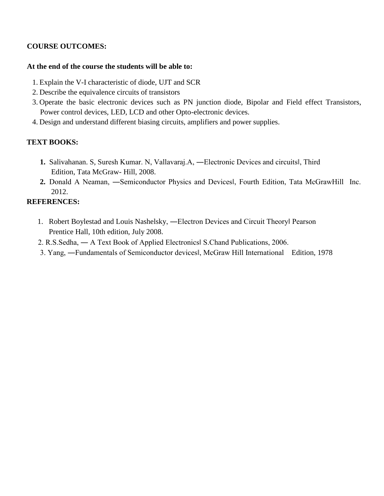### **COURSE OUTCOMES:**

#### **At the end of the course the students will be able to:**

- 1. Explain the V-I characteristic of diode, UJT and SCR
- 2. Describe the equivalence circuits of transistors
- 3. Operate the basic electronic devices such as PN junction diode, Bipolar and Field effect Transistors, Power control devices, LED, LCD and other Opto-electronic devices.
- 4. Design and understand different biasing circuits, amplifiers and power supplies.

# **TEXT BOOKS:**

- **1.** Salivahanan. S, Suresh Kumar. N, Vallavaraj.A, ―Electronic Devices and circuits‖, Third Edition, Tata McGraw- Hill, 2008.
- **2.** Donald A Neaman, ―Semiconductor Physics and Devices‖, Fourth Edition, Tata McGrawHill Inc. 2012.

- 1. Robert Boylestad and Louis Nashelsky, ―Electron Devices and Circuit Theory‖ Pearson Prentice Hall, 10th edition, July 2008.
- 2. R.S.Sedha, ― A Text Book of Applied Electronics‖ S.Chand Publications, 2006.
- 3. Yang, ―Fundamentals of Semiconductor devices‖, McGraw Hill International Edition, 1978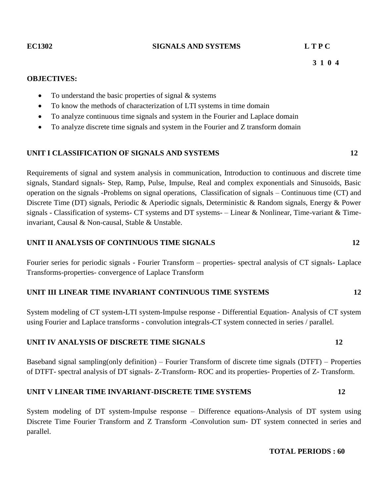#### **EC1302 SIGNALS AND SYSTEMS L T P C**

#### **OBJECTIVES:**

- To understand the basic properties of signal  $&$  systems
- To know the methods of characterization of LTI systems in time domain
- To analyze continuous time signals and system in the Fourier and Laplace domain
- To analyze discrete time signals and system in the Fourier and Z transform domain

#### **UNIT I CLASSIFICATION OF SIGNALS AND SYSTEMS 12**

Requirements of signal and system analysis in communication, Introduction to continuous and discrete time signals, Standard signals- Step, Ramp, Pulse, Impulse, Real and complex exponentials and Sinusoids, Basic operation on the signals -Problems on signal operations, Classification of signals – Continuous time (CT) and Discrete Time (DT) signals, Periodic & Aperiodic signals, Deterministic & Random signals, Energy & Power signals - Classification of systems- CT systems and DT systems- – Linear & Nonlinear, Time-variant & Timeinvariant, Causal & Non-causal, Stable & Unstable.

#### **UNIT II ANALYSIS OF CONTINUOUS TIME SIGNALS 12**

Fourier series for periodic signals - Fourier Transform – properties- spectral analysis of CT signals- Laplace Transforms-properties- convergence of Laplace Transform

### **UNIT III LINEAR TIME INVARIANT CONTINUOUS TIME SYSTEMS 12**

System modeling of CT system-LTI system-Impulse response - Differential Equation- Analysis of CT system using Fourier and Laplace transforms - convolution integrals-CT system connected in series / parallel.

#### **UNIT IV ANALYSIS OF DISCRETE TIME SIGNALS 12**

Baseband signal sampling(only definition) – Fourier Transform of discrete time signals (DTFT) – Properties of DTFT- spectral analysis of DT signals- Z-Transform- ROC and its properties- Properties of Z- Transform.

#### **UNIT V LINEAR TIME INVARIANT-DISCRETE TIME SYSTEMS 12**

System modeling of DT system-Impulse response – Difference equations-Analysis of DT system using Discrete Time Fourier Transform and Z Transform -Convolution sum- DT system connected in series and parallel.

#### **TOTAL PERIODS : 60**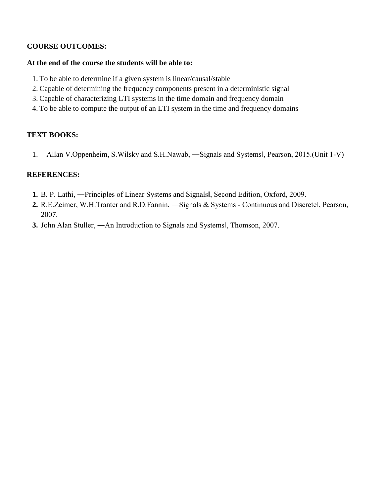# **COURSE OUTCOMES:**

#### **At the end of the course the students will be able to:**

- 1. To be able to determine if a given system is linear/causal/stable
- 2. Capable of determining the frequency components present in a deterministic signal
- 3. Capable of characterizing LTI systems in the time domain and frequency domain
- 4. To be able to compute the output of an LTI system in the time and frequency domains

# **TEXT BOOKS:**

1. Allan V.Oppenheim, S.Wilsky and S.H.Nawab, ―Signals and Systems‖, Pearson, 2015.(Unit 1-V)

- **1.** B. P. Lathi, ―Principles of Linear Systems and Signals‖, Second Edition, Oxford, 2009.
- **2.** R.E.Zeimer, W.H.Tranter and R.D.Fannin, ―Signals & Systems Continuous and Discrete‖, Pearson, 2007.
- **3.** John Alan Stuller, ―An Introduction to Signals and Systems‖, Thomson, 2007.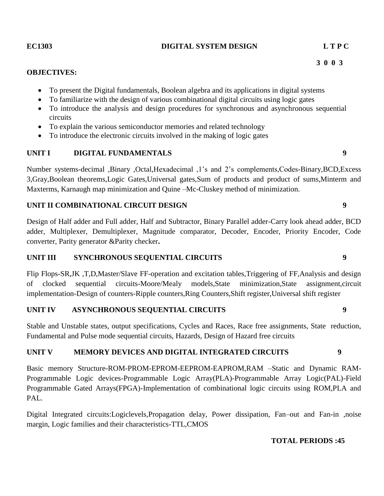#### **EC1303 DIGITAL SYSTEM DESIGN L T P C**

### **OBJECTIVES:**

- To present the Digital fundamentals, Boolean algebra and its applications in digital systems
- To familiarize with the design of various combinational digital circuits using logic gates
- To introduce the analysis and design procedures for synchronous and asynchronous sequential circuits
- To explain the various semiconductor memories and related technology
- To introduce the electronic circuits involved in the making of logic gates

# **UNIT I DIGITAL FUNDAMENTALS 9**

Number systems-decimal ,Binary ,Octal,Hexadecimal ,1"s and 2"s complements,Codes-Binary,BCD,Excess 3,Gray,Boolean theorems,Logic Gates,Universal gates,Sum of products and product of sums,Minterm and Maxterms, Karnaugh map minimization and Quine –Mc-Cluskey method of minimization.

# **UNIT II COMBINATIONAL CIRCUIT DESIGN 9**

Design of Half adder and Full adder, Half and Subtractor, Binary Parallel adder-Carry look ahead adder, BCD adder, Multiplexer, Demultiplexer, Magnitude comparator, Decoder, Encoder, Priority Encoder, Code converter, Parity generator &Parity checker**.**

# **UNIT III SYNCHRONOUS SEQUENTIAL CIRCUITS 9**

Flip Flops-SR,JK ,T,D,Master/Slave FF-operation and excitation tables,Triggering of FF,Analysis and design of clocked sequential circuits-Moore/Mealy models,State minimization,State assignment,circuit implementation-Design of counters-Ripple counters,Ring Counters,Shift register,Universal shift register

# **UNIT IV ASYNCHRONOUS SEQUENTIAL CIRCUITS 9**

Stable and Unstable states, output specifications, Cycles and Races, Race free assignments, State reduction, Fundamental and Pulse mode sequential circuits, Hazards, Design of Hazard free circuits

# **UNIT V MEMORY DEVICES AND DIGITAL INTEGRATED CIRCUITS 9**

Basic memory Structure-ROM-PROM-EPROM-EEPROM-EAPROM,RAM –Static and Dynamic RAM-Programmable Logic devices-Programmable Logic Array(PLA)-Programmable Array Logic(PAL)-Field Programmable Gated Arrays(FPGA)-Implementation of combinational logic circuits using ROM,PLA and PAL.

Digital Integrated circuits:Logiclevels,Propagation delay, Power dissipation, Fan–out and Fan-in ,noise margin, Logic families and their characteristics-TTL,CMOS

# **TOTAL PERIODS :45**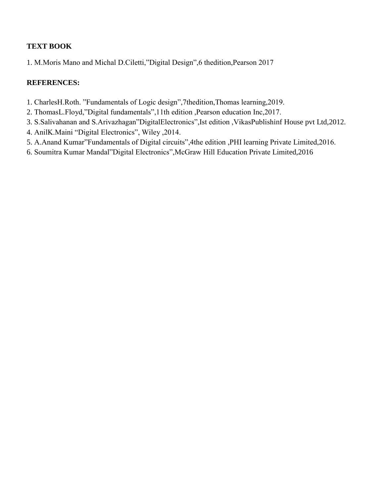# **TEXT BOOK**

1. M.Moris Mano and Michal D.Ciletti,"Digital Design",6 thedition,Pearson 2017

- 1. CharlesH.Roth. "Fundamentals of Logic design",7thedition,Thomas learning,2019.
- 2. ThomasL.Floyd,"Digital fundamentals",11th edition ,Pearson education Inc,2017.
- 3. S.Salivahanan and S.Arivazhagan"DigitalElectronics",Ist edition ,VikasPublishinf House pvt Ltd,2012.
- 4. AnilK.Maini "Digital Electronics", Wiley ,2014.
- 5. A.Anand Kumar"Fundamentals of Digital circuits",4the edition ,PHI learning Private Limited,2016.
- 6. Soumitra Kumar Mandal"Digital Electronics",McGraw Hill Education Private Limited,2016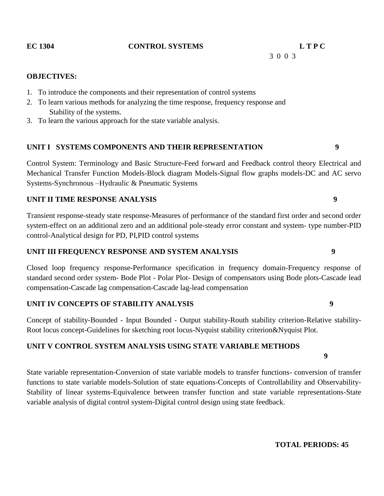#### **EC 1304 CONTROL SYSTEMS L T P C**

3 0 0 3

#### **OBJECTIVES:**

- 1. To introduce the components and their representation of control systems
- 2. To learn various methods for analyzing the time response, frequency response and Stability of the systems.
- 3. To learn the various approach for the state variable analysis.

#### **UNIT I SYSTEMS COMPONENTS AND THEIR REPRESENTATION 9**

Control System: Terminology and Basic Structure-Feed forward and Feedback control theory Electrical and Mechanical Transfer Function Models-Block diagram Models-Signal flow graphs models-DC and AC servo Systems-Synchronous –Hydraulic & Pneumatic Systems

### **UNIT II TIME RESPONSE ANALYSIS 9**

Transient response-steady state response-Measures of performance of the standard first order and second order system-effect on an additional zero and an additional pole-steady error constant and system- type number-PID control-Analytical design for PD, PI,PID control systems

#### **UNIT III FREQUENCY RESPONSE AND SYSTEM ANALYSIS 9**

Closed loop frequency response-Performance specification in frequency domain-Frequency response of standard second order system- Bode Plot - Polar Plot- Design of compensators using Bode plots-Cascade lead compensation-Cascade lag compensation-Cascade lag-lead compensation

#### **UNIT IV CONCEPTS OF STABILITY ANALYSIS 9**

Concept of stability-Bounded - Input Bounded - Output stability-Routh stability criterion-Relative stability-Root locus concept-Guidelines for sketching root locus-Nyquist stability criterion&Nyquist Plot.

### **UNIT V CONTROL SYSTEM ANALYSIS USING STATE VARIABLE METHODS**

State variable representation-Conversion of state variable models to transfer functions- conversion of transfer functions to state variable models-Solution of state equations-Concepts of Controllability and Observability-Stability of linear systems-Equivalence between transfer function and state variable representations-State variable analysis of digital control system-Digital control design using state feedback.

**9**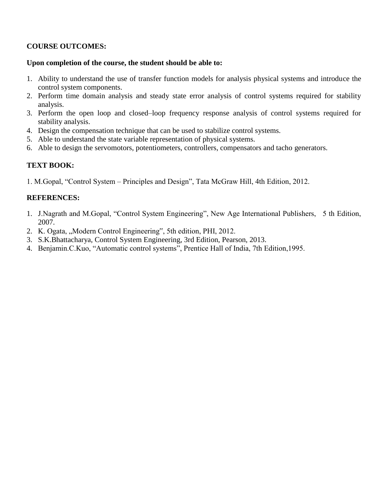# **COURSE OUTCOMES:**

#### **Upon completion of the course, the student should be able to:**

- 1. Ability to understand the use of transfer function models for analysis physical systems and introduce the control system components.
- 2. Perform time domain analysis and steady state error analysis of control systems required for stability analysis.
- 3. Perform the open loop and closed–loop frequency response analysis of control systems required for stability analysis.
- 4. Design the compensation technique that can be used to stabilize control systems.
- 5. Able to understand the state variable representation of physical systems.
- 6. Able to design the servomotors, potentiometers, controllers, compensators and tacho generators.

# **TEXT BOOK:**

1. M.Gopal, "Control System – Principles and Design", Tata McGraw Hill, 4th Edition, 2012.

- 1. J.Nagrath and M.Gopal, "Control System Engineering", New Age International Publishers, 5 th Edition, 2007.
- 2. K. Ogata, "Modern Control Engineering", 5th edition, PHI, 2012.
- 3. S.K.Bhattacharya, Control System Engineering, 3rd Edition, Pearson, 2013.
- 4. Benjamin.C.Kuo, "Automatic control systems", Prentice Hall of India, 7th Edition,1995.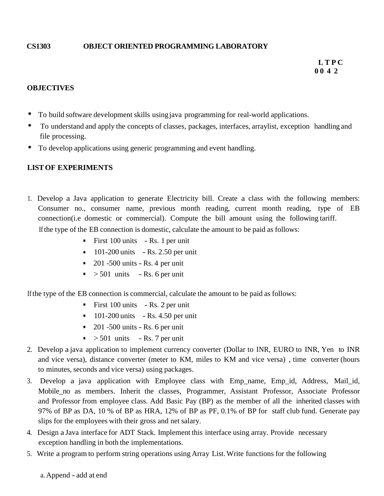### **CS1303 OBJECT ORIENTED PROGRAMMING LABORATORY**

#### **OBJECTIVES**

- ٠ To build software development skills usingjava programming for real-world applications.
- To understand and apply the concepts of classes, packages, interfaces, arraylist, exception handling and file processing.
- ٠ To develop applications using generic programming and event handling.

#### **LISTOF EXPERIMENTS**

- 1. Develop a Java application to generate Electricity bill. Create a class with the following members: Consumer no., consumer name, previous month reading, current month reading, type of EB connection(i.e domestic or commercial). Compute the bill amount using the following tariff. Ifthe type of the EB connection is domestic, calculate the amount to be paid as follows:
	- First  $100 \text{ units}$  Rs. 1 per unit
	- $101-200$  units  $-Rs. 2.50$  per unit
	- $\approx 201 500$  units Rs. 4 per unit
	- $\sim$  501 units Rs. 6 per unit

Ifthe type of the EB connection is commercial, calculate the amount to be paid as follows:

- First  $100 \text{ units}$  Rs. 2 per unit
- $101-200$  units  $-Rs. 4.50$  per unit
- $\sim 201 500$  units Rs. 6 per unit
- $\sim$  > 501 units Rs. 7 per unit
- 2. Develop a java application to implement currency converter (Dollar to INR, EURO to INR, Yen to INR and vice versa), distance converter (meter to KM, miles to KM and vice versa) , time converter (hours to minutes, seconds and vice versa) using packages.
- 3. Develop a java application with Employee class with Emp\_name, Emp\_id, Address, Mail\_id, Mobile no as members. Inherit the classes, Programmer, Assistant Professor, Associate Professor and Professor from employee class. Add Basic Pay (BP) as the member of all the inherited classes with 97% of BP as DA, 10 % of BP as HRA, 12% of BP as PF, 0.1% of BP for staff club fund. Generate pay slips for the employees with their gross and net salary.
- 4. Design a Java interface for ADT Stack. Implement this interface using array. Provide necessary exception handling in both the implementations.
- 5. Write a program to perform string operations using Array List.Write functions for the following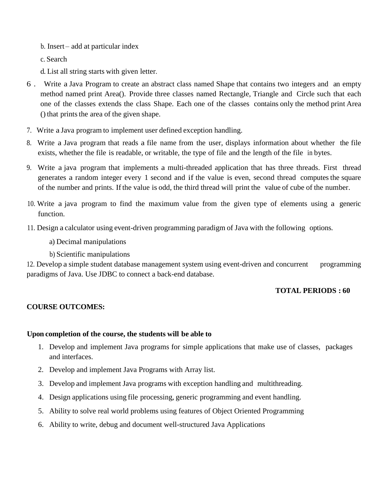b. Insert – add at particular index

c. Search

d. List all string starts with given letter.

- 6 . Write a Java Program to create an abstract class named Shape that contains two integers and an empty method named print Area(). Provide three classes named Rectangle, Triangle and Circle such that each one of the classes extends the class Shape. Each one of the classes contains only the method print Area () that prints the area of the given shape.
- 7. Write a Java program to implement user defined exception handling.
- 8. Write a Java program that reads a file name from the user, displays information about whether the file exists, whether the file is readable, or writable, the type of file and the length of the file in bytes.
- 9. Write a java program that implements a multi-threaded application that has three threads. First thread generates a random integer every 1 second and if the value is even, second thread computes the square of the number and prints. Ifthe value is odd, the third thread will print the value of cube of the number.
- 10. Write a java program to find the maximum value from the given type of elements using a generic function.
- 11. Design a calculator using event-driven programming paradigm of Java with the following options.
	- a) Decimal manipulations
	- b) Scientific manipulations

12. Develop a simple student database management system using event-driven and concurrent programming paradigms of Java. Use JDBC to connect a back-end database.

### **TOTAL PERIODS : 60**

# **COURSE OUTCOMES:**

### **Upon completion of the course, the students will be able to**

- 1. Develop and implement Java programs for simple applications that make use of classes, packages and interfaces.
- 2. Develop and implement Java Programs with Array list.
- 3. Develop and implement Java programs with exception handling and multithreading.
- 4. Design applications using file processing, generic programming and event handling.
- 5. Ability to solve real world problems using features of Object Oriented Programming
- 6. Ability to write, debug and document well-structured Java Applications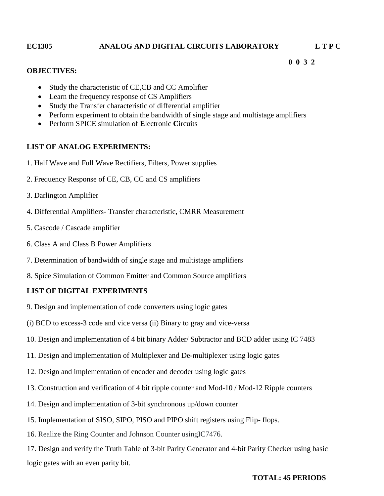#### **EC1305 ANALOG AND DIGITAL CIRCUITS LABORATORY L T P C**

#### **OBJECTIVES:**

- Study the characteristic of CE,CB and CC Amplifier
- Learn the frequency response of CS Amplifiers
- Study the Transfer characteristic of differential amplifier
- Perform experiment to obtain the bandwidth of single stage and multistage amplifiers

 **0 0 3 2**

Perform SPICE simulation of **E**lectronic **C**ircuits

#### **LIST OF ANALOG EXPERIMENTS:**

- 1. Half Wave and Full Wave Rectifiers, Filters, Power supplies
- 2. Frequency Response of CE, CB, CC and CS amplifiers
- 3. Darlington Amplifier
- 4. Differential Amplifiers- Transfer characteristic, CMRR Measurement
- 5. Cascode / Cascade amplifier
- 6. Class A and Class B Power Amplifiers
- 7. Determination of bandwidth of single stage and multistage amplifiers
- 8. Spice Simulation of Common Emitter and Common Source amplifiers

### **LIST OF DIGITAL EXPERIMENTS**

- 9. Design and implementation of code converters using logic gates
- (i) BCD to excess-3 code and vice versa (ii) Binary to gray and vice-versa
- 10. Design and implementation of 4 bit binary Adder/ Subtractor and BCD adder using IC 7483
- 11. Design and implementation of Multiplexer and De-multiplexer using logic gates
- 12. Design and implementation of encoder and decoder using logic gates
- 13. Construction and verification of 4 bit ripple counter and Mod-10 / Mod-12 Ripple counters
- 14. Design and implementation of 3-bit synchronous up/down counter
- 15. Implementation of SISO, SIPO, PISO and PIPO shift registers using Flip- flops.
- 16. Realize the Ring Counter and Johnson Counter usingIC7476.

17. Design and verify the Truth Table of 3-bit Parity Generator and 4-bit Parity Checker using basic logic gates with an even parity bit.

#### **TOTAL: 45 PERIODS**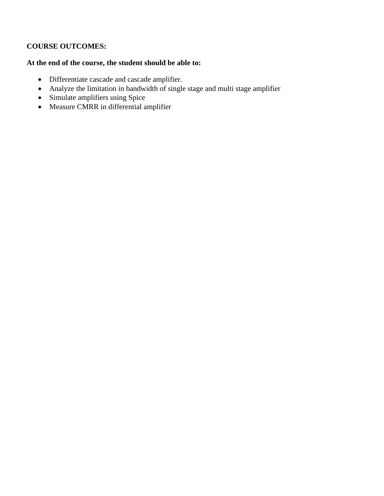# **COURSE OUTCOMES:**

# **At the end of the course, the student should be able to:**

- Differentiate cascade and cascade amplifier.
- Analyze the limitation in bandwidth of single stage and multi stage amplifier
- Simulate amplifiers using Spice
- Measure CMRR in differential amplifier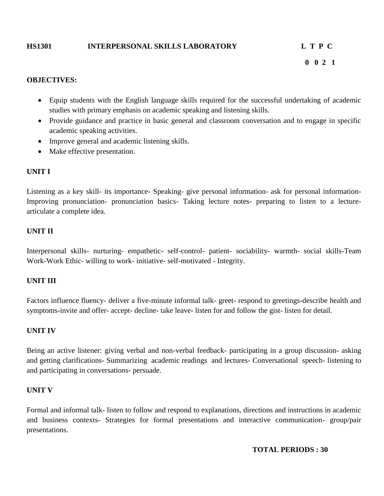#### **HS1301 INTERPERSONAL SKILLS LABORATORY L T P C**

# **0 0 2 1**

#### **OBJECTIVES:**

- Equip students with the English language skills required for the successful undertaking of academic studies with primary emphasis on academic speaking and listening skills.
- Provide guidance and practice in basic general and classroom conversation and to engage in specific academic speaking activities.
- Improve general and academic listening skills.
- Make effective presentation.

#### **UNIT I**

Listening as a key skill- its importance- Speaking- give personal information- ask for personal information-Improving pronunciation- pronunciation basics- Taking lecture notes- preparing to listen to a lecturearticulate a complete idea.

#### **UNIT II**

Interpersonal skills- nurturing- empathetic- self-control- patient- sociability- warmth- social skills-Team Work-Work Ethic- willing to work- initiative- self-motivated - Integrity.

#### **UNIT III**

Factors influence fluency- deliver a five-minute informal talk- greet- respond to greetings-describe health and symptoms-invite and offer- accept- decline- take leave- listen for and follow the gist- listen for detail.

#### **UNIT IV**

Being an active listener: giving verbal and non-verbal feedback- participating in a group discussion- asking and getting clarifications- Summarizing academic readings and lectures- Conversational speech- listening to and participating in conversations- persuade.

#### **UNIT V**

Formal and informal talk- listen to follow and respond to explanations, directions and instructions in academic and business contexts- Strategies for formal presentations and interactive communication- group/pair presentations.

#### **TOTAL PERIODS : 30**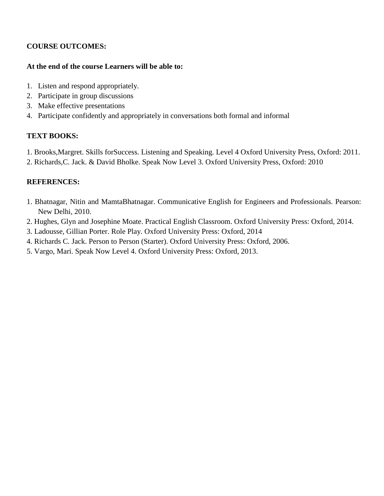# **COURSE OUTCOMES:**

### **At the end of the course Learners will be able to:**

- 1. Listen and respond appropriately.
- 2. Participate in group discussions
- 3. Make effective presentations
- 4. Participate confidently and appropriately in conversations both formal and informal

# **TEXT BOOKS:**

- 1. Brooks,Margret. Skills forSuccess. Listening and Speaking. Level 4 Oxford University Press, Oxford: 2011.
- 2. Richards,C. Jack. & David Bholke. Speak Now Level 3. Oxford University Press, Oxford: 2010

- 1. Bhatnagar, Nitin and MamtaBhatnagar. Communicative English for Engineers and Professionals. Pearson: New Delhi, 2010.
- 2. Hughes, Glyn and Josephine Moate. Practical English Classroom. Oxford University Press: Oxford, 2014.
- 3. Ladousse, Gillian Porter. Role Play. Oxford University Press: Oxford, 2014
- 4. Richards C. Jack. Person to Person (Starter). Oxford University Press: Oxford, 2006.
- 5. Vargo, Mari. Speak Now Level 4. Oxford University Press: Oxford, 2013.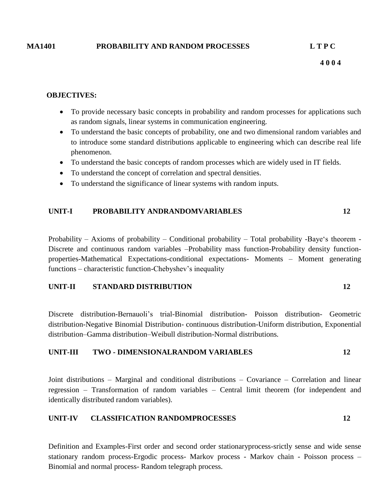#### **MA1401 PROBABILITY AND RANDOM PROCESSES L T P C**

#### **OBJECTIVES:**

- To provide necessary basic concepts in probability and random processes for applications such as random signals, linear systems in communication engineering.
- To understand the basic concepts of probability, one and two dimensional random variables and to introduce some standard distributions applicable to engineering which can describe real life phenomenon.
- To understand the basic concepts of random processes which are widely used in IT fields.
- To understand the concept of correlation and spectral densities.
- To understand the significance of linear systems with random inputs.

#### **UNIT-I PROBABILITY ANDRANDOMVARIABLES 12**

Probability – Axioms of probability – Conditional probability – Total probability - Baye's theorem -Discrete and continuous random variables –Probability mass function-Probability density functionproperties-Mathematical Expectations-conditional expectations- Moments – Moment generating functions – characteristic function-Chebyshev's inequality

#### **UNIT-II STANDARD DISTRIBUTION 12**

Discrete distribution-Bernauoli"s trial-Binomial distribution- Poisson distribution- Geometric distribution-Negative Binomial Distribution- continuous distribution-Uniform distribution, Exponential distribution–Gamma distribution–Weibull distribution-Normal distributions.

# **UNIT-III TWO - DIMENSIONALRANDOM VARIABLES 12**

Joint distributions – Marginal and conditional distributions – Covariance – Correlation and linear regression – Transformation of random variables – Central limit theorem (for independent and identically distributed random variables).

#### **UNIT-IV CLASSIFICATION RANDOMPROCESSES 12**

Definition and Examples-First order and second order stationaryprocess-srictly sense and wide sense stationary random process-Ergodic process- Markov process - Markov chain - Poisson process – Binomial and normal process- Random telegraph process.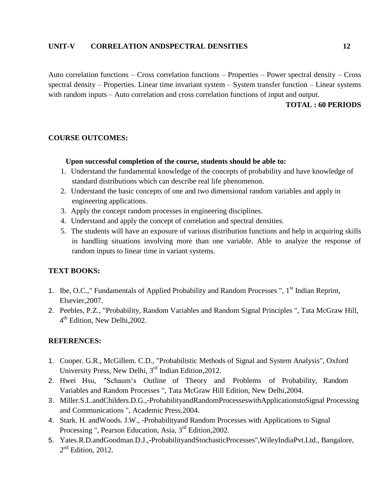#### **UNIT-V CORRELATION ANDSPECTRAL DENSITIES 12**

Auto correlation functions – Cross correlation functions – Properties – Power spectral density – Cross spectral density – Properties. Linear time invariant system – System transfer function – Linear systems with random inputs – Auto correlation and cross correlation functions of input and output.

#### **TOTAL : 60 PERIODS**

#### **COURSE OUTCOMES:**

#### **Upon successful completion of the course, students should be able to:**

- 1. Understand the fundamental knowledge of the concepts of probability and have knowledge of standard distributions which can describe real life phenomenon.
- 2. Understand the basic concepts of one and two dimensional random variables and apply in engineering applications.
- 3. Apply the concept random processes in engineering disciplines.
- 4. Understand and apply the concept of correlation and spectral densities.
- 5. The students will have an exposure of various distribution functions and help in acquiring skills in handling situations involving more than one variable. Able to analyze the response of random inputs to linear time in variant systems.

#### **TEXT BOOKS:**

- 1. Ibe, O.C.," Fundamentals of Applied Probability and Random Processes ", 1<sup>st</sup> Indian Reprint, Elsevier,2007.
- 2. Peebles, P.Z., "Probability, Random Variables and Random Signal Principles ", Tata McGraw Hill, 4<sup>th</sup> Edition, New Delhi, 2002.

- 1. Cooper. G.R., McGillem. C.D., "Probabilistic Methods of Signal and System Analysis", Oxford University Press, New Delhi, 3rd Indian Edition,2012.
- 2. Hwei Hsu, "Schaum"s Outline of Theory and Problems of Probability, Random Variables and Random Processes ", Tata McGraw Hill Edition, New Delhi,2004.
- 3. Miller.S.L.andChilders.D.G.,―ProbabilityandRandomProcesseswithApplicationstoSignal Processing and Communications ", Academic Press,2004.
- 4. Stark. H. and Woods. J.W., -Probabilityand Random Processes with Applications to Signal Processing ", Pearson Education, Asia, 3rd Edition,2002.
- 5. Yates.R.D.andGoodman.D.J.,―ProbabilityandStochasticProcesses",WileyIndiaPvt.Ltd., Bangalore,  $2<sup>nd</sup>$  Edition, 2012.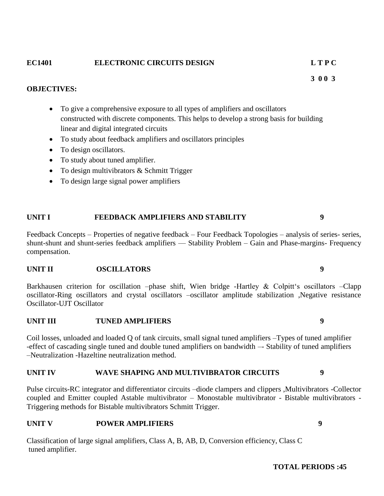# **EC1401 ELECTRONIC CIRCUITS DESIGN L T P C**

### **OBJECTIVES:**

- To give a comprehensive exposure to all types of amplifiers and oscillators constructed with discrete components. This helps to develop a strong basis for building linear and digital integrated circuits
- To study about feedback amplifiers and oscillators principles
- To design oscillators.
- To study about tuned amplifier.
- To design multivibrators & Schmitt Trigger
- To design large signal power amplifiers

# **UNIT I FEEDBACK AMPLIFIERS AND STABILITY 9**

Feedback Concepts – Properties of negative feedback – Four Feedback Topologies – analysis of series- series, shunt-shunt and shunt-series feedback amplifiers –– Stability Problem – Gain and Phase-margins- Frequency compensation.

# **UNIT II OSCILLATORS 9**

Barkhausen criterion for oscillation –phase shift, Wien bridge -Hartley & Colpitt's oscillators –Clapp oscillator-Ring oscillators and crystal oscillators –oscillator amplitude stabilization ,Negative resistance Oscillator-UJT Oscillator

# **UNIT III TUNED AMPLIFIERS 9**

Coil losses, unloaded and loaded Q of tank circuits, small signal tuned amplifiers –Types of tuned amplifier -effect of cascading single tuned and double tuned amplifiers on bandwidth –- Stability of tuned amplifiers –Neutralization -Hazeltine neutralization method.

# **UNIT IV WAVE SHAPING AND MULTIVIBRATOR CIRCUITS 9**

Pulse circuits-RC integrator and differentiator circuits –diode clampers and clippers ,Multivibrators -Collector coupled and Emitter coupled Astable multivibrator – Monostable multivibrator - Bistable multivibrators - Triggering methods for Bistable multivibrators Schmitt Trigger.

# **UNIT V POWER AMPLIFIERS 9**

Classification of large signal amplifiers, Class A, B, AB, D, Conversion efficiency, Class C tuned amplifier.

 **3 0 0 3**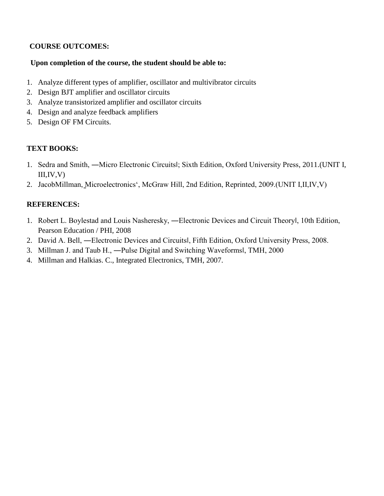# **COURSE OUTCOMES:**

# **Upon completion of the course, the student should be able to:**

- 1. Analyze different types of amplifier, oscillator and multivibrator circuits
- 2. Design BJT amplifier and oscillator circuits
- 3. Analyze transistorized amplifier and oscillator circuits
- 4. Design and analyze feedback amplifiers
- 5. Design OF FM Circuits.

# **TEXT BOOKS:**

- 1. Sedra and Smith, ―Micro Electronic Circuits‖; Sixth Edition, Oxford University Press, 2011.(UNIT I,  $III, IV, V)$
- 2. JacobMillman, Microelectronics", McGraw Hill, 2nd Edition, Reprinted, 2009.(UNIT I,II,IV,V)

- 1. Robert L. Boylestad and Louis Nasheresky, —Electronic Devices and Circuit Theoryl, 10th Edition, Pearson Education / PHI, 2008
- 2. David A. Bell, ―Electronic Devices and Circuits‖, Fifth Edition, Oxford University Press, 2008.
- 3. Millman J. and Taub H., ―Pulse Digital and Switching Waveforms‖, TMH, 2000
- 4. Millman and Halkias. C., Integrated Electronics, TMH, 2007.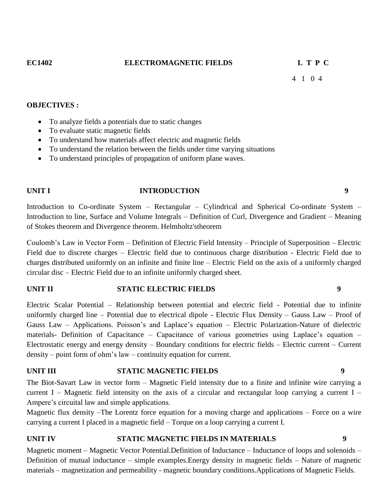4 1 0 4

#### **OBJECTIVES :**

- To analyze fields a potentials due to static changes
- To evaluate static magnetic fields
- To understand how materials affect electric and magnetic fields
- To understand the relation between the fields under time varying situations
- To understand principles of propagation of uniform plane waves.

#### **UNIT I INTRODUCTION 9**

Introduction to Co-ordinate System – Rectangular – Cylindrical and Spherical Co-ordinate System – Introduction to line, Surface and Volume Integrals – Definition of Curl, Divergence and Gradient – Meaning of Stokes theorem and Divergence theorem. Helmholtz'stheorem

Coulomb"s Law in Vector Form – Definition of Electric Field Intensity – Principle of Superposition – Electric Field due to discrete charges – Electric field due to continuous charge distribution - Electric Field due to charges distributed uniformly on an infinite and finite line – Electric Field on the axis of a uniformly charged circular disc – Electric Field due to an infinite uniformly charged sheet.

#### **UNIT II STATIC ELECTRIC FIELDS 9**

Electric Scalar Potential – Relationship between potential and electric field - Potential due to infinite uniformly charged line – Potential due to electrical dipole - Electric Flux Density – Gauss Law – Proof of Gauss Law – Applications. Poisson"s and Laplace"s equation – Electric Polarization-Nature of dielectric materials- Definition of Capacitance – Capacitance of various geometries using Laplace"s equation – Electrostatic energy and energy density – Boundary conditions for electric fields – Electric current – Current density – point form of ohm"s law – continuity equation for current.

#### **UNIT III STATIC MAGNETIC FIELDS 9**

The Biot-Savart Law in vector form – Magnetic Field intensity due to a finite and infinite wire carrying a current I – Magnetic field intensity on the axis of a circular and rectangular loop carrying a current I – Ampere"s circuital law and simple applications.

Magnetic flux density –The Lorentz force equation for a moving charge and applications – Force on a wire carrying a current I placed in a magnetic field – Torque on a loop carrying a current I.

#### **UNIT IV STATIC MAGNETIC FIELDS IN MATERIALS 9**

Magnetic moment – Magnetic Vector Potential.Definition of Inductance – Inductance of loops and solenoids – Definition of mutual inductance – simple examples.Energy density in magnetic fields – Nature of magnetic materials – magnetization and permeability - magnetic boundary conditions.Applications of Magnetic Fields.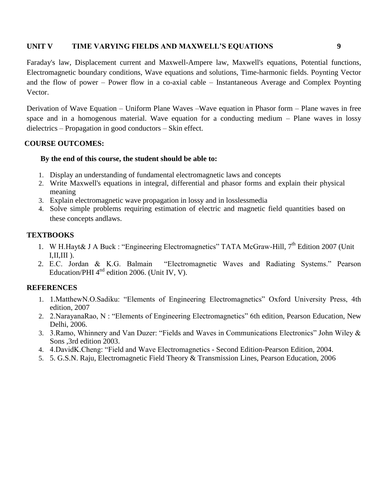#### **UNIT V TIME VARYING FIELDS AND MAXWELL'S EQUATIONS 9**

Faraday's law, Displacement current and Maxwell-Ampere law, Maxwell's equations, Potential functions, Electromagnetic boundary conditions, Wave equations and solutions, Time-harmonic fields. Poynting Vector and the flow of power – Power flow in a co-axial cable – Instantaneous Average and Complex Poynting Vector.

Derivation of Wave Equation – Uniform Plane Waves –Wave equation in Phasor form – Plane waves in free space and in a homogenous material. Wave equation for a conducting medium – Plane waves in lossy dielectrics – Propagation in good conductors – Skin effect.

#### **COURSE OUTCOMES:**

#### **By the end of this course, the student should be able to:**

- 1. Display an understanding of fundamental electromagnetic laws and concepts
- 2. Write Maxwell's equations in integral, differential and phasor forms and explain their physical meaning
- 3. Explain electromagnetic wave propagation in lossy and in losslessmedia
- 4. Solve simple problems requiring estimation of electric and magnetic field quantities based on these concepts andlaws.

#### **TEXTBOOKS**

- 1. W H.Hayt& J A Buck : "Engineering Electromagnetics" TATA McGraw-Hill, 7<sup>th</sup> Edition 2007 (Unit I,II,III ).
- 2. E.C. Jordan & K.G. Balmain "Electromagnetic Waves and Radiating Systems." Pearson Education/PHI  $4<sup>nd</sup>$  edition 2006. (Unit IV, V).

- 1. 1.MatthewN.O.Sadiku: "Elements of Engineering Electromagnetics" Oxford University Press, 4th edition, 2007
- 2. 2.NarayanaRao, N : "Elements of Engineering Electromagnetics" 6th edition, Pearson Education, New Delhi, 2006.
- 3. 3.Ramo, Whinnery and Van Duzer: "Fields and Waves in Communications Electronics" John Wiley & Sons ,3rd edition 2003.
- 4. 4.DavidK.Cheng: "Field and Wave Electromagnetics Second Edition-Pearson Edition, 2004.
- 5. 5. G.S.N. Raju, Electromagnetic Field Theory & Transmission Lines, Pearson Education, 2006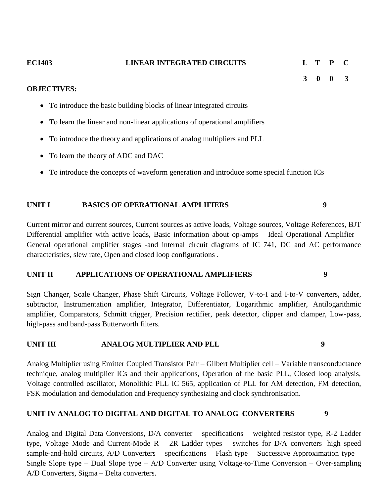| <b>EC1403</b> | <b>LINEAR INTEGRATED CIRCUITS</b> |  | L T P C |  |
|---------------|-----------------------------------|--|---------|--|
|               |                                   |  | 3 0 0 3 |  |

#### **OBJECTIVES:**

- To introduce the basic building blocks of linear integrated circuits
- To learn the linear and non-linear applications of operational amplifiers
- To introduce the theory and applications of analog multipliers and PLL
- To learn the theory of ADC and DAC
- To introduce the concepts of waveform generation and introduce some special function ICs

### **UNIT I BASICS OF OPERATIONAL AMPLIFIERS 9**

Current mirror and current sources, Current sources as active loads, Voltage sources, Voltage References, BJT Differential amplifier with active loads, Basic information about op-amps – Ideal Operational Amplifier – General operational amplifier stages -and internal circuit diagrams of IC 741, DC and AC performance characteristics, slew rate, Open and closed loop configurations .

#### **UNIT II APPLICATIONS OF OPERATIONAL AMPLIFIERS 9**

Sign Changer, Scale Changer, Phase Shift Circuits, Voltage Follower, V-to-I and I-to-V converters, adder, subtractor, Instrumentation amplifier, Integrator, Differentiator, Logarithmic amplifier, Antilogarithmic amplifier, Comparators, Schmitt trigger, Precision rectifier, peak detector, clipper and clamper, Low-pass, high-pass and band-pass Butterworth filters.

### **UNIT III ANALOG MULTIPLIER AND PLL 9**

Analog Multiplier using Emitter Coupled Transistor Pair – Gilbert Multiplier cell – Variable transconductance technique, analog multiplier ICs and their applications, Operation of the basic PLL, Closed loop analysis, Voltage controlled oscillator, Monolithic PLL IC 565, application of PLL for AM detection, FM detection, FSK modulation and demodulation and Frequency synthesizing and clock synchronisation.

### **UNIT IV ANALOG TO DIGITAL AND DIGITAL TO ANALOG CONVERTERS 9**

Analog and Digital Data Conversions, D/A converter – specifications – weighted resistor type, R-2 Ladder type, Voltage Mode and Current-Mode  $R - 2R$  Ladder types – switches for D/A converters high speed sample-and-hold circuits, A/D Converters – specifications – Flash type – Successive Approximation type – Single Slope type – Dual Slope type – A/D Converter using Voltage-to-Time Conversion – Over-sampling A/D Converters, Sigma – Delta converters.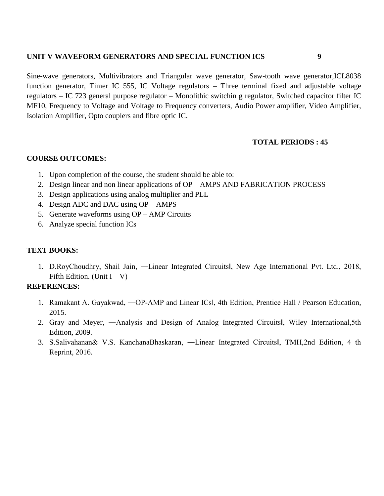#### **UNIT V WAVEFORM GENERATORS AND SPECIAL FUNCTION ICS 9**

Sine-wave generators, Multivibrators and Triangular wave generator, Saw-tooth wave generator,ICL8038 function generator, Timer IC 555, IC Voltage regulators – Three terminal fixed and adjustable voltage regulators – IC 723 general purpose regulator – Monolithic switchin g regulator, Switched capacitor filter IC MF10, Frequency to Voltage and Voltage to Frequency converters, Audio Power amplifier, Video Amplifier, Isolation Amplifier, Opto couplers and fibre optic IC.

# **TOTAL PERIODS : 45**

### **COURSE OUTCOMES:**

- 1. Upon completion of the course, the student should be able to:
- 2. Design linear and non linear applications of OP AMPS AND FABRICATION PROCESS
- 3. Design applications using analog multiplier and PLL
- 4. Design ADC and DAC using OP AMPS
- 5. Generate waveforms using OP AMP Circuits
- 6. Analyze special function ICs

# **TEXT BOOKS:**

1. D.RoyChoudhry, Shail Jain, ―Linear Integrated Circuits‖, New Age International Pvt. Ltd., 2018, Fifth Edition. (Unit  $I - V$ )

- 1. Ramakant A. Gayakwad, —OP-AMP and Linear ICsl, 4th Edition, Prentice Hall / Pearson Education, 2015.
- 2. Gray and Meyer, ―Analysis and Design of Analog Integrated Circuits‖, Wiley International,5th Edition, 2009.
- 3. S.Salivahanan& V.S. KanchanaBhaskaran, ―Linear Integrated Circuits‖, TMH,2nd Edition, 4 th Reprint, 2016.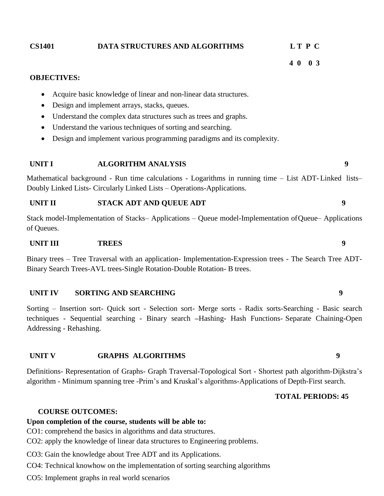|                 |              | Understand the complex data structures such as trees and graphs.                                                                                                                 |   |
|-----------------|--------------|----------------------------------------------------------------------------------------------------------------------------------------------------------------------------------|---|
| $\bullet$       |              | Understand the various techniques of sorting and searching.                                                                                                                      |   |
| $\bullet$       |              | Design and implement various programming paradigms and its complexity.                                                                                                           |   |
| <b>UNIT I</b>   |              | <b>ALGORITHM ANALYSIS</b>                                                                                                                                                        | 9 |
|                 |              | Mathematical background - Run time calculations - Logarithms in running time – List ADT-Linked lists–<br>Doubly Linked Lists- Circularly Linked Lists – Operations-Applications. |   |
| <b>UNIT II</b>  |              | STACK ADT AND QUEUE ADT                                                                                                                                                          | 9 |
| of Queues.      |              | Stack model-Implementation of Stacks–Applications – Queue model-Implementation of Queue–Applications                                                                             |   |
| <b>UNIT III</b> | <b>TREES</b> |                                                                                                                                                                                  | 9 |
|                 |              | Binary trees – Tree Traversal with an application- Implementation-Expression trees - The Search Tree ADT-                                                                        |   |

Binary trees – Tree Traversal with an application- Implementation-Expression trees - The Search Tree ADT-Binary Search Trees-AVL trees-Single Rotation-Double Rotation- B trees.

#### **UNIT IV SORTING AND SEARCHING 9**

Sorting – Insertion sort- Quick sort - Selection sort- Merge sorts - Radix sorts-Searching - Basic search techniques - Sequential searching - Binary search **–**Hashing- Hash Functions- Separate Chaining**-**Open Addressing - Rehashing.

#### **UNIT V GRAPHS ALGORITHMS 9**

Definitions- Representation of Graphs- Graph Traversal-Topological Sort - Shortest path algorithm-Dijkstra"s algorithm - Minimum spanning tree -Prim"s and Kruskal"s algorithms-Applications of Depth-First search.

# **TOTAL PERIODS: 45**

#### **COURSE OUTCOMES:**

# **Upon completion of the course, students will be able to:**

CO1: comprehend the basics in algorithms and data structures.

CO2: apply the knowledge of linear data structures to Engineering problems.

CO3: Gain the knowledge about Tree ADT and its Applications.

CO4: Technical knowhow on the implementation of sorting searching algorithms

CO5: Implement graphs in real world scenarios

# **OBJECTIVES:**

- Acquire basic knowledge of linear and non-linear data structures.
- Design and implement arrays, stacks, queues.
- Understand the complex data structures such as trees and graphs.

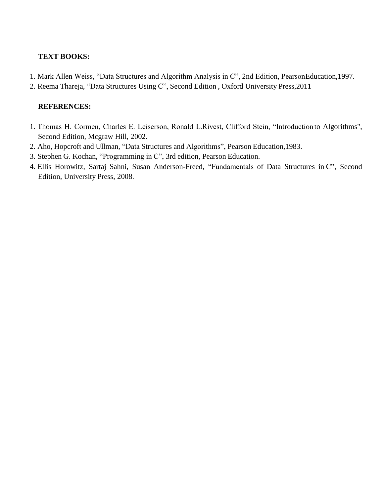### **TEXT BOOKS:**

- 1. Mark Allen Weiss, "Data Structures and Algorithm Analysis in C", 2nd Edition, PearsonEducation,1997.
- 2. Reema Thareja, "Data Structures Using C", Second Edition , Oxford University Press,2011

- 1. Thomas H. Cormen, Charles E. Leiserson, Ronald L.Rivest, Clifford Stein, "Introduction to Algorithms", Second Edition, Mcgraw Hill, 2002.
- 2. Aho, Hopcroft and Ullman, "Data Structures and Algorithms", Pearson Education,1983.
- 3. Stephen G. Kochan, "Programming in C", 3rd edition, Pearson Education.
- 4. Ellis Horowitz, Sartaj Sahni, Susan Anderson-Freed, "Fundamentals of Data Structures in C", Second Edition, University Press, 2008.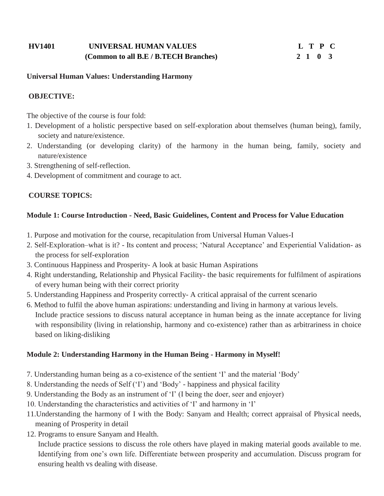# **HV1401 UNIVERSAL HUMAN VALUES L T P C (Common to all B.E / B.TECH Branches) 2 1 0 3**

#### **Universal Human Values: Understanding Harmony**

# **OBJECTIVE:**

The objective of the course is four fold:

- 1. Development of a holistic perspective based on self-exploration about themselves (human being), family, society and nature/existence.
- 2. Understanding (or developing clarity) of the harmony in the human being, family, society and nature/existence
- 3. Strengthening of self-reflection.
- 4. Development of commitment and courage to act.

### **COURSE TOPICS:**

### **Module 1: Course Introduction - Need, Basic Guidelines, Content and Process for Value Education**

- 1. Purpose and motivation for the course, recapitulation from Universal Human Values-I
- 2. Self-Exploration–what is it? Its content and process; "Natural Acceptance" and Experiential Validation- as the process for self-exploration
- 3. Continuous Happiness and Prosperity- A look at basic Human Aspirations
- 4. Right understanding, Relationship and Physical Facility- the basic requirements for fulfilment of aspirations of every human being with their correct priority
- 5. Understanding Happiness and Prosperity correctly- A critical appraisal of the current scenario
- 6. Method to fulfil the above human aspirations: understanding and living in harmony at various levels. Include practice sessions to discuss natural acceptance in human being as the innate acceptance for living with responsibility (living in relationship, harmony and co-existence) rather than as arbitrariness in choice based on liking-disliking

### **Module 2: Understanding Harmony in the Human Being - Harmony in Myself!**

- 7. Understanding human being as a co-existence of the sentient "I" and the material "Body"
- 8. Understanding the needs of Self ("I") and "Body" happiness and physical facility
- 9. Understanding the Body as an instrument of "I" (I being the doer, seer and enjoyer)
- 10. Understanding the characteristics and activities of "I" and harmony in "I"
- 11.Understanding the harmony of I with the Body: Sanyam and Health; correct appraisal of Physical needs, meaning of Prosperity in detail
- 12. Programs to ensure Sanyam and Health.

Include practice sessions to discuss the role others have played in making material goods available to me. Identifying from one's own life. Differentiate between prosperity and accumulation. Discuss program for ensuring health vs dealing with disease.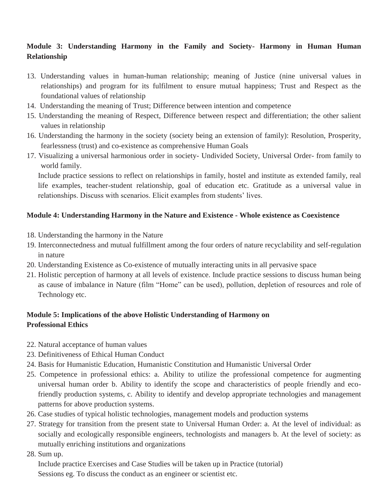# **Module 3: Understanding Harmony in the Family and Society- Harmony in Human Human Relationship**

- 13. Understanding values in human-human relationship; meaning of Justice (nine universal values in relationships) and program for its fulfilment to ensure mutual happiness; Trust and Respect as the foundational values of relationship
- 14. Understanding the meaning of Trust; Difference between intention and competence
- 15. Understanding the meaning of Respect, Difference between respect and differentiation; the other salient values in relationship
- 16. Understanding the harmony in the society (society being an extension of family): Resolution, Prosperity, fearlessness (trust) and co-existence as comprehensive Human Goals
- 17. Visualizing a universal harmonious order in society- Undivided Society, Universal Order- from family to world family.

Include practice sessions to reflect on relationships in family, hostel and institute as extended family, real life examples, teacher-student relationship, goal of education etc. Gratitude as a universal value in relationships. Discuss with scenarios. Elicit examples from students' lives.

# **Module 4: Understanding Harmony in the Nature and Existence - Whole existence as Coexistence**

- 18. Understanding the harmony in the Nature
- 19. Interconnectedness and mutual fulfillment among the four orders of nature recyclability and self-regulation in nature
- 20. Understanding Existence as Co-existence of mutually interacting units in all pervasive space
- 21. Holistic perception of harmony at all levels of existence. Include practice sessions to discuss human being as cause of imbalance in Nature (film "Home" can be used), pollution, depletion of resources and role of Technology etc.

# **Module 5: Implications of the above Holistic Understanding of Harmony on Professional Ethics**

- 22. Natural acceptance of human values
- 23. Definitiveness of Ethical Human Conduct
- 24. Basis for Humanistic Education, Humanistic Constitution and Humanistic Universal Order
- 25. Competence in professional ethics: a. Ability to utilize the professional competence for augmenting universal human order b. Ability to identify the scope and characteristics of people friendly and ecofriendly production systems, c. Ability to identify and develop appropriate technologies and management patterns for above production systems.
- 26. Case studies of typical holistic technologies, management models and production systems
- 27. Strategy for transition from the present state to Universal Human Order: a. At the level of individual: as socially and ecologically responsible engineers, technologists and managers b. At the level of society: as mutually enriching institutions and organizations
- 28. Sum up.

Include practice Exercises and Case Studies will be taken up in Practice (tutorial) Sessions eg. To discuss the conduct as an engineer or scientist etc.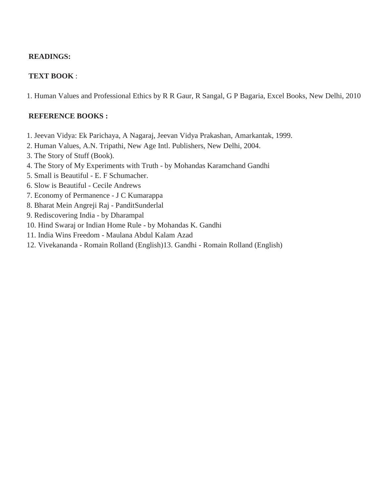# **READINGS:**

# **TEXT BOOK** :

1. Human Values and Professional Ethics by R R Gaur, R Sangal, G P Bagaria, Excel Books, New Delhi, 2010

#### **REFERENCE BOOKS :**

- 1. Jeevan Vidya: Ek Parichaya, A Nagaraj, Jeevan Vidya Prakashan, Amarkantak, 1999.
- 2. Human Values, A.N. Tripathi, New Age Intl. Publishers, New Delhi, 2004.
- 3. The Story of Stuff (Book).
- 4. The Story of My Experiments with Truth by Mohandas Karamchand Gandhi
- 5. Small is Beautiful E. F Schumacher.
- 6. Slow is Beautiful Cecile Andrews
- 7. Economy of Permanence J C Kumarappa
- 8. Bharat Mein Angreji Raj PanditSunderlal
- 9. Rediscovering India by Dharampal
- 10. Hind Swaraj or Indian Home Rule by Mohandas K. Gandhi
- 11. India Wins Freedom Maulana Abdul Kalam Azad
- 12. Vivekananda Romain Rolland (English)13. Gandhi Romain Rolland (English)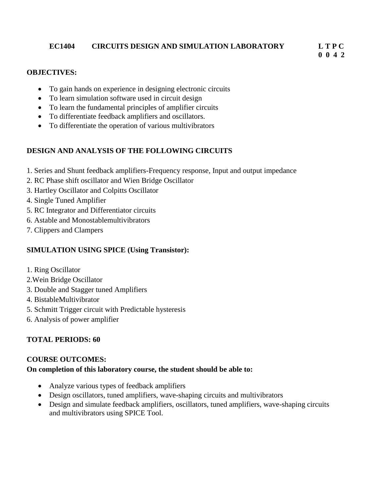## **EC1404 CIRCUITS DESIGN AND SIMULATION LABORATORY L T P C 0 0 4 2**

## **OBJECTIVES:**

- To gain hands on experience in designing electronic circuits
- To learn simulation software used in circuit design
- To learn the fundamental principles of amplifier circuits
- To differentiate feedback amplifiers and oscillators.
- To differentiate the operation of various multivibrators

## **DESIGN AND ANALYSIS OF THE FOLLOWING CIRCUITS**

- 1. Series and Shunt feedback amplifiers-Frequency response, Input and output impedance
- 2. RC Phase shift oscillator and Wien Bridge Oscillator
- 3. Hartley Oscillator and Colpitts Oscillator
- 4. Single Tuned Amplifier
- 5. RC Integrator and Differentiator circuits
- 6. Astable and Monostablemultivibrators
- 7. Clippers and Clampers

## **SIMULATION USING SPICE (Using Transistor):**

- 1. Ring Oscillator
- 2.Wein Bridge Oscillator
- 3. Double and Stagger tuned Amplifiers
- 4. BistableMultivibrator
- 5. Schmitt Trigger circuit with Predictable hysteresis
- 6. Analysis of power amplifier

## **TOTAL PERIODS: 60**

## **COURSE OUTCOMES:**

## **On completion of this laboratory course, the student should be able to:**

- Analyze various types of feedback amplifiers
- Design oscillators, tuned amplifiers, wave-shaping circuits and multivibrators
- Design and simulate feedback amplifiers, oscillators, tuned amplifiers, wave-shaping circuits and multivibrators using SPICE Tool.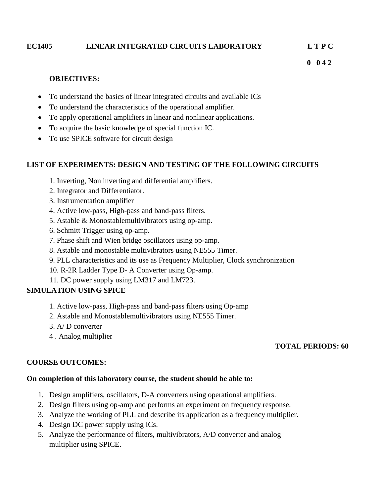## **EC1405 LINEAR INTEGRATED CIRCUITS LABORATORY L T P C**

 **0 0 4 2** 

## **OBJECTIVES:**

- To understand the basics of linear integrated circuits and available ICs
- To understand the characteristics of the operational amplifier.
- To apply operational amplifiers in linear and nonlinear applications.
- To acquire the basic knowledge of special function IC.
- To use SPICE software for circuit design

## **LIST OF EXPERIMENTS: DESIGN AND TESTING OF THE FOLLOWING CIRCUITS**

- 1. Inverting, Non inverting and differential amplifiers.
- 2. Integrator and Differentiator.
- 3. Instrumentation amplifier
- 4. Active low-pass, High-pass and band-pass filters.
- 5. Astable & Monostablemultivibrators using op-amp.
- 6. Schmitt Trigger using op-amp.
- 7. Phase shift and Wien bridge oscillators using op-amp.
- 8. Astable and monostable multivibrators using NE555 Timer.
- 9. PLL characteristics and its use as Frequency Multiplier, Clock synchronization
- 10. R-2R Ladder Type D- A Converter using Op-amp.
- 11. DC power supply using LM317 and LM723.

## **SIMULATION USING SPICE**

- 1. Active low-pass, High-pass and band-pass filters using Op-amp
- 2. Astable and Monostablemultivibrators using NE555 Timer.
- 3. A/ D converter
- 4 . Analog multiplier

## **TOTAL PERIODS: 60**

#### **COURSE OUTCOMES:**

#### **On completion of this laboratory course, the student should be able to:**

- 1. Design amplifiers, oscillators, D-A converters using operational amplifiers.
- 2. Design filters using op-amp and performs an experiment on frequency response.
- 3. Analyze the working of PLL and describe its application as a frequency multiplier.
- 4. Design DC power supply using ICs.
- 5. Analyze the performance of filters, multivibrators, A/D converter and analog multiplier using SPICE.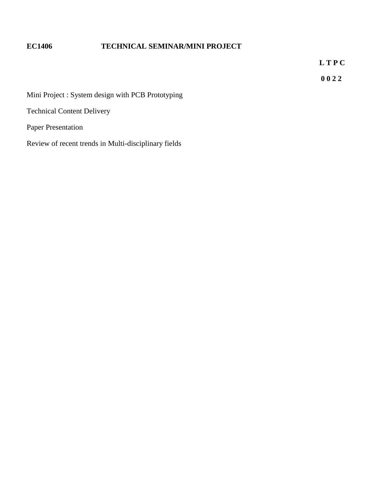# **EC1406 TECHNICAL SEMINAR/MINI PROJECT**

 **L T P C** 

 **0 0 2 2**

Mini Project : System design with PCB Prototyping

Technical Content Delivery

Paper Presentation

Review of recent trends in Multi-disciplinary fields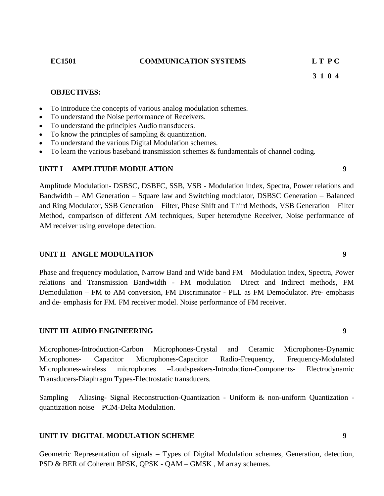#### **EC1501 COMMUNICATION SYSTEMS L T P C**

 **3 1 0 4**

#### **OBJECTIVES:**

- To introduce the concepts of various analog modulation schemes.
- To understand the Noise performance of Receivers.
- To understand the principles Audio transducers.
- To know the principles of sampling & quantization.
- To understand the various Digital Modulation schemes.
- To learn the various baseband transmission schemes & fundamentals of channel coding.

#### **UNIT I AMPLITUDE MODULATION 9**

Amplitude Modulation- DSBSC, DSBFC, SSB, VSB - Modulation index, Spectra, Power relations and Bandwidth – AM Generation – Square law and Switching modulator, DSBSC Generation – Balanced and Ring Modulator, SSB Generation – Filter, Phase Shift and Third Methods, VSB Generation – Filter Method,–comparison of different AM techniques, Super heterodyne Receiver, Noise performance of AM receiver using envelope detection.

#### **UNIT II ANGLE MODULATION 9**

Phase and frequency modulation, Narrow Band and Wide band FM – Modulation index, Spectra, Power relations and Transmission Bandwidth - FM modulation –Direct and Indirect methods, FM Demodulation – FM to AM conversion, FM Discriminator - PLL as FM Demodulator. Pre- emphasis and de- emphasis for FM. FM receiver model. Noise performance of FM receiver.

#### **UNIT III AUDIO ENGINEERING 9**

Microphones-Introduction-Carbon Microphones-Crystal and Ceramic Microphones-Dynamic Microphones- Capacitor Microphones-Capacitor Radio-Frequency, Frequency-Modulated Microphones-wireless microphones –Loudspeakers-Introduction-Components- Electrodynamic Transducers-Diaphragm Types-Electrostatic transducers.

Sampling – Aliasing- Signal Reconstruction-Quantization - Uniform & non-uniform Quantization quantization noise – PCM-Delta Modulation.

#### **UNIT IV DIGITAL MODULATION SCHEME 9**

Geometric Representation of signals – Types of Digital Modulation schemes, Generation, detection, PSD & BER of Coherent BPSK, QPSK - QAM – GMSK , M array schemes.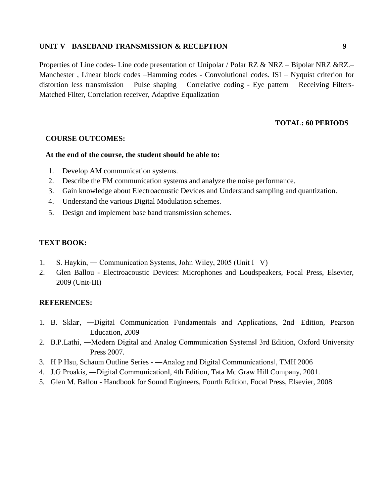#### **UNIT V BASEBAND TRANSMISSION & RECEPTION 9**

Properties of Line codes- Line code presentation of Unipolar / Polar RZ & NRZ – Bipolar NRZ &RZ.– Manchester , Linear block codes –Hamming codes - Convolutional codes. ISI – Nyquist criterion for distortion less transmission – Pulse shaping – Correlative coding - Eye pattern – Receiving Filters-Matched Filter, Correlation receiver, Adaptive Equalization

#### **TOTAL: 60 PERIODS**

#### **COURSE OUTCOMES:**

#### **At the end of the course, the student should be able to:**

- 1. Develop AM communication systems.
- 2. Describe the FM communication systems and analyze the noise performance.
- 3. Gain knowledge about Electroacoustic Devices and Understand sampling and quantization.
- 4. Understand the various Digital Modulation schemes.
- 5. Design and implement base band transmission schemes.

#### **TEXT BOOK:**

- 1. S. Haykin, ― Communication Systems, John Wiley, 2005 (Unit I –V)
- 2. Glen Ballou Electroacoustic Devices: Microphones and Loudspeakers, Focal Press, Elsevier, 2009 (Unit-III)

- 1. B. Skla**r**, ―Digital Communication Fundamentals and Applications, 2nd Edition, Pearson Education, 2009
- 2. B.P.Lathi, ―Modern Digital and Analog Communication Systems‖ 3rd Edition, Oxford University Press 2007.
- 3. H P Hsu, Schaum Outline Series ―Analog and Digital Communications‖, TMH 2006
- 4. J.G Proakis, ―Digital Communication‖, 4th Edition, Tata Mc Graw Hill Company, 2001.
- 5. Glen M. Ballou Handbook for Sound Engineers, Fourth Edition, Focal Press, Elsevier, 2008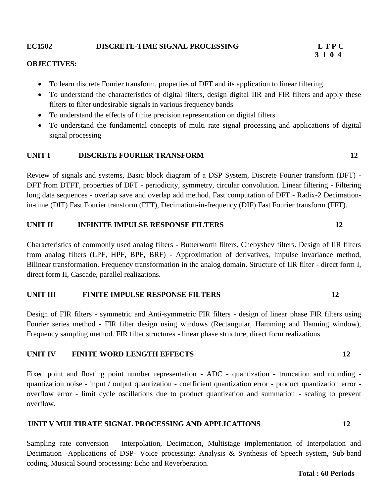### **EC1502 DISCRETE-TIME SIGNAL PROCESSING L T P C**

#### **OBJECTIVES:**

- To learn discrete Fourier transform, properties of DFT and its application to linear filtering
- To understand the characteristics of digital filters, design digital IIR and FIR filters and apply these filters to filter undesirable signals in various frequency bands
- To understand the effects of finite precision representation on digital filters
- To understand the fundamental concepts of multi rate signal processing and applications of digital signal processing

#### **UNIT I DISCRETE FOURIER TRANSFORM 12**

Review of signals and systems, Basic block diagram of a DSP System, Discrete Fourier transform (DFT) - DFT from DTFT, properties of DFT - periodicity, symmetry, circular convolution. Linear filtering - Filtering long data sequences - overlap save and overlap add method. Fast computation of DFT - Radix-2 Decimationin-time (DIT) Fast Fourier transform (FFT), Decimation-in-frequency (DIF) Fast Fourier transform (FFT).

#### **UNIT II INFINITE IMPULSE RESPONSE FILTERS 12**

Characteristics of commonly used analog filters - Butterworth filters, Chebyshev filters. Design of IIR filters from analog filters (LPF, HPF, BPF, BRF) - Approximation of derivatives, Impulse invariance method, Bilinear transformation. Frequency transformation in the analog domain. Structure of IIR filter - direct form I, direct form II, Cascade, parallel realizations.

### **UNIT III FINITE IMPULSE RESPONSE FILTERS 12**

Design of FIR filters - symmetric and Anti-symmetric FIR filters - design of linear phase FIR filters using Fourier series method - FIR filter design using windows (Rectangular, Hamming and Hanning window), Frequency sampling method. FIR filter structures - linear phase structure, direct form realizations

#### **UNIT IV FINITE WORD LENGTH EFFECTS 12**

Fixed point and floating point number representation - ADC - quantization - truncation and rounding quantization noise - input / output quantization - coefficient quantization error - product quantization error overflow error - limit cycle oscillations due to product quantization and summation - scaling to prevent overflow.

#### **UNIT V MULTIRATE SIGNAL PROCESSING AND APPLICATIONS 12**

Sampling rate conversion – Interpolation, Decimation, Multistage implementation of Interpolation and Decimation -Applications of DSP- Voice processing: Analysis & Synthesis of Speech system, Sub-band coding, Musical Sound processing: Echo and Reverberation.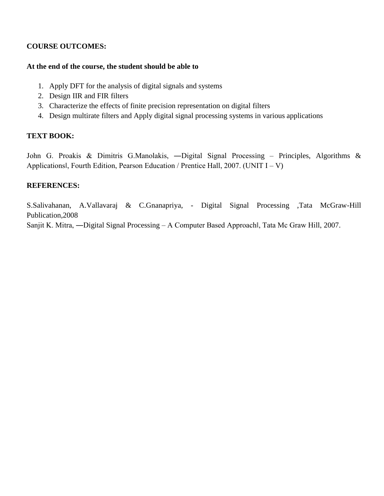## **COURSE OUTCOMES:**

## **At the end of the course, the student should be able to**

- 1. Apply DFT for the analysis of digital signals and systems
- 2. Design IIR and FIR filters
- 3. Characterize the effects of finite precision representation on digital filters
- 4. Design multirate filters and Apply digital signal processing systems in various applications

## **TEXT BOOK:**

John G. Proakis & Dimitris G.Manolakis, ―Digital Signal Processing – Principles, Algorithms & Applications‖, Fourth Edition, Pearson Education / Prentice Hall, 2007. (UNIT I – V)

## **REFERENCES:**

S.Salivahanan, A.Vallavaraj & C.Gnanapriya, - Digital Signal Processing ,Tata McGraw-Hill Publication,2008

Sanjit K. Mitra, ―Digital Signal Processing – A Computer Based Approach‖, Tata Mc Graw Hill, 2007.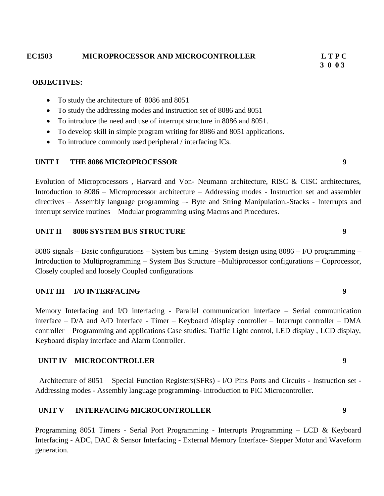#### **EC1503 MICROPROCESSOR AND MICROCONTROLLER L T P C**

#### **OBJECTIVES:**

- To study the architecture of 8086 and 8051
- To study the addressing modes and instruction set of 8086 and 8051
- To introduce the need and use of interrupt structure in 8086 and 8051.
- To develop skill in simple program writing for 8086 and 8051 applications.
- To introduce commonly used peripheral / interfacing ICs.

#### **UNIT I THE 8086 MICROPROCESSOR 9**

Evolution of Microprocessors , Harvard and Von- Neumann architecture, RISC & CISC architectures, Introduction to 8086 – Microprocessor architecture – Addressing modes - Instruction set and assembler directives – Assembly language programming –- Byte and String Manipulation.-Stacks - Interrupts and interrupt service routines – Modular programming using Macros and Procedures.

#### **UNIT II 8086 SYSTEM BUS STRUCTURE 9**

8086 signals – Basic configurations – System bus timing –System design using 8086 – I/O programming – Introduction to Multiprogramming – System Bus Structure –Multiprocessor configurations – Coprocessor, Closely coupled and loosely Coupled configurations

#### **UNIT III I/O INTERFACING 9**

Memory Interfacing and I/O interfacing - Parallel communication interface – Serial communication interface – D/A and A/D Interface - Timer – Keyboard /display controller – Interrupt controller – DMA controller – Programming and applications Case studies: Traffic Light control, LED display , LCD display, Keyboard display interface and Alarm Controller.

#### **UNIT IV MICROCONTROLLER 9**

Architecture of 8051 – Special Function Registers(SFRs) - I/O Pins Ports and Circuits - Instruction set - Addressing modes - Assembly language programming- Introduction to PIC Microcontroller.

#### **UNIT V INTERFACING MICROCONTROLLER 9**

Programming 8051 Timers - Serial Port Programming - Interrupts Programming – LCD & Keyboard Interfacing - ADC, DAC & Sensor Interfacing - External Memory Interface- Stepper Motor and Waveform generation.

# **3 0 0 3**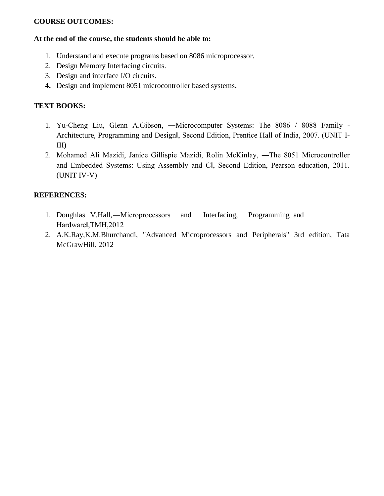## **COURSE OUTCOMES:**

#### **At the end of the course, the students should be able to:**

- 1. Understand and execute programs based on 8086 microprocessor.
- 2. Design Memory Interfacing circuits.
- 3. Design and interface I/O circuits.
- **4.** Design and implement 8051 microcontroller based systems**.**

## **TEXT BOOKS:**

- 1. Yu-Cheng Liu, Glenn A.Gibson, ―Microcomputer Systems: The 8086 / 8088 Family Architecture, Programming and Design‖, Second Edition, Prentice Hall of India, 2007. (UNIT I-III)
- 2. Mohamed Ali Mazidi, Janice Gillispie Mazidi, Rolin McKinlay, ―The 8051 Microcontroller and Embedded Systems: Using Assembly and C‖, Second Edition, Pearson education, 2011. (UNIT IV-V)

- 1. Doughlas V.Hall,―Microprocessors and Interfacing, Programming and Hardware‖,TMH,2012
- 2. A.K.Ray,K.M.Bhurchandi, "Advanced Microprocessors and Peripherals" 3rd edition, Tata McGrawHill, 2012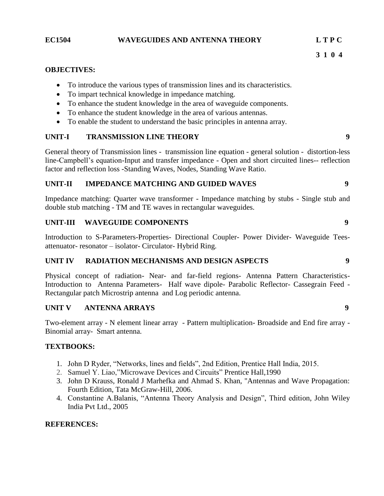#### **EC1504 WAVEGUIDES AND ANTENNA THEORY L T P C**

#### **OBJECTIVES:**

- To introduce the various types of transmission lines and its characteristics.
- To impart technical knowledge in impedance matching.
- To enhance the student knowledge in the area of waveguide components.
- To enhance the student knowledge in the area of various antennas.
- To enable the student to understand the basic principles in antenna array.

## **UNIT-I TRANSMISSION LINE THEORY 9**

General theory of Transmission lines - transmission line equation - general solution - distortion-less line-Campbell"s equation-Input and transfer impedance - Open and short circuited lines-- reflection factor and reflection loss -Standing Waves, Nodes, Standing Wave Ratio.

### **UNIT-II IMPEDANCE MATCHING AND GUIDED WAVES 9**

Impedance matching: Quarter wave transformer - Impedance matching by stubs - Single stub and double stub matching - TM and TE waves in rectangular waveguides.

## **UNIT-III WAVEGUIDE COMPONENTS 9**

Introduction to S-Parameters-Properties- Directional Coupler- Power Divider- Waveguide Teesattenuator- resonator – isolator- Circulator- Hybrid Ring.

#### **UNIT IV RADIATION MECHANISMS AND DESIGN ASPECTS 9**

Physical concept of radiation- Near- and far-field regions- Antenna Pattern Characteristics-Introduction to Antenna Parameters- Half wave dipole- Parabolic Reflector- Cassegrain Feed - Rectangular patch Microstrip antenna and Log periodic antenna.

#### **UNIT V ANTENNA ARRAYS 9**

Two-element array - N element linear array - Pattern multiplication- Broadside and End fire array - Binomial array- Smart antenna.

#### **TEXTBOOKS:**

- 1. John D Ryder, "Networks, lines and fields", 2nd Edition, Prentice Hall India, 2015.
- 2. Samuel Y. Liao,"Microwave Devices and Circuits" Prentice Hall,1990
- 3. John D Krauss, Ronald J Marhefka and Ahmad S. Khan, "Antennas and Wave Propagation: Fourth Edition, Tata McGraw-Hill, 2006.
- 4. Constantine A.Balanis, "Antenna Theory Analysis and Design", Third edition, John Wiley India Pvt Ltd., 2005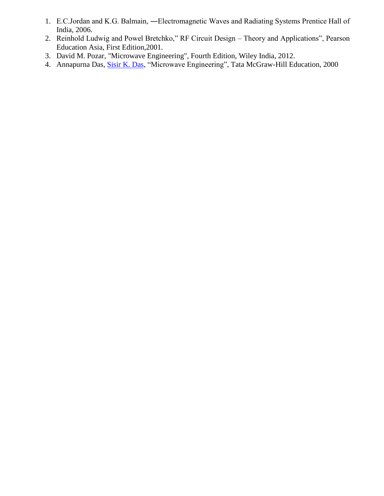- 1. E.C.Jordan and K.G. Balmain, ―Electromagnetic Waves and Radiating Systems Prentice Hall of India, 2006.
- 2. Reinhold Ludwig and Powel Bretchko," RF Circuit Design Theory and Applications", Pearson Education Asia, First Edition,2001.
- 3. David M. Pozar, "Microwave Engineering", Fourth Edition, Wiley India, 2012.
- 4. Annapurna Das, [Sisir K. Das,](https://www.google.co.in/search?tbo=p&tbm=bks&q=inauthor:%22Sisir+K.+Das%22) "Microwave Engineering", Tata McGraw-Hill Education, 2000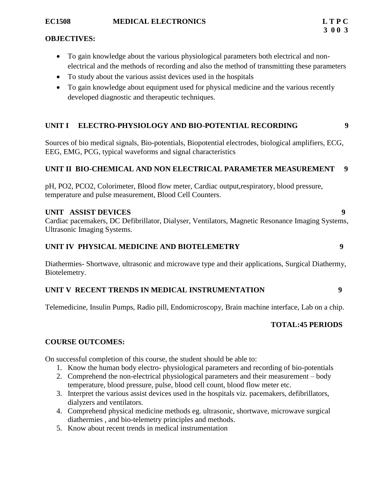- To gain knowledge about the various physiological parameters both electrical and nonelectrical and the methods of recording and also the method of transmitting these parameters
- To study about the various assist devices used in the hospitals
- To gain knowledge about equipment used for physical medicine and the various recently developed diagnostic and therapeutic techniques.

## **UNIT I ELECTRO-PHYSIOLOGY AND BIO-POTENTIAL RECORDING 9**

Sources of bio medical signals, Bio-potentials, Biopotential electrodes, biological amplifiers, ECG, EEG, EMG, PCG, typical waveforms and signal characteristics

## **UNIT II BIO-CHEMICAL AND NON ELECTRICAL PARAMETER MEASUREMENT 9**

pH, PO2, PCO2, Colorimeter, Blood flow meter, Cardiac output,respiratory, blood pressure, temperature and pulse measurement, Blood Cell Counters.

#### **UNIT ASSIST DEVICES 9**

Cardiac pacemakers, DC Defibrillator, Dialyser, Ventilators, Magnetic Resonance Imaging Systems, Ultrasonic Imaging Systems.

#### **UNIT IV PHYSICAL MEDICINE AND BIOTELEMETRY 9**

Diathermies- Shortwave, ultrasonic and microwave type and their applications, Surgical Diathermy, Biotelemetry.

#### **UNIT V RECENT TRENDS IN MEDICAL INSTRUMENTATION 9**

Telemedicine, Insulin Pumps, Radio pill, Endomicroscopy, Brain machine interface, Lab on a chip.

#### **TOTAL:45 PERIODS**

#### **COURSE OUTCOMES:**

On successful completion of this course, the student should be able to:

- 1. Know the human body electro- physiological parameters and recording of bio-potentials
- 2. Comprehend the non-electrical physiological parameters and their measurement body temperature, blood pressure, pulse, blood cell count, blood flow meter etc.
- 3. Interpret the various assist devices used in the hospitals viz. pacemakers, defibrillators, dialyzers and ventilators.
- 4. Comprehend physical medicine methods eg. ultrasonic, shortwave, microwave surgical diathermies , and bio-telemetry principles and methods.
- 5. Know about recent trends in medical instrumentation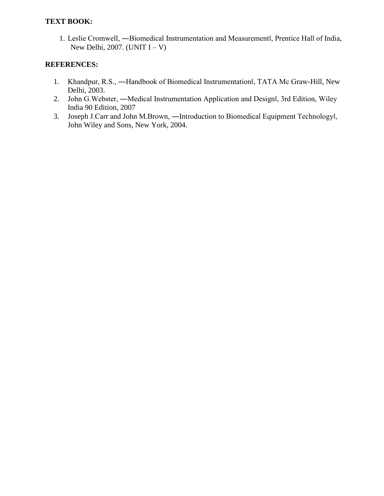## **TEXT BOOK:**

1. Leslie Cromwell, ―Biomedical Instrumentation and Measurement‖, Prentice Hall of India, New Delhi, 2007. (UNIT  $I - V$ )

- 1. Khandpur, R.S., ―Handbook of Biomedical Instrumentation‖, TATA Mc Graw-Hill, New Delhi, 2003.
- 2. John G.Webster, ―Medical Instrumentation Application and Design‖, 3rd Edition, Wiley India 90 Edition, 2007
- 3. Joseph J.Carr and John M.Brown, ―Introduction to Biomedical Equipment Technology‖, John Wiley and Sons, New York, 2004.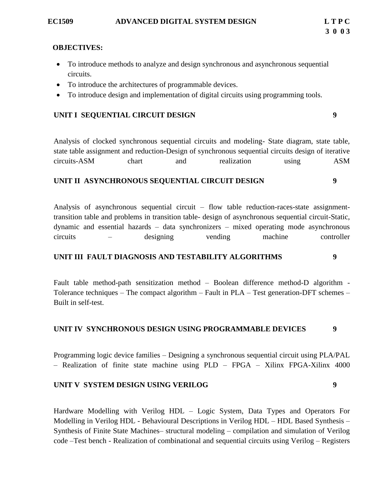- To introduce methods to analyze and design synchronous and asynchronous sequential circuits.
- To introduce the architectures of programmable devices.
- To introduce design and implementation of digital circuits using programming tools.

## **UNIT I SEQUENTIAL CIRCUIT DESIGN 9**

Analysis of clocked synchronous sequential circuits and modeling- State diagram, state table, state table assignment and reduction-Design of synchronous sequential circuits design of iterative circuits-ASM chart and realization using ASM

#### **UNIT II ASYNCHRONOUS SEQUENTIAL CIRCUIT DESIGN 9**

Analysis of asynchronous sequential circuit – flow table reduction-races-state assignmenttransition table and problems in transition table- design of asynchronous sequential circuit-Static, dynamic and essential hazards – data synchronizers – mixed operating mode asynchronous circuits – designing vending machine controller

#### **UNIT III FAULT DIAGNOSIS AND TESTABILITY ALGORITHMS 9**

Fault table method-path sensitization method – Boolean difference method-D algorithm - Tolerance techniques – The compact algorithm – Fault in PLA – Test generation-DFT schemes – Built in self-test.

#### **UNIT IV SYNCHRONOUS DESIGN USING PROGRAMMABLE DEVICES 9**

Programming logic device families – Designing a synchronous sequential circuit using PLA/PAL – Realization of finite state machine using PLD – FPGA – Xilinx FPGA-Xilinx 4000

#### **UNIT V SYSTEM DESIGN USING VERILOG 9**

Hardware Modelling with Verilog HDL – Logic System, Data Types and Operators For Modelling in Verilog HDL - Behavioural Descriptions in Verilog HDL – HDL Based Synthesis – Synthesis of Finite State Machines– structural modeling – compilation and simulation of Verilog code –Test bench - Realization of combinational and sequential circuits using Verilog – Registers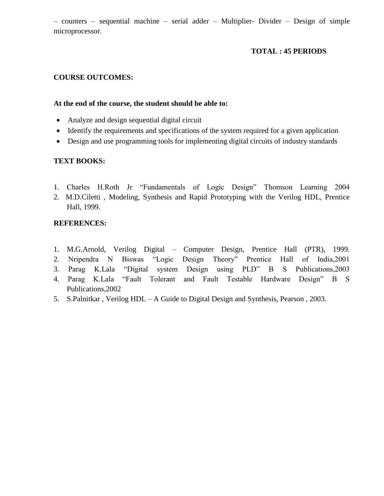– counters – sequential machine – serial adder – Multiplier- Divider – Design of simple microprocessor.

## **TOTAL : 45 PERIODS**

## **COURSE OUTCOMES:**

## **At the end of the course, the student should be able to:**

- Analyze and design sequential digital circuit
- Identify the requirements and specifications of the system required for a given application
- Design and use programming tools for implementing digital circuits of industry standards

## **TEXT BOOKS:**

- 1. Charles H.Roth Jr "Fundamentals of Logic Design" Thomson Learning 2004
- 2. M.D.Ciletti , Modeling, Synthesis and Rapid Prototyping with the Verilog HDL, Prentice Hall, 1999.

- 1. M.G.Arnold, Verilog Digital Computer Design, Prentice Hall (PTR), 1999.
- 2. Nripendra N Biswas "Logic Design Theory" Prentice Hall of India,2001
- 3. Parag K.Lala "Digital system Design using PLD" B S Publications,2003
- 4. Parag K.Lala "Fault Tolerant and Fault Testable Hardware Design" B S Publications,2002
- 5. S.Palnitkar , Verilog HDL A Guide to Digital Design and Synthesis, Pearson , 2003.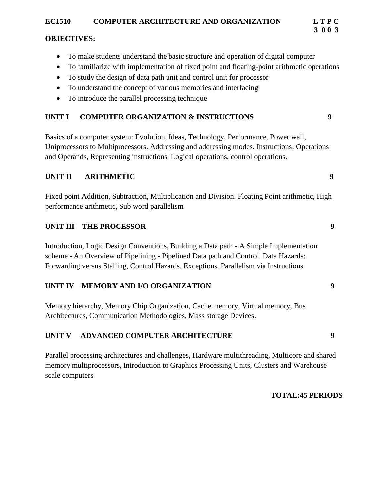## **EC1510 COMPUTER ARCHITECTURE AND ORGANIZATION L T P C**

## **OBJECTIVES:**

- To make students understand the basic structure and operation of digital computer
- To familiarize with implementation of fixed point and floating-point arithmetic operations
- To study the design of data path unit and control unit for processor
- To understand the concept of various memories and interfacing
- To introduce the parallel processing technique

## **UNIT I COMPUTER ORGANIZATION & INSTRUCTIONS 9**

Basics of a computer system: Evolution, Ideas, Technology, Performance, Power wall, Uniprocessors to Multiprocessors. Addressing and addressing modes. Instructions: Operations and Operands, Representing instructions, Logical operations, control operations.

## **UNIT II** ARITHMETIC 9

Fixed point Addition, Subtraction, Multiplication and Division. Floating Point arithmetic, High performance arithmetic, Sub word parallelism

## **UNIT III** THE PROCESSOR 9

Introduction, Logic Design Conventions, Building a Data path - A Simple Implementation scheme - An Overview of Pipelining - Pipelined Data path and Control. Data Hazards: Forwarding versus Stalling, Control Hazards, Exceptions, Parallelism via Instructions.

## **UNIT IV MEMORY AND I/O ORGANIZATION 9**

Memory hierarchy, Memory Chip Organization, Cache memory, Virtual memory, Bus Architectures, Communication Methodologies, Mass storage Devices.

## **UNIT V ADVANCED COMPUTER ARCHITECTURE 9**

Parallel processing architectures and challenges, Hardware multithreading, Multicore and shared memory multiprocessors, Introduction to Graphics Processing Units, Clusters and Warehouse scale computers

#### **TOTAL:45 PERIODS**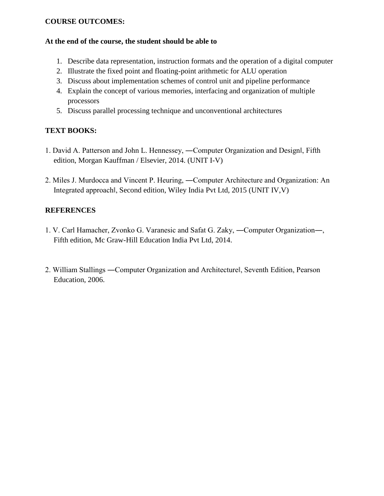## **COURSE OUTCOMES:**

## **At the end of the course, the student should be able to**

- 1. Describe data representation, instruction formats and the operation of a digital computer
- 2. Illustrate the fixed point and floating-point arithmetic for ALU operation
- 3. Discuss about implementation schemes of control unit and pipeline performance
- 4. Explain the concept of various memories, interfacing and organization of multiple processors
- 5. Discuss parallel processing technique and unconventional architectures

## **TEXT BOOKS:**

- 1. David A. Patterson and John L. Hennessey, ―Computer Organization and Design‖, Fifth edition, Morgan Kauffman / Elsevier, 2014. (UNIT I-V)
- 2. Miles J. Murdocca and Vincent P. Heuring, ―Computer Architecture and Organization: An Integrated approach‖, Second edition, Wiley India Pvt Ltd, 2015 (UNIT IV,V)

- 1. V. Carl Hamacher, Zvonko G. Varanesic and Safat G. Zaky, ―Computer Organization―, Fifth edition, Mc Graw-Hill Education India Pvt Ltd, 2014.
- 2. William Stallings ―Computer Organization and Architecture‖, Seventh Edition, Pearson Education, 2006.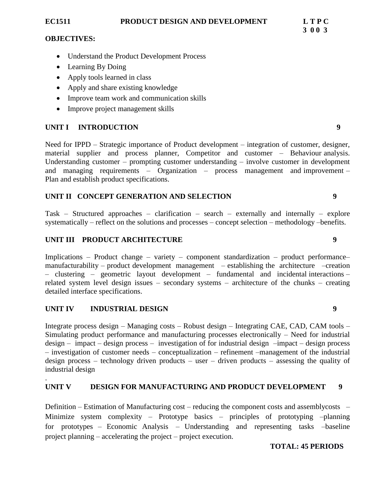- Understand the Product Development Process
- Learning By Doing
- Apply tools learned in class
- Apply and share existing knowledge
- Improve team work and communication skills
- Improve project management skills

## **UNIT I INTRODUCTION 9**

Need for IPPD – Strategic importance of Product development – integration of customer, designer, material supplier and process planner, Competitor and customer – Behaviour analysis. Understanding customer – prompting customer understanding – involve customer in development and managing requirements – Organization – process management and improvement – Plan and establish product specifications.

## **UNIT II CONCEPT GENERATION AND SELECTION 9**

Task – Structured approaches – clarification – search – externally and internally – explore systematically – reflect on the solutions and processes – concept selection – methodology –benefits.

## **UNIT III PRODUCT ARCHITECTURE 9**

Implications – Product change – variety – component standardization – product performance– manufacturability – product development management – establishing the architecture –creation – clustering – geometric layout development – fundamental and incidental interactions – related system level design issues – secondary systems – architecture of the chunks – creating detailed interface specifications.

## **UNIT IV INDUSTRIAL DESIGN 9**

.

Integrate process design – Managing costs – Robust design – Integrating CAE, CAD, CAM tools – Simulating product performance and manufacturing processes electronically – Need for industrial design – impact – design process – investigation of for industrial design –impact – design process – investigation of customer needs – conceptualization – refinement –management of the industrial design process – technology driven products – user – driven products – assessing the quality of industrial design

### **UNIT V DESIGN FOR MANUFACTURING AND PRODUCT DEVELOPMENT 9**

Definition – Estimation of Manufacturing cost – reducing the component costs and assemblycosts – Minimize system complexity – Prototype basics – principles of prototyping –planning for prototypes – Economic Analysis – Understanding and representing tasks –baseline project planning – accelerating the project – project execution.

#### **TOTAL: 45 PERIODS**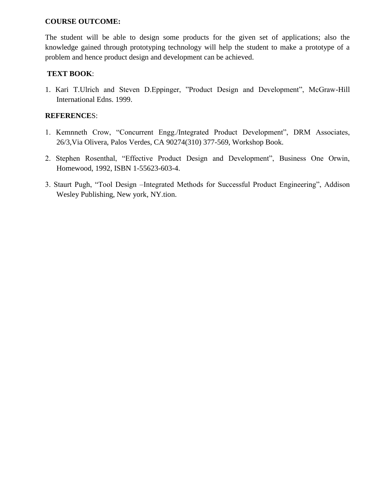### **COURSE OUTCOME:**

The student will be able to design some products for the given set of applications; also the knowledge gained through prototyping technology will help the student to make a prototype of a problem and hence product design and development can be achieved.

## **TEXT BOOK**:

1. Kari T.Ulrich and Steven D.Eppinger, "Product Design and Development", McGraw-Hill International Edns. 1999.

- 1. Kemnneth Crow, "Concurrent Engg./Integrated Product Development", DRM Associates, 26/3,Via Olivera, Palos Verdes, CA 90274(310) 377-569, Workshop Book.
- 2. Stephen Rosenthal, "Effective Product Design and Development", Business One Orwin, Homewood, 1992, ISBN 1-55623-603-4.
- 3. Staurt Pugh, "Tool Design –Integrated Methods for Successful Product Engineering", Addison Wesley Publishing, New york, NY.tion.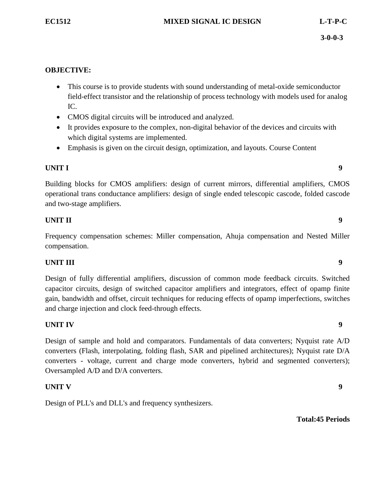- This course is to provide students with sound understanding of metal-oxide semiconductor field-effect transistor and the relationship of process technology with models used for analog IC.
- CMOS digital circuits will be introduced and analyzed.
- It provides exposure to the complex, non-digital behavior of the devices and circuits with which digital systems are implemented.
- Emphasis is given on the circuit design, optimization, and layouts. Course Content

## **UNIT I** 9

Building blocks for CMOS amplifiers: design of current mirrors, differential amplifiers, CMOS operational trans conductance amplifiers: design of single ended telescopic cascode, folded cascode and two-stage amplifiers.

## **UNIT II** 9

Frequency compensation schemes: Miller compensation, Ahuja compensation and Nested Miller compensation.

## **UNIT III** 9

Design of fully differential amplifiers, discussion of common mode feedback circuits. Switched capacitor circuits, design of switched capacitor amplifiers and integrators, effect of opamp finite gain, bandwidth and offset, circuit techniques for reducing effects of opamp imperfections, switches and charge injection and clock feed-through effects.

## **UNIT IV** 9

Design of sample and hold and comparators. Fundamentals of data converters; Nyquist rate A/D converters (Flash, interpolating, folding flash, SAR and pipelined architectures); Nyquist rate D/A converters - voltage, current and charge mode converters, hybrid and segmented converters); Oversampled A/D and D/A converters.

## **UNIT V** 9

Design of PLL's and DLL's and frequency synthesizers.

**Total:45 Periods**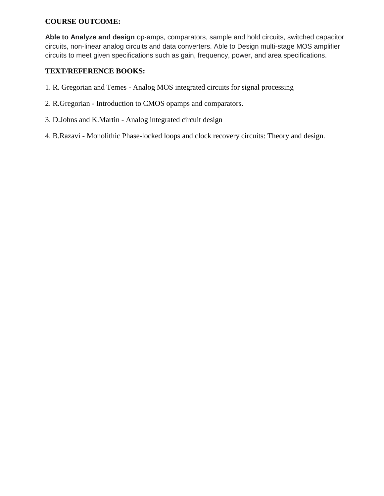## **COURSE OUTCOME:**

**Able to Analyze and design** op-amps, comparators, sample and hold circuits, switched capacitor circuits, non-linear analog circuits and data converters. Able to Design multi-stage MOS amplifier circuits to meet given specifications such as gain, frequency, power, and area specifications.

## **TEXT/REFERENCE BOOKS:**

- 1. R. Gregorian and Temes Analog MOS integrated circuits for signal processing
- 2. R.Gregorian Introduction to CMOS opamps and comparators.
- 3. D.Johns and K.Martin Analog integrated circuit design
- 4. B.Razavi Monolithic Phase-locked loops and clock recovery circuits: Theory and design.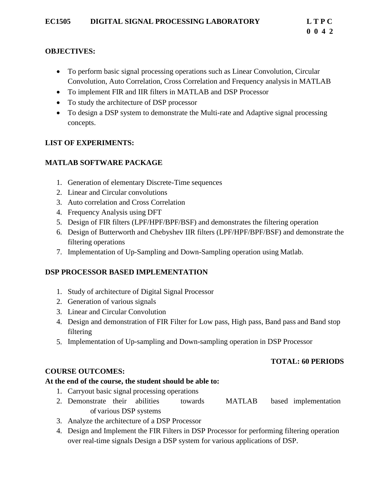- To perform basic signal processing operations such as Linear Convolution, Circular Convolution, Auto Correlation, Cross Correlation and Frequency analysis in MATLAB
- To implement FIR and IIR filters in MATLAB and DSP Processor
- To study the architecture of DSP processor
- To design a DSP system to demonstrate the Multi-rate and Adaptive signal processing concepts.

## **LIST OF EXPERIMENTS:**

## **MATLAB SOFTWARE PACKAGE**

- 1. Generation of elementary Discrete-Time sequences
- 2. Linear and Circular convolutions
- 3. Auto correlation and Cross Correlation
- 4. Frequency Analysis using DFT
- 5. Design of FIR filters (LPF/HPF/BPF/BSF) and demonstrates the filtering operation
- 6. Design of Butterworth and Chebyshev IIR filters (LPF/HPF/BPF/BSF) and demonstrate the filtering operations
- 7. Implementation of Up-Sampling and Down-Sampling operation using Matlab.

## **DSP PROCESSOR BASED IMPLEMENTATION**

- 1. Study of architecture of Digital Signal Processor
- 2. Generation of various signals
- 3. Linear and Circular Convolution
- 4. Design and demonstration of FIR Filter for Low pass, High pass, Band pass and Band stop filtering
- 5. Implementation of Up-sampling and Down-sampling operation in DSP Processor

## **TOTAL: 60 PERIODS**

## **COURSE OUTCOMES:**

## **At the end of the course, the student should be able to:**

- 1. Carryout basic signal processing operations
- 2. Demonstrate their abilities towards MATLAB based implementation of various DSP systems
- 3. Analyze the architecture of a DSP Processor
- 4. Design and Implement the FIR Filters in DSP Processor for performing filtering operation over real-time signals Design a DSP system for various applications of DSP.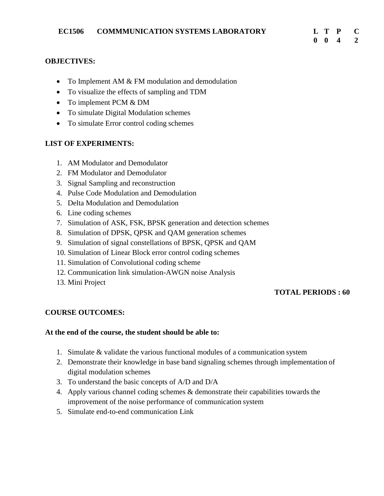- To Implement AM & FM modulation and demodulation
- To visualize the effects of sampling and TDM
- To implement PCM & DM
- To simulate Digital Modulation schemes
- To simulate Error control coding schemes

#### **LIST OF EXPERIMENTS:**

- 1. AM Modulator and Demodulator
- 2. FM Modulator and Demodulator
- 3. Signal Sampling and reconstruction
- 4. Pulse Code Modulation and Demodulation
- 5. Delta Modulation and Demodulation
- 6. Line coding schemes
- 7. Simulation of ASK, FSK, BPSK generation and detection schemes
- 8. Simulation of DPSK, QPSK and QAM generation schemes
- 9. Simulation of signal constellations of BPSK, QPSK and QAM
- 10. Simulation of Linear Block error control coding schemes
- 11. Simulation of Convolutional coding scheme
- 12. Communication link simulation-AWGN noise Analysis
- 13. Mini Project

#### **TOTAL PERIODS : 60**

#### **COURSE OUTCOMES:**

#### **At the end of the course, the student should be able to:**

- 1. Simulate & validate the various functional modules of a communication system
- 2. Demonstrate their knowledge in base band signaling schemes through implementation of digital modulation schemes
- 3. To understand the basic concepts of A/D and D/A
- 4. Apply various channel coding schemes & demonstrate their capabilities towards the improvement of the noise performance of communication system
- 5. Simulate end-to-end communication Link